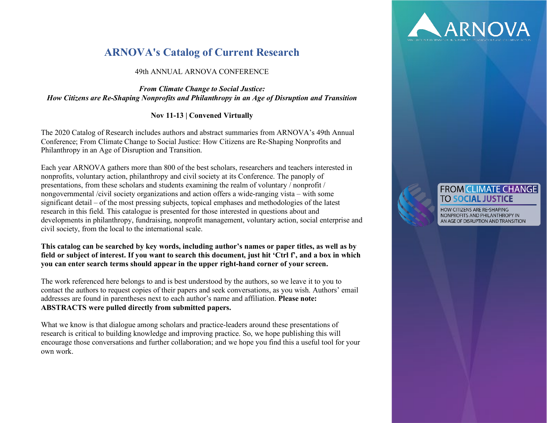# **ARNOVA's Catalog of Current Research**

## 49th ANNUAL ARNOVA CONFERENCE

## *From Climate Change to Social Justice: How Citizens are Re-Shaping Nonprofits and Philanthropy in an Age of Disruption and Transition*

## **Nov 11-13 | Convened Virtually**

The 2020 Catalog of Research includes authors and abstract summaries from ARNOVA's 49th Annual Conference; From Climate Change to Social Justice: How Citizens are Re-Shaping Nonprofits and Philanthropy in an Age of Disruption and Transition.

Each year ARNOVA gathers more than 800 of the best scholars, researchers and teachers interested in nonprofits, voluntary action, philanthropy and civil society at its Conference. The panoply of presentations, from these scholars and students examining the realm of voluntary / nonprofit / nongovernmental /civil society organizations and action offers a wide-ranging vista – with some significant detail – of the most pressing subjects, topical emphases and methodologies of the latest research in this field. This catalogue is presented for those interested in questions about and developments in philanthropy, fundraising, nonprofit management, voluntary action, social enterprise and civil society, from the local to the international scale.

## **This catalog can be searched by key words, including author's names or paper titles, as well as by field or subject of interest. If you want to search this document, just hit 'Ctrl f', and a box in which you can enter search terms should appear in the upper right-hand corner of your screen.**

The work referenced here belongs to and is best understood by the authors, so we leave it to you to contact the authors to request copies of their papers and seek conversations, as you wish. Authors' email addresses are found in parentheses next to each author's name and affiliation. **Please note: ABSTRACTS were pulled directly from submitted papers.**

What we know is that dialogue among scholars and practice-leaders around these presentations of research is critical to building knowledge and improving practice. So, we hope publishing this will encourage those conversations and further collaboration; and we hope you find this a useful tool for your own work.



# **FROM CLIMATE CHANGE TO SOCIAL JUSTICE**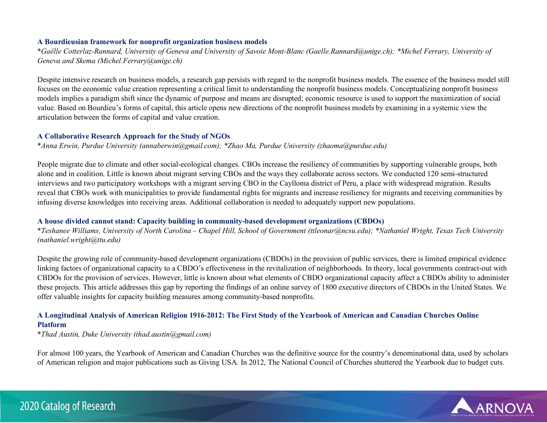#### **A Bourdieusian framework for nonprofit organization business models**

\**Gaëlle Cotterlaz-Rannard, University of Geneva and University of Savoie Mont-Blanc (Gaelle.Rannard@unige.ch); \*Michel Ferrary, University of Geneva and Skema (Michel.Ferrary@unige.ch)*

Despite intensive research on business models, a research gap persists with regard to the nonprofit business models. The essence of the business model still focuses on the economic value creation representing a critical limit to understanding the nonprofit business models. Conceptualizing nonprofit business models implies a paradigm shift since the dynamic of purpose and means are disrupted; economic resource is used to support the maximization of social value. Based on Bourdieu's forms of capital, this article opens new directions of the nonprofit business models by examining in a systemic view the articulation between the forms of capital and value creation.

## **A Collaborative Research Approach for the Study of NGOs**

\**Anna Erwin, Purdue University (annaberwin@gmail.com); \*Zhao Ma, Purdue University (zhaoma@purdue.edu)*

People migrate due to climate and other social-ecological changes. CBOs increase the resiliency of communities by supporting vulnerable groups, both alone and in coalition. Little is known about migrant serving CBOs and the ways they collaborate across sectors. We conducted 120 semi-structured interviews and two participatory workshops with a migrant serving CBO in the Caylloma district of Peru, a place with widespread migration. Results reveal that CBOs work with municipalities to provide fundamental rights for migrants and increase resiliency for migrants and receiving communities by infusing diverse knowledges into receiving areas. Additional collaboration is needed to adequately support new populations.

## **A house divided cannot stand: Capacity building in community-based development organizations (CBDOs)**

\**Teshanee Williams, University of North Carolina – Chapel Hill, School of Government (ttleonar@ncsu.edu); \*Nathaniel Wright, Texas Tech University (nathaniel.wright@ttu.edu)*

Despite the growing role of community-based development organizations (CBDOs) in the provision of public services, there is limited empirical evidence linking factors of organizational capacity to a CBDO's effectiveness in the revitalization of neighborhoods. In theory, local governments contract-out with CBDOs for the provision of services. However, little is known about what elements of CBDO organizational capacity affect a CBDOs ability to administer these projects. This article addresses this gap by reporting the findings of an online survey of 1800 executive directors of CBDOs in the United States. We offer valuable insights for capacity building measures among community-based nonprofits.

## **A Longitudinal Analysis of American Religion 1916-2012: The First Study of the Yearbook of American and Canadian Churches Online Platform**

\**Thad Austin, Duke University (thad.austin@gmail.com)*

For almost 100 years, the Yearbook of American and Canadian Churches was the definitive source for the country's denominational data, used by scholars of American religion and major publications such as Giving USA. In 2012, The National Council of Churches shuttered the Yearbook due to budget cuts.

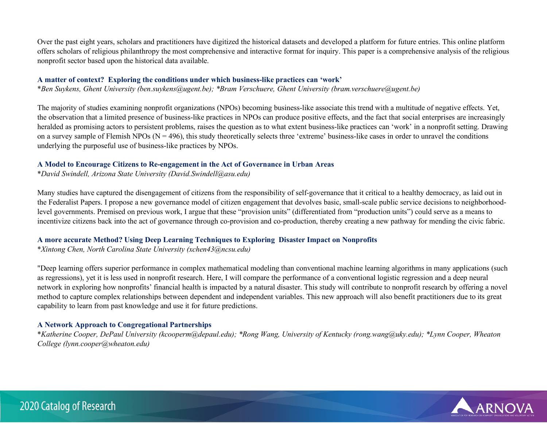Over the past eight years, scholars and practitioners have digitized the historical datasets and developed a platform for future entries. This online platform offers scholars of religious philanthropy the most comprehensive and interactive format for inquiry. This paper is a comprehensive analysis of the religious nonprofit sector based upon the historical data available.

#### **A matter of context? Exploring the conditions under which business-like practices can 'work'**

\**Ben Suykens, Ghent University (ben.suykens@ugent.be); \*Bram Verschuere, Ghent University (bram.verschuere@ugent.be)*

The majority of studies examining nonprofit organizations (NPOs) becoming business-like associate this trend with a multitude of negative effects. Yet, the observation that a limited presence of business-like practices in NPOs can produce positive effects, and the fact that social enterprises are increasingly heralded as promising actors to persistent problems, raises the question as to what extent business-like practices can 'work' in a nonprofit setting. Drawing on a survey sample of Flemish NPOs ( $N = 496$ ), this study theoretically selects three 'extreme' business-like cases in order to unravel the conditions underlying the purposeful use of business-like practices by NPOs.

## **A Model to Encourage Citizens to Re-engagement in the Act of Governance in Urban Areas**

\**David Swindell, Arizona State University (David.Swindell@asu.edu)*

Many studies have captured the disengagement of citizens from the responsibility of self-governance that it critical to a healthy democracy, as laid out in the Federalist Papers. I propose a new governance model of citizen engagement that devolves basic, small-scale public service decisions to neighborhoodlevel governments. Premised on previous work, I argue that these "provision units" (differentiated from "production units") could serve as a means to incentivize citizens back into the act of governance through co-provision and co-production, thereby creating a new pathway for mending the civic fabric.

#### **A more accurate Method? Using Deep Learning Techniques to Exploring Disaster Impact on Nonprofits**

\**Xintong Chen, North Carolina State University (xchen43@ncsu.edu)*

"Deep learning offers superior performance in complex mathematical modeling than conventional machine learning algorithms in many applications (such as regressions), yet it is less used in nonprofit research. Here, I will compare the performance of a conventional logistic regression and a deep neural network in exploring how nonprofits' financial health is impacted by a natural disaster. This study will contribute to nonprofit research by offering a novel method to capture complex relationships between dependent and independent variables. This new approach will also benefit practitioners due to its great capability to learn from past knowledge and use it for future predictions.

## **A Network Approach to Congregational Partnerships**

\**Katherine Cooper, DePaul University (kcooperm@depaul.edu); \*Rong Wang, University of Kentucky (rong.wang@uky.edu); \*Lynn Cooper, Wheaton College (lynn.cooper@wheaton.edu)*

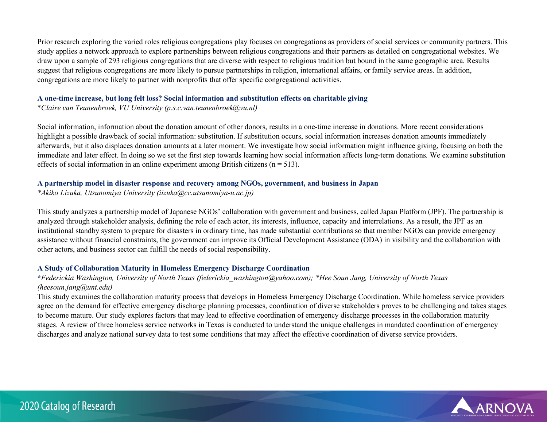Prior research exploring the varied roles religious congregations play focuses on congregations as providers of social services or community partners. This study applies a network approach to explore partnerships between religious congregations and their partners as detailed on congregational websites. We draw upon a sample of 293 religious congregations that are diverse with respect to religious tradition but bound in the same geographic area. Results suggest that religious congregations are more likely to pursue partnerships in religion, international affairs, or family service areas. In addition, congregations are more likely to partner with nonprofits that offer specific congregational activities.

#### **A one-time increase, but long felt loss? Social information and substitution effects on charitable giving**

\**Claire van Teunenbroek, VU University (p.s.c.van.teunenbroek@vu.nl)*

Social information, information about the donation amount of other donors, results in a one-time increase in donations. More recent considerations highlight a possible drawback of social information: substitution. If substitution occurs, social information increases donation amounts immediately afterwards, but it also displaces donation amounts at a later moment. We investigate how social information might influence giving, focusing on both the immediate and later effect. In doing so we set the first step towards learning how social information affects long-term donations. We examine substitution effects of social information in an online experiment among British citizens  $(n = 513)$ .

## **A partnership model in disaster response and recovery among NGOs, government, and business in Japan**

*\*Akiko Lizuka, Utsunomiya University (iizuka@cc.utsunomiya-u.ac.jp)*

This study analyzes a partnership model of Japanese NGOs' collaboration with government and business, called Japan Platform (JPF). The partnership is analyzed through stakeholder analysis, defining the role of each actor, its interests, influence, capacity and interrelations. As a result, the JPF as an institutional standby system to prepare for disasters in ordinary time, has made substantial contributions so that member NGOs can provide emergency assistance without financial constraints, the government can improve its Official Development Assistance (ODA) in visibility and the collaboration with other actors, and business sector can fulfill the needs of social responsibility.

## **A Study of Collaboration Maturity in Homeless Emergency Discharge Coordination**

## **\****Federickia Washington, University of North Texas (federickia\_washington@yahoo.com); \*Hee Soun Jang, University of North Texas (heesoun.jang@unt.edu)*

This study examines the collaboration maturity process that develops in Homeless Emergency Discharge Coordination. While homeless service providers agree on the demand for effective emergency discharge planning processes, coordination of diverse stakeholders proves to be challenging and takes stages to become mature. Our study explores factors that may lead to effective coordination of emergency discharge processes in the collaboration maturity stages. A review of three homeless service networks in Texas is conducted to understand the unique challenges in mandated coordination of emergency discharges and analyze national survey data to test some conditions that may affect the effective coordination of diverse service providers.

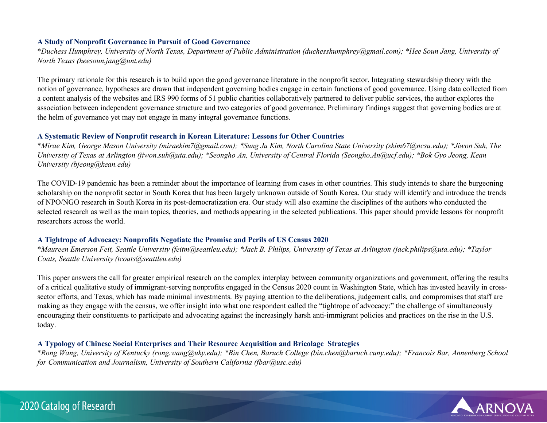## **A Study of Nonprofit Governance in Pursuit of Good Governance**

\**Duchess Humphrey, University of North Texas, Department of Public Administration (duchesshumphrey@gmail.com); \*Hee Soun Jang, University of North Texas (heesoun.jang@unt.edu)*

The primary rationale for this research is to build upon the good governance literature in the nonprofit sector. Integrating stewardship theory with the notion of governance, hypotheses are drawn that independent governing bodies engage in certain functions of good governance. Using data collected from a content analysis of the websites and IRS 990 forms of 51 public charities collaboratively partnered to deliver public services, the author explores the association between independent governance structure and two categories of good governance. Preliminary findings suggest that governing bodies are at the helm of governance yet may not engage in many integral governance functions.

#### **A Systematic Review of Nonprofit research in Korean Literature: Lessons for Other Countries**

\**Mirae Kim, George Mason University (miraekim7@gmail.com); \*Sung Ju Kim, North Carolina State University (skim67@ncsu.edu); \*Jiwon Suh, The University of Texas at Arlington (jiwon.suh@uta.edu); \*Seongho An, University of Central Florida (Seongho.An@ucf.edu); \*Bok Gyo Jeong, Kean University (bjeong@kean.edu)*

The COVID-19 pandemic has been a reminder about the importance of learning from cases in other countries. This study intends to share the burgeoning scholarship on the nonprofit sector in South Korea that has been largely unknown outside of South Korea. Our study will identify and introduce the trends of NPO/NGO research in South Korea in its post-democratization era. Our study will also examine the disciplines of the authors who conducted the selected research as well as the main topics, theories, and methods appearing in the selected publications. This paper should provide lessons for nonprofit researchers across the world.

## **A Tightrope of Advocacy: Nonprofits Negotiate the Promise and Perils of US Census 2020**

\**Maureen Emerson Feit, Seattle University (feitm@seattleu.edu); \*Jack B. Philips, University of Texas at Arlington (jack.philips@uta.edu); \*Taylor Coats, Seattle University (tcoats@seattleu.edu)*

This paper answers the call for greater empirical research on the complex interplay between community organizations and government, offering the results of a critical qualitative study of immigrant-serving nonprofits engaged in the Census 2020 count in Washington State, which has invested heavily in crosssector efforts, and Texas, which has made minimal investments. By paying attention to the deliberations, judgement calls, and compromises that staff are making as they engage with the census, we offer insight into what one respondent called the "tightrope of advocacy:" the challenge of simultaneously encouraging their constituents to participate and advocating against the increasingly harsh anti-immigrant policies and practices on the rise in the U.S. today.

## **A Typology of Chinese Social Enterprises and Their Resource Acquisition and Bricolage Strategies**

\**Rong Wang, University of Kentucky (rong.wang@uky.edu); \*Bin Chen, Baruch College (bin.chen@baruch.cuny.edu); \*Francois Bar, Annenberg School for Communication and Journalism, University of Southern California (fbar@usc.edu)*

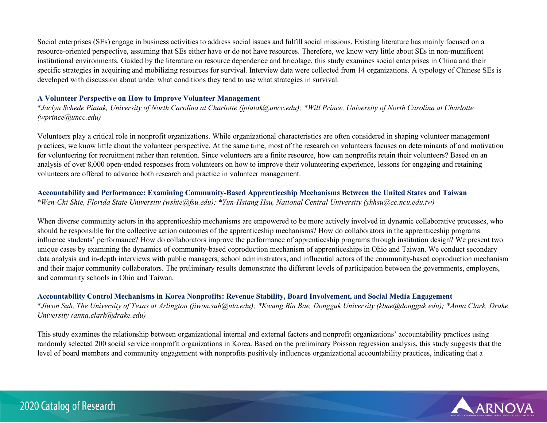Social enterprises (SEs) engage in business activities to address social issues and fulfill social missions. Existing literature has mainly focused on a resource-oriented perspective, assuming that SEs either have or do not have resources. Therefore, we know very little about SEs in non-munificent institutional environments. Guided by the literature on resource dependence and bricolage, this study examines social enterprises in China and their specific strategies in acquiring and mobilizing resources for survival. Interview data were collected from 14 organizations. A typology of Chinese SEs is developed with discussion about under what conditions they tend to use what strategies in survival.

#### **A Volunteer Perspective on How to Improve Volunteer Management**

\**Jaclyn Schede Piatak, University of North Carolina at Charlotte (jpiatak@uncc.edu); \*Will Prince, University of North Carolina at Charlotte (wprince@uncc.edu)*

Volunteers play a critical role in nonprofit organizations. While organizational characteristics are often considered in shaping volunteer management practices, we know little about the volunteer perspective. At the same time, most of the research on volunteers focuses on determinants of and motivation for volunteering for recruitment rather than retention. Since volunteers are a finite resource, how can nonprofits retain their volunteers? Based on an analysis of over 8,000 open-ended responses from volunteers on how to improve their volunteering experience, lessons for engaging and retaining volunteers are offered to advance both research and practice in volunteer management.

## **Accountability and Performance: Examining Community-Based Apprenticeship Mechanisms Between the United States and Taiwan**

\**Wen-Chi Shie, Florida State University (wshie@fsu.edu); \*Yun-Hsiang Hsu, National Central University (yhhsu@cc.ncu.edu.tw)*

When diverse community actors in the apprenticeship mechanisms are empowered to be more actively involved in dynamic collaborative processes, who should be responsible for the collective action outcomes of the apprenticeship mechanisms? How do collaborators in the apprenticeship programs influence students' performance? How do collaborators improve the performance of apprenticeship programs through institution design? We present two unique cases by examining the dynamics of community-based coproduction mechanism of apprenticeships in Ohio and Taiwan. We conduct secondary data analysis and in-depth interviews with public managers, school administrators, and influential actors of the community-based coproduction mechanism and their major community collaborators. The preliminary results demonstrate the different levels of participation between the governments, employers, and community schools in Ohio and Taiwan.

## **Accountability Control Mechanisms in Korea Nonprofits: Revenue Stability, Board Involvement, and Social Media Engagement**

\**Jiwon Suh, The University of Texas at Arlington (jiwon.suh@uta.edu); \*Kwang Bin Bae, Dongguk University (kbae@dongguk.edu); \*Anna Clark, Drake University (anna.clark@drake.edu)*

This study examines the relationship between organizational internal and external factors and nonprofit organizations' accountability practices using randomly selected 200 social service nonprofit organizations in Korea. Based on the preliminary Poisson regression analysis, this study suggests that the level of board members and community engagement with nonprofits positively influences organizational accountability practices, indicating that a

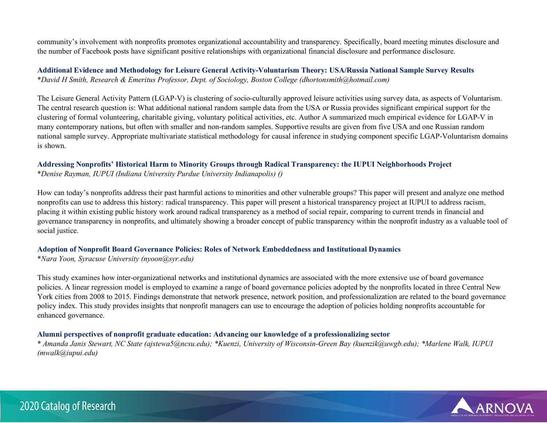community's involvement with nonprofits promotes organizational accountability and transparency. Specifically, board meeting minutes disclosure and the number of Facebook posts have significant positive relationships with organizational financial disclosure and performance disclosure.

**Additional Evidence and Methodology for Leisure General Activity-Voluntarism Theory: USA/Russia National Sample Survey Results**  \**David H Smith, Research & Emeritus Professor, Dept. of Sociology, Boston College (dhortonsmith@hotmail.com)*

The Leisure General Activity Pattern (LGAP-V) is clustering of socio-culturally approved leisure activities using survey data, as aspects of Voluntarism. The central research question is: What additional national random sample data from the USA or Russia provides significant empirical support for the clustering of formal volunteering, charitable giving, voluntary political activities, etc. Author A summarized much empirical evidence for LGAP-V in many contemporary nations, but often with smaller and non-random samples. Supportive results are given from five USA and one Russian random national sample survey. Appropriate multivariate statistical methodology for causal inference in studying component specific LGAP-Voluntarism domains is shown.

# **Addressing Nonprofits' Historical Harm to Minority Groups through Radical Transparency: the IUPUI Neighborhoods Project**

\**Denise Rayman, IUPUI (Indiana University Purdue University Indianapolis) ()*

How can today's nonprofits address their past harmful actions to minorities and other vulnerable groups? This paper will present and analyze one method nonprofits can use to address this history: radical transparency. This paper will present a historical transparency project at IUPUI to address racism, placing it within existing public history work around radical transparency as a method of social repair, comparing to current trends in financial and governance transparency in nonprofits, and ultimately showing a broader concept of public transparency within the nonprofit industry as a valuable tool of social justice.

## **Adoption of Nonprofit Board Governance Policies: Roles of Network Embeddedness and Institutional Dynamics**

\**Nara Yoon, Syracuse University (nyoon@syr.edu)*

This study examines how inter-organizational networks and institutional dynamics are associated with the more extensive use of board governance policies. A linear regression model is employed to examine a range of board governance policies adopted by the nonprofits located in three Central New York cities from 2008 to 2015. Findings demonstrate that network presence, network position, and professionalization are related to the board governance policy index. This study provides insights that nonprofit managers can use to encourage the adoption of policies holding nonprofits accountable for enhanced governance.

## **Alumni perspectives of nonprofit graduate education: Advancing our knowledge of a professionalizing sector**

\* *Amanda Janis Stewart, NC State (ajstewa5@ncsu.edu); \*Kuenzi, University of Wisconsin-Green Bay (kuenzik@uwgb.edu); \*Marlene Walk, IUPUI (mwalk@iupui.edu)*

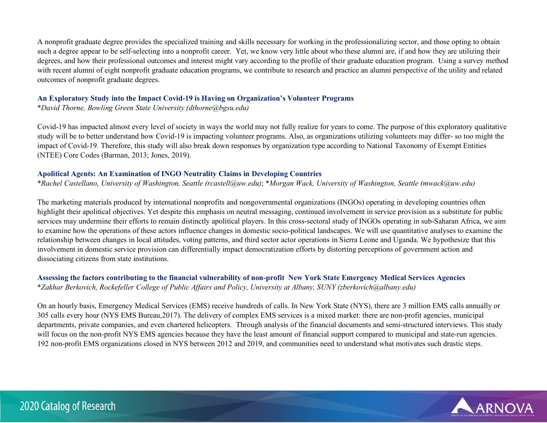A nonprofit graduate degree provides the specialized training and skills necessary for working in the professionalizing sector, and those opting to obtain such a degree appear to be self-selecting into a nonprofit career. Yet, we know very little about who these alumni are, if and how they are utilizing their degrees, and how their professional outcomes and interest might vary according to the profile of their graduate education program. Using a survey method with recent alumni of eight nonprofit graduate education programs, we contribute to research and practice an alumni perspective of the utility and related outcomes of nonprofit graduate degrees.

#### **An Exploratory Study into the Impact Covid-19 is Having on Organization's Volunteer Programs**

\**David Thorne, Bowling Green State University (dthorne@bgsu.edu)*

Covid-19 has impacted almost every level of society in ways the world may not fully realize for years to come. The purpose of this exploratory qualitative study will be to better understand how Covid-19 is impacting volunteer programs. Also, as organizations utilizing volunteers may differ- so too might the impact of Covid-19. Therefore, this study will also break down responses by organization type according to National Taxonomy of Exempt Entities (NTEE) Core Codes (Barman, 2013; Jones, 2019).

## **Apolitical Agents: An Examination of INGO Neutrality Claims in Developing Countries**

\**Rachel Castellano, University of Washington, Seattle (rcastell@uw.edu)*; \**Morgan Wack, University of Washington, Seattle (mwack@uw.edu)*

The marketing materials produced by international nonprofits and nongovernmental organizations (INGOs) operating in developing countries often highlight their apolitical objectives. Yet despite this emphasis on neutral messaging, continued involvement in service provision as a substitute for public services may undermine their efforts to remain distinctly apolitical players. In this cross-sectoral study of INGOs operating in sub-Saharan Africa, we aim to examine how the operations of these actors influence changes in domestic socio-political landscapes. We will use quantitative analyses to examine the relationship between changes in local attitudes, voting patterns, and third sector actor operations in Sierra Leone and Uganda. We hypothesize that this involvement in domestic service provision can differentially impact democratization efforts by distorting perceptions of government action and dissociating citizens from state institutions.

## **Assessing the factors contributing to the financial vulnerability of non-profit New York State Emergency Medical Services Agencies**  \**Zakhar Berkovich, Rockefeller College of Public Affairs and Policy, University at Albany, SUNY (zberkovich@albany.edu)*

On an hourly basis, Emergency Medical Services (EMS) receive hundreds of calls. In New York State (NYS), there are 3 million EMS calls annually or 305 calls every hour (NYS EMS Bureau,2017). The delivery of complex EMS services is a mixed market: there are non-profit agencies, municipal departments, private companies, and even chartered helicopters. Through analysis of the financial documents and semi-structured interviews. This study will focus on the non-profit NYS EMS agencies because they have the least amount of financial support compared to municipal and state-run agencies. 192 non-profit EMS organizations closed in NYS between 2012 and 2019, and communities need to understand what motivates such drastic steps.

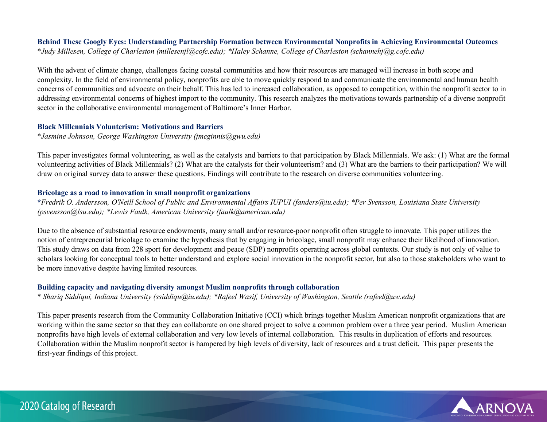## **Behind These Googly Eyes: Understanding Partnership Formation between Environmental Nonprofits in Achieving Environmental Outcomes**  \**Judy Millesen, College of Charleston (millesenjl@cofc.edu); \*Haley Schanne, College of Charleston (schannehj@g.cofc.edu)*

With the advent of climate change, challenges facing coastal communities and how their resources are managed will increase in both scope and complexity. In the field of environmental policy, nonprofits are able to move quickly respond to and communicate the environmental and human health concerns of communities and advocate on their behalf. This has led to increased collaboration, as opposed to competition, within the nonprofit sector to in addressing environmental concerns of highest import to the community. This research analyzes the motivations towards partnership of a diverse nonprofit sector in the collaborative environmental management of Baltimore's Inner Harbor.

## **Black Millennials Volunterism: Motivations and Barriers**

\**Jasmine Johnson, George Washington University (jmcginnis@gwu.edu)*

This paper investigates formal volunteering, as well as the catalysts and barriers to that participation by Black Millennials. We ask: (1) What are the formal volunteering activities of Black Millennials? (2) What are the catalysts for their volunteerism? and (3) What are the barriers to their participation? We will draw on original survey data to answer these questions. Findings will contribute to the research on diverse communities volunteering.

## **Bricolage as a road to innovation in small nonprofit organizations**

**\****Fredrik O. Andersson, O'Neill School of Public and Environmental Affairs IUPUI (fanders@iu.edu); \*Per Svensson, Louisiana State University (psvensson@lsu.edu); \*Lewis Faulk, American University (faulk@american.edu)*

Due to the absence of substantial resource endowments, many small and/or resource-poor nonprofit often struggle to innovate. This paper utilizes the notion of entrepreneurial bricolage to examine the hypothesis that by engaging in bricolage, small nonprofit may enhance their likelihood of innovation. This study draws on data from 228 sport for development and peace (SDP) nonprofits operating across global contexts. Our study is not only of value to scholars looking for conceptual tools to better understand and explore social innovation in the nonprofit sector, but also to those stakeholders who want to be more innovative despite having limited resources.

## **Building capacity and navigating diversity amongst Muslim nonprofits through collaboration**

\* *Shariq Siddiqui, Indiana University (ssiddiqu@iu.edu); \*Rafeel Wasif, University of Washington, Seattle (rafeel@uw.edu)*

This paper presents research from the Community Collaboration Initiative (CCI) which brings together Muslim American nonprofit organizations that are working within the same sector so that they can collaborate on one shared project to solve a common problem over a three year period. Muslim American nonprofits have high levels of external collaboration and very low levels of internal collaboration. This results in duplication of efforts and resources. Collaboration within the Muslim nonprofit sector is hampered by high levels of diversity, lack of resources and a trust deficit. This paper presents the first-year findings of this project.

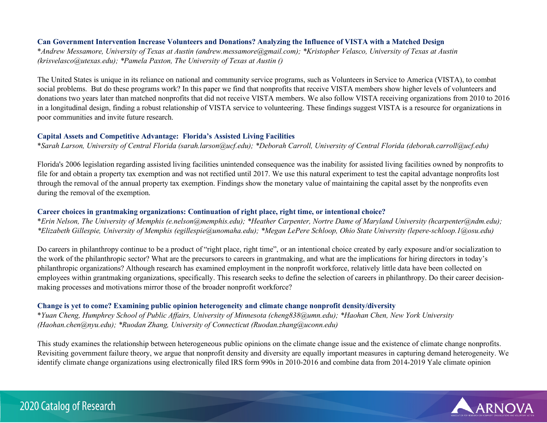#### **Can Government Intervention Increase Volunteers and Donations? Analyzing the Influence of VISTA with a Matched Design**

\**Andrew Messamore, University of Texas at Austin (andrew.messamore@gmail.com); \*Kristopher Velasco, University of Texas at Austin (krisvelasco@utexas.edu); \*Pamela Paxton, The University of Texas at Austin ()*

The United States is unique in its reliance on national and community service programs, such as Volunteers in Service to America (VISTA), to combat social problems. But do these programs work? In this paper we find that nonprofits that receive VISTA members show higher levels of volunteers and donations two years later than matched nonprofits that did not receive VISTA members. We also follow VISTA receiving organizations from 2010 to 2016 in a longitudinal design, finding a robust relationship of VISTA service to volunteering. These findings suggest VISTA is a resource for organizations in poor communities and invite future research.

#### **Capital Assets and Competitive Advantage: Florida's Assisted Living Facilities**

\**Sarah Larson, University of Central Florida (sarah.larson@ucf.edu); \*Deborah Carroll, University of Central Florida (deborah.carroll@ucf.edu)*

Florida's 2006 legislation regarding assisted living facilities unintended consequence was the inability for assisted living facilities owned by nonprofits to file for and obtain a property tax exemption and was not rectified until 2017. We use this natural experiment to test the capital advantage nonprofits lost through the removal of the annual property tax exemption. Findings show the monetary value of maintaining the capital asset by the nonprofits even during the removal of the exemption.

#### **Career choices in grantmaking organizations: Continuation of right place, right time, or intentional choice?**

\**Erin Nelson, The University of Memphis (e.nelson@memphis.edu); \*Heather Carpenter, Nortre Dame of Maryland University (hcarpenter@ndm.edu); \*Elizabeth Gillespie, University of Memphis (egillespie@unomaha.edu); \*Megan LePere Schloop, Ohio State University (lepere-schloop.1@osu.edu)*

Do careers in philanthropy continue to be a product of "right place, right time", or an intentional choice created by early exposure and/or socialization to the work of the philanthropic sector? What are the precursors to careers in grantmaking, and what are the implications for hiring directors in today's philanthropic organizations? Although research has examined employment in the nonprofit workforce, relatively little data have been collected on employees within grantmaking organizations, specifically. This research seeks to define the selection of careers in philanthropy. Do their career decisionmaking processes and motivations mirror those of the broader nonprofit workforce?

#### **Change is yet to come? Examining public opinion heterogeneity and climate change nonprofit density/diversity**

\**Yuan Cheng, Humphrey School of Public Affairs, University of Minnesota (cheng838@umn.edu); \*Haohan Chen, New York University (Haohan.chen@nyu.edu); \*Ruodan Zhang, University of Connecticut (Ruodan.zhang@uconn.edu)*

This study examines the relationship between heterogeneous public opinions on the climate change issue and the existence of climate change nonprofits. Revisiting government failure theory, we argue that nonprofit density and diversity are equally important measures in capturing demand heterogeneity. We identify climate change organizations using electronically filed IRS form 990s in 2010-2016 and combine data from 2014-2019 Yale climate opinion

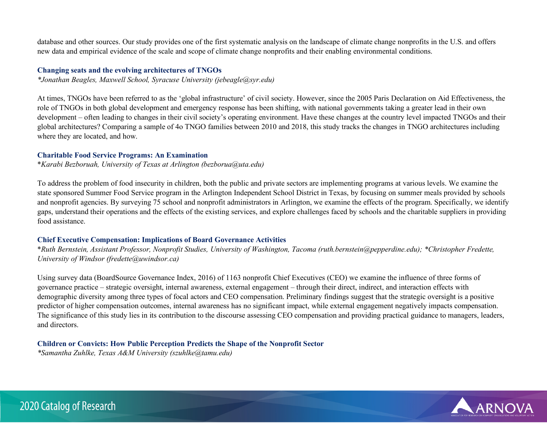database and other sources. Our study provides one of the first systematic analysis on the landscape of climate change nonprofits in the U.S. and offers new data and empirical evidence of the scale and scope of climate change nonprofits and their enabling environmental conditions.

#### **Changing seats and the evolving architectures of TNGOs**

*\*Jonathan Beagles, Maxwell School, Syracuse University (jebeagle@syr.edu)*

At times, TNGOs have been referred to as the 'global infrastructure' of civil society. However, since the 2005 Paris Declaration on Aid Effectiveness, the role of TNGOs in both global development and emergency response has been shifting, with national governments taking a greater lead in their own development – often leading to changes in their civil society's operating environment. Have these changes at the country level impacted TNGOs and their global architectures? Comparing a sample of 4o TNGO families between 2010 and 2018, this study tracks the changes in TNGO architectures including where they are located, and how.

#### **Charitable Food Service Programs: An Examination**

\**Karabi Bezboruah, University of Texas at Arlington (bezborua@uta.edu)*

To address the problem of food insecurity in children, both the public and private sectors are implementing programs at various levels. We examine the state sponsored Summer Food Service program in the Arlington Independent School District in Texas, by focusing on summer meals provided by schools and nonprofit agencies. By surveying 75 school and nonprofit administrators in Arlington, we examine the effects of the program. Specifically, we identify gaps, understand their operations and the effects of the existing services, and explore challenges faced by schools and the charitable suppliers in providing food assistance.

#### **Chief Executive Compensation: Implications of Board Governance Activities**

\**Ruth Bernstein, Assistant Professor, Nonprofit Studies, University of Washington, Tacoma (ruth.bernstein@pepperdine.edu); \*Christopher Fredette, University of Windsor (fredette@uwindsor.ca)*

Using survey data (BoardSource Governance Index, 2016) of 1163 nonprofit Chief Executives (CEO) we examine the influence of three forms of governance practice – strategic oversight, internal awareness, external engagement – through their direct, indirect, and interaction effects with demographic diversity among three types of focal actors and CEO compensation. Preliminary findings suggest that the strategic oversight is a positive predictor of higher compensation outcomes, internal awareness has no significant impact, while external engagement negatively impacts compensation. The significance of this study lies in its contribution to the discourse assessing CEO compensation and providing practical guidance to managers, leaders, and directors.

**Children or Convicts: How Public Perception Predicts the Shape of the Nonprofit Sector** *\*Samantha Zuhlke, Texas A&M University (szuhlke@tamu.edu)*

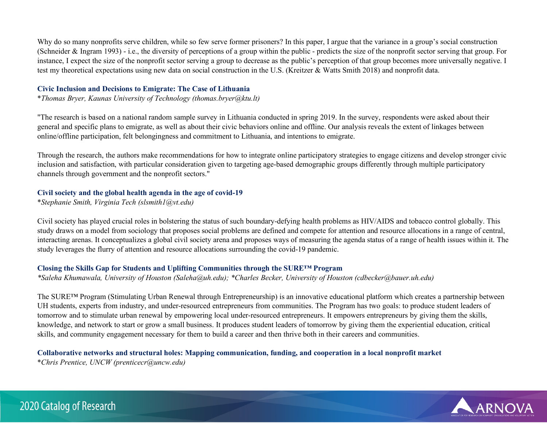Why do so many nonprofits serve children, while so few serve former prisoners? In this paper, I argue that the variance in a group's social construction (Schneider & Ingram 1993) - i.e., the diversity of perceptions of a group within the public - predicts the size of the nonprofit sector serving that group. For instance, I expect the size of the nonprofit sector serving a group to decrease as the public's perception of that group becomes more universally negative. I test my theoretical expectations using new data on social construction in the U.S. (Kreitzer & Watts Smith 2018) and nonprofit data.

#### **Civic Inclusion and Decisions to Emigrate: The Case of Lithuania**

\**Thomas Bryer, Kaunas University of Technology (thomas.bryer@ktu.lt)*

"The research is based on a national random sample survey in Lithuania conducted in spring 2019. In the survey, respondents were asked about their general and specific plans to emigrate, as well as about their civic behaviors online and offline. Our analysis reveals the extent of linkages between online/offline participation, felt belongingness and commitment to Lithuania, and intentions to emigrate.

Through the research, the authors make recommendations for how to integrate online participatory strategies to engage citizens and develop stronger civic inclusion and satisfaction, with particular consideration given to targeting age-based demographic groups differently through multiple participatory channels through government and the nonprofit sectors."

## **Civil society and the global health agenda in the age of covid-19**

\**Stephanie Smith, Virginia Tech (slsmith1@vt.edu)*

Civil society has played crucial roles in bolstering the status of such boundary-defying health problems as HIV/AIDS and tobacco control globally. This study draws on a model from sociology that proposes social problems are defined and compete for attention and resource allocations in a range of central, interacting arenas. It conceptualizes a global civil society arena and proposes ways of measuring the agenda status of a range of health issues within it. The study leverages the flurry of attention and resource allocations surrounding the covid-19 pandemic.

## **Closing the Skills Gap for Students and Uplifting Communities through the SURE™ Program**

*\*Saleha Khumawala, University of Houston (Saleha@uh.edu); \*Charles Becker, University of Houston (cdbecker@bauer.uh.edu)*

The SURE™ Program (Stimulating Urban Renewal through Entrepreneurship) is an innovative educational platform which creates a partnership between UH students, experts from industry, and under-resourced entrepreneurs from communities. The Program has two goals: to produce student leaders of tomorrow and to stimulate urban renewal by empowering local under-resourced entrepreneurs. It empowers entrepreneurs by giving them the skills, knowledge, and network to start or grow a small business. It produces student leaders of tomorrow by giving them the experiential education, critical skills, and community engagement necessary for them to build a career and then thrive both in their careers and communities.

## **Collaborative networks and structural holes: Mapping communication, funding, and cooperation in a local nonprofit market**

\**Chris Prentice, UNCW (prenticecr@uncw.edu)*

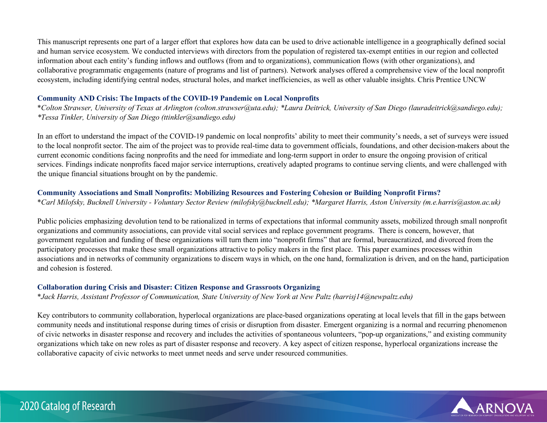This manuscript represents one part of a larger effort that explores how data can be used to drive actionable intelligence in a geographically defined social and human service ecosystem. We conducted interviews with directors from the population of registered tax-exempt entities in our region and collected information about each entity's funding inflows and outflows (from and to organizations), communication flows (with other organizations), and collaborative programmatic engagements (nature of programs and list of partners). Network analyses offered a comprehensive view of the local nonprofit ecosystem, including identifying central nodes, structural holes, and market inefficiencies, as well as other valuable insights. Chris Prentice UNCW

## **Community AND Crisis: The Impacts of the COVID-19 Pandemic on Local Nonprofits**

\**Colton Strawser, University of Texas at Arlington (colton.strawser@uta.edu); \*Laura Deitrick, University of San Diego (lauradeitrick@sandiego.edu); \*Tessa Tinkler, University of San Diego (ttinkler@sandiego.edu)*

In an effort to understand the impact of the COVID-19 pandemic on local nonprofits' ability to meet their community's needs, a set of surveys were issued to the local nonprofit sector. The aim of the project was to provide real-time data to government officials, foundations, and other decision-makers about the current economic conditions facing nonprofits and the need for immediate and long-term support in order to ensure the ongoing provision of critical services. Findings indicate nonprofits faced major service interruptions, creatively adapted programs to continue serving clients, and were challenged with the unique financial situations brought on by the pandemic.

## **Community Associations and Small Nonprofits: Mobilizing Resources and Fostering Cohesion or Building Nonprofit Firms?**

\**Carl Milofsky, Bucknell University - Voluntary Sector Review (milofsky@bucknell.edu); \*Margaret Harris, Aston University (m.e.harris@aston.ac.uk)*

Public policies emphasizing devolution tend to be rationalized in terms of expectations that informal community assets, mobilized through small nonprofit organizations and community associations, can provide vital social services and replace government programs. There is concern, however, that government regulation and funding of these organizations will turn them into "nonprofit firms" that are formal, bureaucratized, and divorced from the participatory processes that make these small organizations attractive to policy makers in the first place. This paper examines processes within associations and in networks of community organizations to discern ways in which, on the one hand, formalization is driven, and on the hand, participation and cohesion is fostered.

#### **Collaboration during Crisis and Disaster: Citizen Response and Grassroots Organizing**

\**Jack Harris, Assistant Professor of Communication, State University of New York at New Paltz (harrisj14@newpaltz.edu)*

Key contributors to community collaboration, hyperlocal organizations are place-based organizations operating at local levels that fill in the gaps between community needs and institutional response during times of crisis or disruption from disaster. Emergent organizing is a normal and recurring phenomenon of civic networks in disaster response and recovery and includes the activities of spontaneous volunteers, "pop-up organizations," and existing community organizations which take on new roles as part of disaster response and recovery. A key aspect of citizen response, hyperlocal organizations increase the collaborative capacity of civic networks to meet unmet needs and serve under resourced communities.

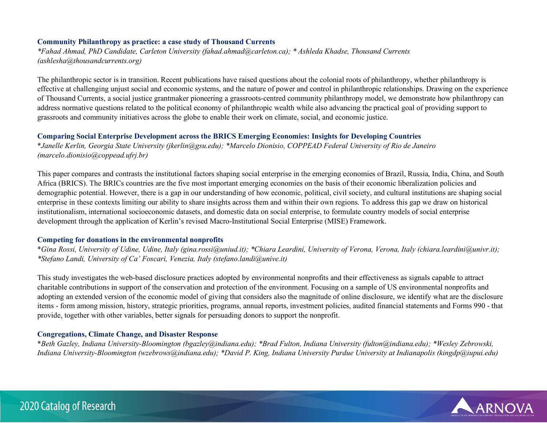#### **Community Philanthropy as practice: a case study of Thousand Currents**

*\*Fahad Ahmad, PhD Candidate, Carleton University (fahad.ahmad@carleton.ca); \* Ashleda Khadse, Thousand Currents (ashlesha@thousandcurrents.org)*

The philanthropic sector is in transition. Recent publications have raised questions about the colonial roots of philanthropy, whether philanthropy is effective at challenging unjust social and economic systems, and the nature of power and control in philanthropic relationships. Drawing on the experience of Thousand Currents, a social justice grantmaker pioneering a grassroots-centred community philanthropy model, we demonstrate how philanthropy can address normative questions related to the political economy of philanthropic wealth while also advancing the practical goal of providing support to grassroots and community initiatives across the globe to enable their work on climate, social, and economic justice.

#### **Comparing Social Enterprise Development across the BRICS Emerging Economies: Insights for Developing Countries**

\**Janelle Kerlin, Georgia State University (jkerlin@gsu.edu); \*Marcelo Dionisio, COPPEAD Federal University of Rio de Janeiro (marcelo.dionisio@coppead.ufrj.br)*

This paper compares and contrasts the institutional factors shaping social enterprise in the emerging economies of Brazil, Russia, India, China, and South Africa (BRICS). The BRICs countries are the five most important emerging economies on the basis of their economic liberalization policies and demographic potential. However, there is a gap in our understanding of how economic, political, civil society, and cultural institutions are shaping social enterprise in these contexts limiting our ability to share insights across them and within their own regions. To address this gap we draw on historical institutionalism, international socioeconomic datasets, and domestic data on social enterprise, to formulate country models of social enterprise development through the application of Kerlin's revised Macro-Institutional Social Enterprise (MISE) Framework.

#### **Competing for donations in the environmental nonprofits**

\**Gina Rossi, University of Udine, Udine, Italy (gina.rossi@uniud.it); \*Chiara Leardini, University of Verona, Verona, Italy (chiara.leardini@univr.it); \*Stefano Landi, University of Ca' Foscari, Venezia, Italy (stefano.landi@unive.it)*

This study investigates the web-based disclosure practices adopted by environmental nonprofits and their effectiveness as signals capable to attract charitable contributions in support of the conservation and protection of the environment. Focusing on a sample of US environmental nonprofits and adopting an extended version of the economic model of giving that considers also the magnitude of online disclosure, we identify what are the disclosure items - form among mission, history, strategic priorities, programs, annual reports, investment policies, audited financial statements and Forms 990 - that provide, together with other variables, better signals for persuading donors to support the nonprofit.

#### **Congregations, Climate Change, and Disaster Response**

\**Beth Gazley, Indiana University-Bloomington (bgazley@indiana.edu); \*Brad Fulton, Indiana University (fulton@indiana.edu); \*Wesley Zebrowski, Indiana University-Bloomington (wzebrows@indiana.edu); \*David P. King, Indiana University Purdue University at Indianapolis (kingdp@iupui.edu)*

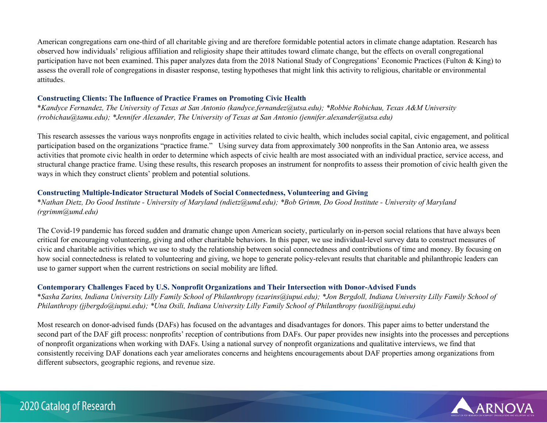American congregations earn one-third of all charitable giving and are therefore formidable potential actors in climate change adaptation. Research has observed how individuals' religious affiliation and religiosity shape their attitudes toward climate change, but the effects on overall congregational participation have not been examined. This paper analyzes data from the 2018 National Study of Congregations' Economic Practices (Fulton & King) to assess the overall role of congregations in disaster response, testing hypotheses that might link this activity to religious, charitable or environmental attitudes.

## **Constructing Clients: The Influence of Practice Frames on Promoting Civic Health**

\**Kandyce Fernandez, The University of Texas at San Antonio (kandyce.fernandez@utsa.edu); \*Robbie Robichau, Texas A&M University (rrobichau@tamu.edu); \*Jennifer Alexander, The University of Texas at San Antonio (jennifer.alexander@utsa.edu)*

This research assesses the various ways nonprofits engage in activities related to civic health, which includes social capital, civic engagement, and political participation based on the organizations "practice frame." Using survey data from approximately 300 nonprofits in the San Antonio area, we assess activities that promote civic health in order to determine which aspects of civic health are most associated with an individual practice, service access, and structural change practice frame. Using these results, this research proposes an instrument for nonprofits to assess their promotion of civic health given the ways in which they construct clients' problem and potential solutions.

## **Constructing Multiple-Indicator Structural Models of Social Connectedness, Volunteering and Giving**

\**Nathan Dietz, Do Good Institute - University of Maryland (ndietz@umd.edu); \*Bob Grimm, Do Good Institute - University of Maryland (rgrimm@umd.edu)*

The Covid-19 pandemic has forced sudden and dramatic change upon American society, particularly on in-person social relations that have always been critical for encouraging volunteering, giving and other charitable behaviors. In this paper, we use individual-level survey data to construct measures of civic and charitable activities which we use to study the relationship between social connectedness and contributions of time and money. By focusing on how social connectedness is related to volunteering and giving, we hope to generate policy-relevant results that charitable and philanthropic leaders can use to garner support when the current restrictions on social mobility are lifted.

## **Contemporary Challenges Faced by U.S. Nonprofit Organizations and Their Intersection with Donor‐Advised Funds**

\**Sasha Zarins, Indiana University Lilly Family School of Philanthropy (szarins@iupui.edu); \*Jon Bergdoll, Indiana University Lilly Family School of Philanthropy (jjbergdo@iupui.edu); \*Una Osili, Indiana University Lilly Family School of Philanthropy (uosili@iupui.edu)*

Most research on donor-advised funds (DAFs) has focused on the advantages and disadvantages for donors. This paper aims to better understand the second part of the DAF gift process: nonprofits' reception of contributions from DAFs. Our paper provides new insights into the processes and perceptions of nonprofit organizations when working with DAFs. Using a national survey of nonprofit organizations and qualitative interviews, we find that consistently receiving DAF donations each year ameliorates concerns and heightens encouragements about DAF properties among organizations from different subsectors, geographic regions, and revenue size.



# 2020 Catalog of Research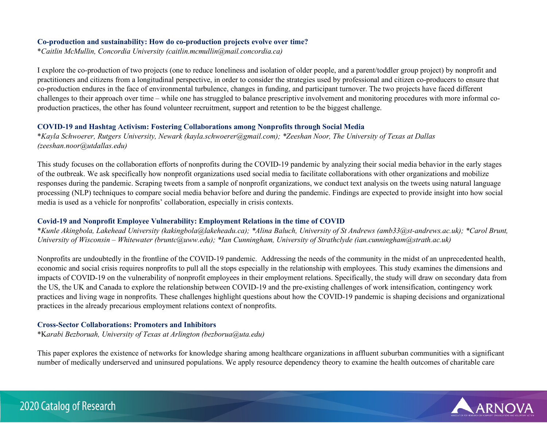#### **Co-production and sustainability: How do co-production projects evolve over time?**

\**Caitlin McMullin, Concordia University (caitlin.mcmullin@mail.concordia.ca)*

I explore the co-production of two projects (one to reduce loneliness and isolation of older people, and a parent/toddler group project) by nonprofit and practitioners and citizens from a longitudinal perspective, in order to consider the strategies used by professional and citizen co-producers to ensure that co-production endures in the face of environmental turbulence, changes in funding, and participant turnover. The two projects have faced different challenges to their approach over time – while one has struggled to balance prescriptive involvement and monitoring procedures with more informal coproduction practices, the other has found volunteer recruitment, support and retention to be the biggest challenge.

## **COVID-19 and Hashtag Activism: Fostering Collaborations among Nonprofits through Social Media**

\**Kayla Schwoerer, Rutgers University, Newark (kayla.schwoerer@gmail.com); \*Zeeshan Noor, The University of Texas at Dallas (zeeshan.noor@utdallas.edu)*

This study focuses on the collaboration efforts of nonprofits during the COVID-19 pandemic by analyzing their social media behavior in the early stages of the outbreak. We ask specifically how nonprofit organizations used social media to facilitate collaborations with other organizations and mobilize responses during the pandemic. Scraping tweets from a sample of nonprofit organizations, we conduct text analysis on the tweets using natural language processing (NLP) techniques to compare social media behavior before and during the pandemic. Findings are expected to provide insight into how social media is used as a vehicle for nonprofits' collaboration, especially in crisis contexts.

## **Covid-19 and Nonprofit Employee Vulnerability: Employment Relations in the time of COVID**

\**Kunle Akingbola, Lakehead University (kakingbola@lakeheadu.ca); \*Alina Baluch, University of St Andrews (amb33@st-andrews.ac.uk); \*Carol Brunt, University of Wisconsin – Whitewater (bruntc@uww.edu); \*Ian Cunningham, University of Strathclyde (ian.cunningham@strath.ac.uk)*

Nonprofits are undoubtedly in the frontline of the COVID-19 pandemic. Addressing the needs of the community in the midst of an unprecedented health, economic and social crisis requires nonprofits to pull all the stops especially in the relationship with employees. This study examines the dimensions and impacts of COVID-19 on the vulnerability of nonprofit employees in their employment relations. Specifically, the study will draw on secondary data from the US, the UK and Canada to explore the relationship between COVID-19 and the pre-existing challenges of work intensification, contingency work practices and living wage in nonprofits. These challenges highlight questions about how the COVID-19 pandemic is shaping decisions and organizational practices in the already precarious employment relations context of nonprofits.

## **Cross-Sector Collaborations: Promoters and Inhibitors**

\*K*arabi Bezboruah, University of Texas at Arlington (bezborua@uta.edu)*

This paper explores the existence of networks for knowledge sharing among healthcare organizations in affluent suburban communities with a significant number of medically underserved and uninsured populations. We apply resource dependency theory to examine the health outcomes of charitable care

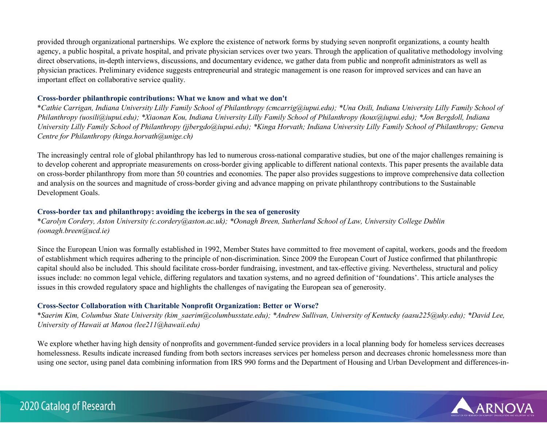provided through organizational partnerships. We explore the existence of network forms by studying seven nonprofit organizations, a county health agency, a public hospital, a private hospital, and private physician services over two years. Through the application of qualitative methodology involving direct observations, in-depth interviews, discussions, and documentary evidence, we gather data from public and nonprofit administrators as well as physician practices. Preliminary evidence suggests entrepreneurial and strategic management is one reason for improved services and can have an important effect on collaborative service quality.

## **Cross-border philanthropic contributions: What we know and what we don't**

\**Cathie Carrigan, Indiana University Lilly Family School of Philanthropy (cmcarrig@iupui.edu); \*Una Osili, Indiana University Lilly Family School of Philanthropy (uosili@iupui.edu); \*Xiaonan Kou, Indiana University Lilly Family School of Philanthropy (koux@iupui.edu); \*Jon Bergdoll, Indiana University Lilly Family School of Philanthropy (jjbergdo@iupui.edu); \*Kinga Horvath; Indiana University Lilly Family School of Philanthropy; Geneva Centre for Philanthropy (kinga.horvath@unige.ch)*

The increasingly central role of global philanthropy has led to numerous cross-national comparative studies, but one of the major challenges remaining is to develop coherent and appropriate measurements on cross-border giving applicable to different national contexts. This paper presents the available data on cross-border philanthropy from more than 50 countries and economies. The paper also provides suggestions to improve comprehensive data collection and analysis on the sources and magnitude of cross-border giving and advance mapping on private philanthropy contributions to the Sustainable Development Goals.

## **Cross-border tax and philanthropy: avoiding the icebergs in the sea of generosity**

\**Carolyn Cordery, Aston University (c.cordery@aston.ac.uk); \*Oonagh Breen, Sutherland School of Law, University College Dublin (oonagh.breen@ucd.ie)*

Since the European Union was formally established in 1992, Member States have committed to free movement of capital, workers, goods and the freedom of establishment which requires adhering to the principle of non-discrimination. Since 2009 the European Court of Justice confirmed that philanthropic capital should also be included. This should facilitate cross-border fundraising, investment, and tax-effective giving. Nevertheless, structural and policy issues include: no common legal vehicle, differing regulators and taxation systems, and no agreed definition of 'foundations'. This article analyses the issues in this crowded regulatory space and highlights the challenges of navigating the European sea of generosity.

## **Cross-Sector Collaboration with Charitable Nonprofit Organization: Better or Worse?**

\**Saerim Kim, Columbus State University (kim\_saerim@columbusstate.edu); \*Andrew Sullivan, University of Kentucky (aasu225@uky.edu); \*David Lee, University of Hawaii at Manoa (lee211@hawaii.edu)*

We explore whether having high density of nonprofits and government-funded service providers in a local planning body for homeless services decreases homelessness. Results indicate increased funding from both sectors increases services per homeless person and decreases chronic homelessness more than using one sector, using panel data combining information from IRS 990 forms and the Department of Housing and Urban Development and differences-in-

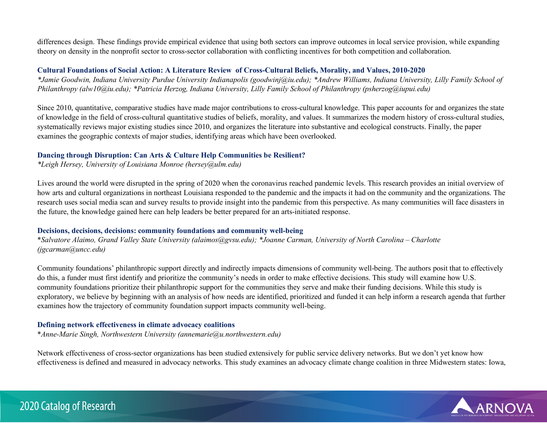differences design. These findings provide empirical evidence that using both sectors can improve outcomes in local service provision, while expanding theory on density in the nonprofit sector to cross-sector collaboration with conflicting incentives for both competition and collaboration.

## **Cultural Foundations of Social Action: A Literature Review of Cross-Cultural Beliefs, Morality, and Values, 2010-2020**

*\*Jamie Goodwin, Indiana University Purdue University Indianapolis (goodwinj@iu.edu); \*Andrew Williams, Indiana University, Lilly Family School of Philanthropy (alw10@iu.edu); \*Patricia Herzog, Indiana University, Lilly Family School of Philanthropy (psherzog@iupui.edu)* 

Since 2010, quantitative, comparative studies have made major contributions to cross-cultural knowledge. This paper accounts for and organizes the state of knowledge in the field of cross-cultural quantitative studies of beliefs, morality, and values. It summarizes the modern history of cross-cultural studies, systematically reviews major existing studies since 2010, and organizes the literature into substantive and ecological constructs. Finally, the paper examines the geographic contexts of major studies, identifying areas which have been overlooked.

## **Dancing through Disruption: Can Arts & Culture Help Communities be Resilient?**

*\*Leigh Hersey, University of Louisiana Monroe (hersey@ulm.edu)*

Lives around the world were disrupted in the spring of 2020 when the coronavirus reached pandemic levels. This research provides an initial overview of how arts and cultural organizations in northeast Louisiana responded to the pandemic and the impacts it had on the community and the organizations. The research uses social media scan and survey results to provide insight into the pandemic from this perspective. As many communities will face disasters in the future, the knowledge gained here can help leaders be better prepared for an arts-initiated response.

## **Decisions, decisions, decisions: community foundations and community well-being**

\**Salvatore Alaimo, Grand Valley State University (alaimos@gvsu.edu); \*Joanne Carman, University of North Carolina – Charlotte (jgcarman@uncc.edu)*

Community foundations' philanthropic support directly and indirectly impacts dimensions of community well-being. The authors posit that to effectively do this, a funder must first identify and prioritize the community's needs in order to make effective decisions. This study will examine how U.S. community foundations prioritize their philanthropic support for the communities they serve and make their funding decisions. While this study is exploratory, we believe by beginning with an analysis of how needs are identified, prioritized and funded it can help inform a research agenda that further examines how the trajectory of community foundation support impacts community well-being.

## **Defining network effectiveness in climate advocacy coalitions**

\**Anne-Marie Singh, Northwestern University (annemarie@u.northwestern.edu)*

Network effectiveness of cross-sector organizations has been studied extensively for public service delivery networks. But we don't yet know how effectiveness is defined and measured in advocacy networks. This study examines an advocacy climate change coalition in three Midwestern states: Iowa,

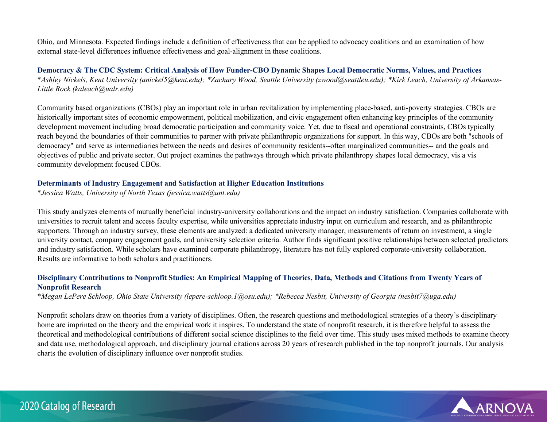Ohio, and Minnesota. Expected findings include a definition of effectiveness that can be applied to advocacy coalitions and an examination of how external state-level differences influence effectiveness and goal-alignment in these coalitions.

**Democracy & The CDC System: Critical Analysis of How Funder-CBO Dynamic Shapes Local Democratic Norms, Values, and Practices**  \**Ashley Nickels, Kent University (anickel5@kent.edu); \*Zachary Wood, Seattle University (zwood@seattleu.edu); \*Kirk Leach, University of Arkansas-Little Rock (kaleach@ualr.edu)*

Community based organizations (CBOs) play an important role in urban revitalization by implementing place-based, anti-poverty strategies. CBOs are historically important sites of economic empowerment, political mobilization, and civic engagement often enhancing key principles of the community development movement including broad democratic participation and community voice. Yet, due to fiscal and operational constraints, CBOs typically reach beyond the boundaries of their communities to partner with private philanthropic organizations for support. In this way, CBOs are both "schools of democracy" and serve as intermediaries between the needs and desires of community residents--often marginalized communities-- and the goals and objectives of public and private sector. Out project examines the pathways through which private philanthropy shapes local democracy, vis a vis community development focused CBOs.

#### **Determinants of Industry Engagement and Satisfaction at Higher Education Institutions**

\**Jessica Watts, University of North Texas (jessica.watts@unt.edu)*

This study analyzes elements of mutually beneficial industry-university collaborations and the impact on industry satisfaction. Companies collaborate with universities to recruit talent and access faculty expertise, while universities appreciate industry input on curriculum and research, and as philanthropic supporters. Through an industry survey, these elements are analyzed: a dedicated university manager, measurements of return on investment, a single university contact, company engagement goals, and university selection criteria. Author finds significant positive relationships between selected predictors and industry satisfaction. While scholars have examined corporate philanthropy, literature has not fully explored corporate-university collaboration. Results are informative to both scholars and practitioners.

## **Disciplinary Contributions to Nonprofit Studies: An Empirical Mapping of Theories, Data, Methods and Citations from Twenty Years of Nonprofit Research**

\**Megan LePere Schloop, Ohio State University (lepere-schloop.1@osu.edu); \*Rebecca Nesbit, University of Georgia (nesbit7@uga.edu)*

Nonprofit scholars draw on theories from a variety of disciplines. Often, the research questions and methodological strategies of a theory's disciplinary home are imprinted on the theory and the empirical work it inspires. To understand the state of nonprofit research, it is therefore helpful to assess the theoretical and methodological contributions of different social science disciplines to the field over time. This study uses mixed methods to examine theory and data use, methodological approach, and disciplinary journal citations across 20 years of research published in the top nonprofit journals. Our analysis charts the evolution of disciplinary influence over nonprofit studies.

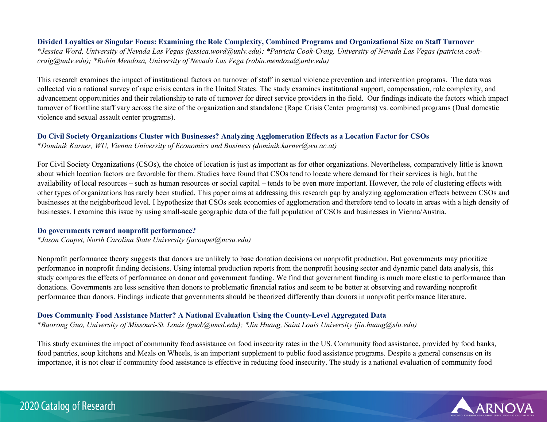#### **Divided Loyalties or Singular Focus: Examining the Role Complexity, Combined Programs and Organizational Size on Staff Turnover**

\**Jessica Word, University of Nevada Las Vegas (jessica.word@unlv.edu); \*Patricia Cook-Craig, University of Nevada Las Vegas (patricia.cookcraig@unlv.edu); \*Robin Mendoza, University of Nevada Las Vega (robin.mendoza@unlv.edu)*

This research examines the impact of institutional factors on turnover of staff in sexual violence prevention and intervention programs. The data was collected via a national survey of rape crisis centers in the United States. The study examines institutional support, compensation, role complexity, and advancement opportunities and their relationship to rate of turnover for direct service providers in the field. Our findings indicate the factors which impact turnover of frontline staff vary across the size of the organization and standalone (Rape Crisis Center programs) vs. combined programs (Dual domestic violence and sexual assault center programs).

#### **Do Civil Society Organizations Cluster with Businesses? Analyzing Agglomeration Effects as a Location Factor for CSOs**

\**Dominik Karner, WU, Vienna University of Economics and Business (dominik.karner@wu.ac.at)*

For Civil Society Organizations (CSOs), the choice of location is just as important as for other organizations. Nevertheless, comparatively little is known about which location factors are favorable for them. Studies have found that CSOs tend to locate where demand for their services is high, but the availability of local resources – such as human resources or social capital – tends to be even more important. However, the role of clustering effects with other types of organizations has rarely been studied. This paper aims at addressing this research gap by analyzing agglomeration effects between CSOs and businesses at the neighborhood level. I hypothesize that CSOs seek economies of agglomeration and therefore tend to locate in areas with a high density of businesses. I examine this issue by using small-scale geographic data of the full population of CSOs and businesses in Vienna/Austria.

#### **Do governments reward nonprofit performance?**

\**Jason Coupet, North Carolina State University (jacoupet@ncsu.edu)*

Nonprofit performance theory suggests that donors are unlikely to base donation decisions on nonprofit production. But governments may prioritize performance in nonprofit funding decisions. Using internal production reports from the nonprofit housing sector and dynamic panel data analysis, this study compares the effects of performance on donor and government funding. We find that government funding is much more elastic to performance than donations. Governments are less sensitive than donors to problematic financial ratios and seem to be better at observing and rewarding nonprofit performance than donors. Findings indicate that governments should be theorized differently than donors in nonprofit performance literature.

## **Does Community Food Assistance Matter? A National Evaluation Using the County-Level Aggregated Data**

\**Baorong Guo, University of Missouri-St. Louis (guob@umsl.edu); \*Jin Huang, Saint Louis University (jin.huang@slu.edu)*

This study examines the impact of community food assistance on food insecurity rates in the US. Community food assistance, provided by food banks, food pantries, soup kitchens and Meals on Wheels, is an important supplement to public food assistance programs. Despite a general consensus on its importance, it is not clear if community food assistance is effective in reducing food insecurity. The study is a national evaluation of community food

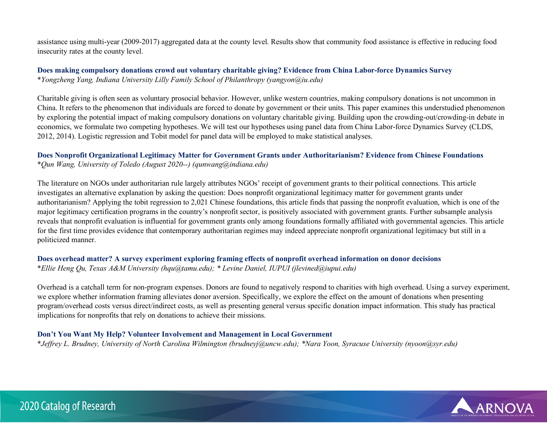assistance using multi-year (2009-2017) aggregated data at the county level. Results show that community food assistance is effective in reducing food insecurity rates at the county level.

## **Does making compulsory donations crowd out voluntary charitable giving? Evidence from China Labor-force Dynamics Survey**  \**Yongzheng Yang, Indiana University Lilly Family School of Philanthropy (yangyon@iu.edu)*

Charitable giving is often seen as voluntary prosocial behavior. However, unlike western countries, making compulsory donations is not uncommon in China. It refers to the phenomenon that individuals are forced to donate by government or their units. This paper examines this understudied phenomenon by exploring the potential impact of making compulsory donations on voluntary charitable giving. Building upon the crowding-out/crowding-in debate in economics, we formulate two competing hypotheses. We will test our hypotheses using panel data from China Labor-force Dynamics Survey (CLDS, 2012, 2014). Logistic regression and Tobit model for panel data will be employed to make statistical analyses.

## **Does Nonprofit Organizational Legitimacy Matter for Government Grants under Authoritarianism? Evidence from Chinese Foundations**  \**Qun Wang, University of Toledo (August 2020--) (qunwang@indiana.edu)*

The literature on NGOs under authoritarian rule largely attributes NGOs' receipt of government grants to their political connections. This article investigates an alternative explanation by asking the question: Does nonprofit organizational legitimacy matter for government grants under authoritarianism? Applying the tobit regression to 2,021 Chinese foundations, this article finds that passing the nonprofit evaluation, which is one of the major legitimacy certification programs in the country's nonprofit sector, is positively associated with government grants. Further subsample analysis reveals that nonprofit evaluation is influential for government grants only among foundations formally affiliated with governmental agencies. This article for the first time provides evidence that contemporary authoritarian regimes may indeed appreciate nonprofit organizational legitimacy but still in a politicized manner.

## **Does overhead matter? A survey experiment exploring framing effects of nonprofit overhead information on donor decisions** \**Ellie Heng Qu, Texas A&M University (hqu@tamu.edu); \* Levine Daniel, IUPUI (jlevined@iupui.edu)*

Overhead is a catchall term for non-program expenses. Donors are found to negatively respond to charities with high overhead. Using a survey experiment, we explore whether information framing alleviates donor aversion. Specifically, we explore the effect on the amount of donations when presenting program/overhead costs versus direct/indirect costs, as well as presenting general versus specific donation impact information. This study has practical implications for nonprofits that rely on donations to achieve their missions.

## **Don't You Want My Help? Volunteer Involvement and Management in Local Government**

\**Jeffrey L. Brudney, University of North Carolina Wilmington (brudneyj@uncw.edu); \*Nara Yoon, Syracuse University (nyoon@syr.edu)*

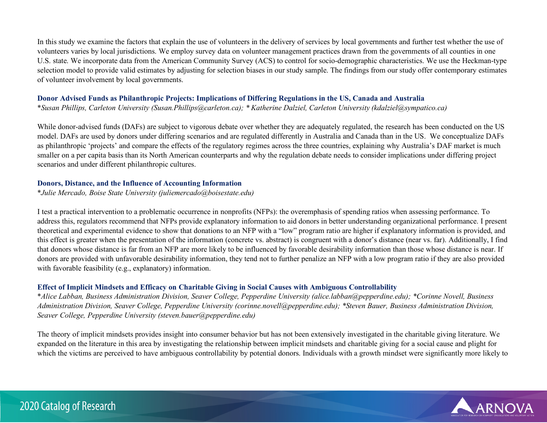In this study we examine the factors that explain the use of volunteers in the delivery of services by local governments and further test whether the use of volunteers varies by local jurisdictions. We employ survey data on volunteer management practices drawn from the governments of all counties in one U.S. state. We incorporate data from the American Community Survey (ACS) to control for socio-demographic characteristics. We use the Heckman-type selection model to provide valid estimates by adjusting for selection biases in our study sample. The findings from our study offer contemporary estimates of volunteer involvement by local governments.

#### **Donor Advised Funds as Philanthropic Projects: Implications of Differing Regulations in the US, Canada and Australia**

\**Susan Phillips, Carleton University (Susan.Phillips@carleton.ca); \* Katherine Dalziel, Carleton University (kdalziel@sympatico.ca)*

While donor-advised funds (DAFs) are subject to vigorous debate over whether they are adequately regulated, the research has been conducted on the US model. DAFs are used by donors under differing scenarios and are regulated differently in Australia and Canada than in the US. We conceptualize DAFs as philanthropic 'projects' and compare the effects of the regulatory regimes across the three countries, explaining why Australia's DAF market is much smaller on a per capita basis than its North American counterparts and why the regulation debate needs to consider implications under differing project scenarios and under different philanthropic cultures.

## **Donors, Distance, and the Influence of Accounting Information**

\**Julie Mercado, Boise State University (juliemercado@boisestate.edu)*

I test a practical intervention to a problematic occurrence in nonprofits (NFPs): the overemphasis of spending ratios when assessing performance. To address this, regulators recommend that NFPs provide explanatory information to aid donors in better understanding organizational performance. I present theoretical and experimental evidence to show that donations to an NFP with a "low" program ratio are higher if explanatory information is provided, and this effect is greater when the presentation of the information (concrete vs. abstract) is congruent with a donor's distance (near vs. far). Additionally, I find that donors whose distance is far from an NFP are more likely to be influenced by favorable desirability information than those whose distance is near. If donors are provided with unfavorable desirability information, they tend not to further penalize an NFP with a low program ratio if they are also provided with favorable feasibility (e.g., explanatory) information.

## **Effect of Implicit Mindsets and Efficacy on Charitable Giving in Social Causes with Ambiguous Controllability**

\**Alice Labban, Business Administration Division, Seaver College, Pepperdine University (alice.labban@pepperdine.edu); \*Corinne Novell, Business Administration Division, Seaver College, Pepperdine University (corinne.novell@pepperdine.edu); \*Steven Bauer, Business Administration Division, Seaver College, Pepperdine University (steven.bauer@pepperdine.edu)*

The theory of implicit mindsets provides insight into consumer behavior but has not been extensively investigated in the charitable giving literature. We expanded on the literature in this area by investigating the relationship between implicit mindsets and charitable giving for a social cause and plight for which the victims are perceived to have ambiguous controllability by potential donors. Individuals with a growth mindset were significantly more likely to

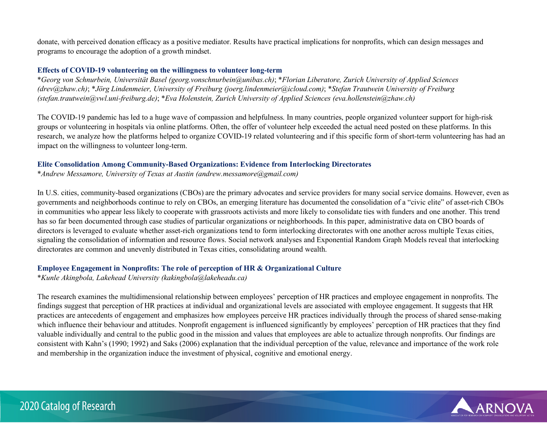donate, with perceived donation efficacy as a positive mediator. Results have practical implications for nonprofits, which can design messages and programs to encourage the adoption of a growth mindset.

#### **Effects of COVID-19 volunteering on the willingness to volunteer long-term**

\**Georg von Schnurbein, Universität Basel (georg.vonschnurbein@unibas.ch)*; \**Florian Liberatore, Zurich University of Applied Sciences (drev@zhaw.ch)*; \**Jörg Lindenmeier, University of Freiburg (joerg.lindenmeier@icloud.com)*; \**Stefan Trautwein University of Freiburg (stefan.trautwein@vwl.uni-freiburg.de)*; \**Eva Holenstein, Zurich University of Applied Sciences (eva.hollenstein@zhaw.ch)*

The COVID-19 pandemic has led to a huge wave of compassion and helpfulness. In many countries, people organized volunteer support for high-risk groups or volunteering in hospitals via online platforms. Often, the offer of volunteer help exceeded the actual need posted on these platforms. In this research, we analyze how the platforms helped to organize COVID-19 related volunteering and if this specific form of short-term volunteering has had an impact on the willingness to volunteer long-term.

## **Elite Consolidation Among Community-Based Organizations: Evidence from Interlocking Directorates**

\**Andrew Messamore, University of Texas at Austin (andrew.messamore@gmail.com)*

In U.S. cities, community-based organizations (CBOs) are the primary advocates and service providers for many social service domains. However, even as governments and neighborhoods continue to rely on CBOs, an emerging literature has documented the consolidation of a "civic elite" of asset-rich CBOs in communities who appear less likely to cooperate with grassroots activists and more likely to consolidate ties with funders and one another. This trend has so far been documented through case studies of particular organizations or neighborhoods. In this paper, administrative data on CBO boards of directors is leveraged to evaluate whether asset-rich organizations tend to form interlocking directorates with one another across multiple Texas cities, signaling the consolidation of information and resource flows. Social network analyses and Exponential Random Graph Models reveal that interlocking directorates are common and unevenly distributed in Texas cities, consolidating around wealth.

## **Employee Engagement in Nonprofits: The role of perception of HR & Organizational Culture**

\**Kunle Akingbola, Lakehead University (kakingbola@lakeheadu.ca)*

The research examines the multidimensional relationship between employees' perception of HR practices and employee engagement in nonprofits. The findings suggest that perception of HR practices at individual and organizational levels are associated with employee engagement. It suggests that HR practices are antecedents of engagement and emphasizes how employees perceive HR practices individually through the process of shared sense-making which influence their behaviour and attitudes. Nonprofit engagement is influenced significantly by employees' perception of HR practices that they find valuable individually and central to the public good in the mission and values that employees are able to actualize through nonprofits. Our findings are consistent with Kahn's (1990; 1992) and Saks (2006) explanation that the individual perception of the value, relevance and importance of the work role and membership in the organization induce the investment of physical, cognitive and emotional energy.

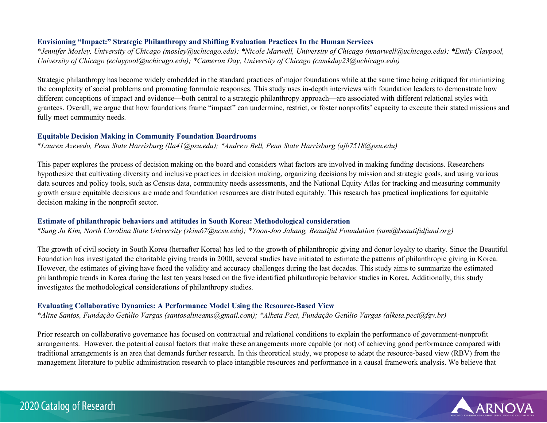## **Envisioning "Impact:" Strategic Philanthropy and Shifting Evaluation Practices In the Human Services**

\**Jennifer Mosley, University of Chicago (mosley@uchicago.edu); \*Nicole Marwell, University of Chicago (nmarwell@uchicago.edu); \*Emily Claypool, University of Chicago (eclaypool@uchicago.edu); \*Cameron Day, University of Chicago (camkday23@uchicago.edu)*

Strategic philanthropy has become widely embedded in the standard practices of major foundations while at the same time being critiqued for minimizing the complexity of social problems and promoting formulaic responses. This study uses in-depth interviews with foundation leaders to demonstrate how different conceptions of impact and evidence—both central to a strategic philanthropy approach—are associated with different relational styles with grantees. Overall, we argue that how foundations frame "impact" can undermine, restrict, or foster nonprofits' capacity to execute their stated missions and fully meet community needs.

## **Equitable Decision Making in Community Foundation Boardrooms**

\**Lauren Azevedo, Penn State Harrisburg (lla41@psu.edu); \*Andrew Bell, Penn State Harrisburg (ajb7518@psu.edu)*

This paper explores the process of decision making on the board and considers what factors are involved in making funding decisions. Researchers hypothesize that cultivating diversity and inclusive practices in decision making, organizing decisions by mission and strategic goals, and using various data sources and policy tools, such as Census data, community needs assessments, and the National Equity Atlas for tracking and measuring community growth ensure equitable decisions are made and foundation resources are distributed equitably. This research has practical implications for equitable decision making in the nonprofit sector.

## **Estimate of philanthropic behaviors and attitudes in South Korea: Methodological consideration**

\**Sung Ju Kim, North Carolina State University (skim67@ncsu.edu); \*Yoon-Joo Jahang, Beautiful Foundation (sam@beautifulfund.org)*

The growth of civil society in South Korea (hereafter Korea) has led to the growth of philanthropic giving and donor loyalty to charity. Since the Beautiful Foundation has investigated the charitable giving trends in 2000, several studies have initiated to estimate the patterns of philanthropic giving in Korea. However, the estimates of giving have faced the validity and accuracy challenges during the last decades. This study aims to summarize the estimated philanthropic trends in Korea during the last ten years based on the five identified philanthropic behavior studies in Korea. Additionally, this study investigates the methodological considerations of philanthropy studies.

## **Evaluating Collaborative Dynamics: A Performance Model Using the Resource-Based View**

\**Aline Santos, Fundação Getúlio Vargas (santosalineams@gmail.com); \*Alketa Peci, Fundação Getúlio Vargas (alketa.peci@fgv.br)*

Prior research on collaborative governance has focused on contractual and relational conditions to explain the performance of government-nonprofit arrangements. However, the potential causal factors that make these arrangements more capable (or not) of achieving good performance compared with traditional arrangements is an area that demands further research. In this theoretical study, we propose to adapt the resource-based view (RBV) from the management literature to public administration research to place intangible resources and performance in a causal framework analysis. We believe that

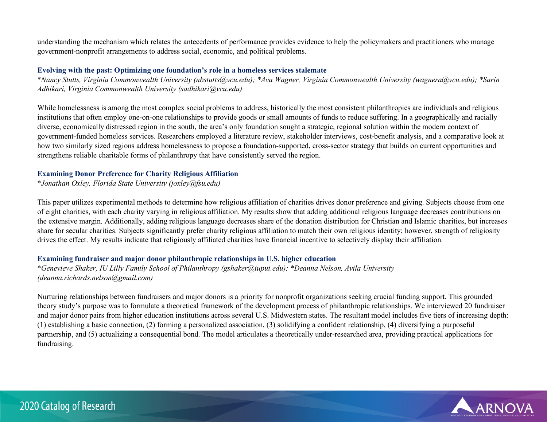understanding the mechanism which relates the antecedents of performance provides evidence to help the policymakers and practitioners who manage government-nonprofit arrangements to address social, economic, and political problems.

## **Evolving with the past: Optimizing one foundation's role in a homeless services stalemate**

\**Nancy Stutts, Virginia Commonwealth University (nbstutts@vcu.edu); \*Ava Wagner, Virginia Commonwealth University (wagnera@vcu.edu); \*Sarin Adhikari, Virginia Commonwealth University (sadhikari@vcu.edu)*

While homelessness is among the most complex social problems to address, historically the most consistent philanthropies are individuals and religious institutions that often employ one-on-one relationships to provide goods or small amounts of funds to reduce suffering. In a geographically and racially diverse, economically distressed region in the south, the area's only foundation sought a strategic, regional solution within the modern context of government-funded homeless services. Researchers employed a literature review, stakeholder interviews, cost-benefit analysis, and a comparative look at how two similarly sized regions address homelessness to propose a foundation-supported, cross-sector strategy that builds on current opportunities and strengthens reliable charitable forms of philanthropy that have consistently served the region.

## **Examining Donor Preference for Charity Religious Affiliation**

\**Jonathan Oxley, Florida State University (joxley@fsu.edu)*

This paper utilizes experimental methods to determine how religious affiliation of charities drives donor preference and giving. Subjects choose from one of eight charities, with each charity varying in religious affiliation. My results show that adding additional religious language decreases contributions on the extensive margin. Additionally, adding religious language decreases share of the donation distribution for Christian and Islamic charities, but increases share for secular charities. Subjects significantly prefer charity religious affiliation to match their own religious identity; however, strength of religiosity drives the effect. My results indicate that religiously affiliated charities have financial incentive to selectively display their affiliation.

## **Examining fundraiser and major donor philanthropic relationships in U.S. higher education**

\**Genevieve Shaker, IU Lilly Family School of Philanthropy (gshaker@iupui.edu); \*Deanna Nelson, Avila University (deanna.richards.nelson@gmail.com)*

Nurturing relationships between fundraisers and major donors is a priority for nonprofit organizations seeking crucial funding support. This grounded theory study's purpose was to formulate a theoretical framework of the development process of philanthropic relationships. We interviewed 20 fundraiser and major donor pairs from higher education institutions across several U.S. Midwestern states. The resultant model includes five tiers of increasing depth: (1) establishing a basic connection, (2) forming a personalized association, (3) solidifying a confident relationship, (4) diversifying a purposeful partnership, and (5) actualizing a consequential bond. The model articulates a theoretically under-researched area, providing practical applications for fundraising.

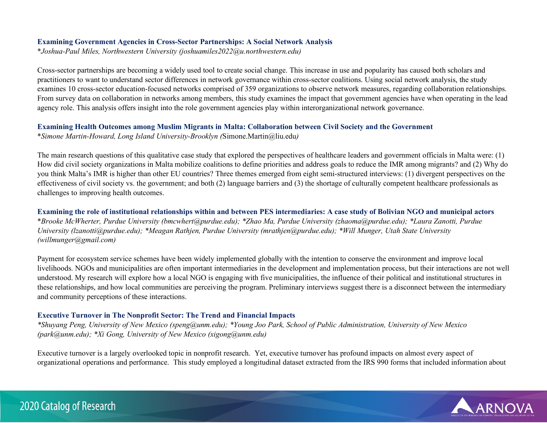#### **Examining Government Agencies in Cross-Sector Partnerships: A Social Network Analysis**

\**Joshua-Paul Miles, Northwestern University (joshuamiles2022@u.northwestern.edu)*

Cross-sector partnerships are becoming a widely used tool to create social change. This increase in use and popularity has caused both scholars and practitioners to want to understand sector differences in network governance within cross-sector coalitions. Using social network analysis, the study examines 10 cross-sector education-focused networks comprised of 359 organizations to observe network measures, regarding collaboration relationships. From survey data on collaboration in networks among members, this study examines the impact that government agencies have when operating in the lead agency role. This analysis offers insight into the role government agencies play within interorganizational network governance.

## **Examining Health Outcomes among Muslim Migrants in Malta: Collaboration between Civil Society and the Government**

\**Simone Martin-Howard, Long Island University-Brooklyn (*Simone.Martin@liu.edu*)*

The main research questions of this qualitative case study that explored the perspectives of healthcare leaders and government officials in Malta were: (1) How did civil society organizations in Malta mobilize coalitions to define priorities and address goals to reduce the IMR among migrants? and (2) Why do you think Malta's IMR is higher than other EU countries? Three themes emerged from eight semi-structured interviews: (1) divergent perspectives on the effectiveness of civil society vs. the government; and both (2) language barriers and (3) the shortage of culturally competent healthcare professionals as challenges to improving health outcomes.

**Examining the role of institutional relationships within and between PES intermediaries: A case study of Bolivian NGO and municipal actors**  \**Brooke McWherter, Purdue University (bmcwhert@purdue.edu); \*Zhao Ma, Purdue University (zhaoma@purdue.edu); \*Laura Zanotti, Purdue University (lzanotti@purdue.edu); \*Meagan Rathjen, Purdue University (mrathjen@purdue.edu); \*Will Munger, Utah State University (willmunger@gmail.com)*

Payment for ecosystem service schemes have been widely implemented globally with the intention to conserve the environment and improve local livelihoods. NGOs and municipalities are often important intermediaries in the development and implementation process, but their interactions are not well understood. My research will explore how a local NGO is engaging with five municipalities, the influence of their political and institutional structures in these relationships, and how local communities are perceiving the program. Preliminary interviews suggest there is a disconnect between the intermediary and community perceptions of these interactions.

## **Executive Turnover in The Nonprofit Sector: The Trend and Financial Impacts**

*\*Shuyang Peng, University of New Mexico (speng@unm.edu); \*Young Joo Park, School of Public Administration, University of New Mexico (park@unm.edu); \*Xi Gong, University of New Mexico (xigong@unm.edu)*

Executive turnover is a largely overlooked topic in nonprofit research. Yet, executive turnover has profound impacts on almost every aspect of organizational operations and performance. This study employed a longitudinal dataset extracted from the IRS 990 forms that included information about

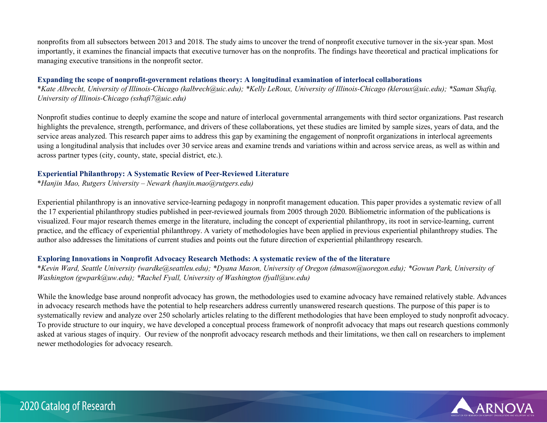nonprofits from all subsectors between 2013 and 2018. The study aims to uncover the trend of nonprofit executive turnover in the six-year span. Most importantly, it examines the financial impacts that executive turnover has on the nonprofits. The findings have theoretical and practical implications for managing executive transitions in the nonprofit sector.

#### **Expanding the scope of nonprofit-government relations theory: A longitudinal examination of interlocal collaborations**

\**Kate Albrecht, University of Illinois-Chicago (kalbrech@uic.edu); \*Kelly LeRoux, University of Illinois-Chicago (kleroux@uic.edu); \*Saman Shafiq, University of Illinois-Chicago (sshafi7@uic.edu)*

Nonprofit studies continue to deeply examine the scope and nature of interlocal governmental arrangements with third sector organizations. Past research highlights the prevalence, strength, performance, and drivers of these collaborations, yet these studies are limited by sample sizes, years of data, and the service areas analyzed. This research paper aims to address this gap by examining the engagement of nonprofit organizations in interlocal agreements using a longitudinal analysis that includes over 30 service areas and examine trends and variations within and across service areas, as well as within and across partner types (city, county, state, special district, etc.).

## **Experiential Philanthropy: A Systematic Review of Peer-Reviewed Literature**

\**Hanjin Mao, Rutgers University – Newark (hanjin.mao@rutgers.edu)*

Experiential philanthropy is an innovative service-learning pedagogy in nonprofit management education. This paper provides a systematic review of all the 17 experiential philanthropy studies published in peer-reviewed journals from 2005 through 2020. Bibliometric information of the publications is visualized. Four major research themes emerge in the literature, including the concept of experiential philanthropy, its root in service-learning, current practice, and the efficacy of experiential philanthropy. A variety of methodologies have been applied in previous experiential philanthropy studies. The author also addresses the limitations of current studies and points out the future direction of experiential philanthropy research.

## **Exploring Innovations in Nonprofit Advocacy Research Methods: A systematic review of the of the literature**

\**Kevin Ward, Seattle University (wardke@seattleu.edu); \*Dyana Mason, University of Oregon (dmason@uoregon.edu); \*Gowun Park, University of Washington (gwpark@uw.edu); \*Rachel Fyall, University of Washington (fyall@uw.edu)*

While the knowledge base around nonprofit advocacy has grown, the methodologies used to examine advocacy have remained relatively stable. Advances in advocacy research methods have the potential to help researchers address currently unanswered research questions. The purpose of this paper is to systematically review and analyze over 250 scholarly articles relating to the different methodologies that have been employed to study nonprofit advocacy. To provide structure to our inquiry, we have developed a conceptual process framework of nonprofit advocacy that maps out research questions commonly asked at various stages of inquiry. Our review of the nonprofit advocacy research methods and their limitations, we then call on researchers to implement newer methodologies for advocacy research.

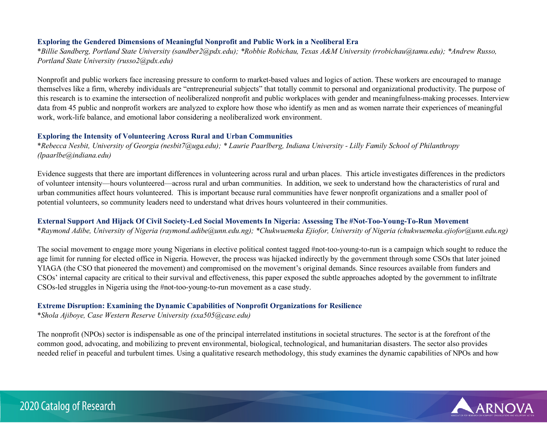## **Exploring the Gendered Dimensions of Meaningful Nonprofit and Public Work in a Neoliberal Era**

\**Billie Sandberg, Portland State University (sandber2@pdx.edu); \*Robbie Robichau, Texas A&M University (rrobichau@tamu.edu); \*Andrew Russo, Portland State University (russo2@pdx.edu)*

Nonprofit and public workers face increasing pressure to conform to market-based values and logics of action. These workers are encouraged to manage themselves like a firm, whereby individuals are "entrepreneurial subjects" that totally commit to personal and organizational productivity. The purpose of this research is to examine the intersection of neoliberalized nonprofit and public workplaces with gender and meaningfulness-making processes. Interview data from 45 public and nonprofit workers are analyzed to explore how those who identify as men and as women narrate their experiences of meaningful work, work-life balance, and emotional labor considering a neoliberalized work environment.

#### **Exploring the Intensity of Volunteering Across Rural and Urban Communities**

\**Rebecca Nesbit, University of Georgia (nesbit7@uga.edu); \* Laurie Paarlberg, Indiana University - Lilly Family School of Philanthropy (lpaarlbe@indiana.edu)*

Evidence suggests that there are important differences in volunteering across rural and urban places. This article investigates differences in the predictors of volunteer intensity—hours volunteered—across rural and urban communities. In addition, we seek to understand how the characteristics of rural and urban communities affect hours volunteered. This is important because rural communities have fewer nonprofit organizations and a smaller pool of potential volunteers, so community leaders need to understand what drives hours volunteered in their communities.

## **External Support And Hijack Of Civil Society-Led Social Movements In Nigeria: Assessing The #Not-Too-Young-To-Run Movement**

\**Raymond Adibe, University of Nigeria (raymond.adibe@unn.edu.ng); \*Chukwuemeka Ejiofor, University of Nigeria (chukwuemeka.ejiofor@unn.edu.ng)*

The social movement to engage more young Nigerians in elective political contest tagged #not-too-young-to-run is a campaign which sought to reduce the age limit for running for elected office in Nigeria. However, the process was hijacked indirectly by the government through some CSOs that later joined YIAGA (the CSO that pioneered the movement) and compromised on the movement's original demands. Since resources available from funders and CSOs' internal capacity are critical to their survival and effectiveness, this paper exposed the subtle approaches adopted by the government to infiltrate CSOs-led struggles in Nigeria using the #not-too-young-to-run movement as a case study.

#### **Extreme Disruption: Examining the Dynamic Capabilities of Nonprofit Organizations for Resilience**

\**Shola Ajiboye, Case Western Reserve University (sxa505@case.edu)*

The nonprofit (NPOs) sector is indispensable as one of the principal interrelated institutions in societal structures. The sector is at the forefront of the common good, advocating, and mobilizing to prevent environmental, biological, technological, and humanitarian disasters. The sector also provides needed relief in peaceful and turbulent times. Using a qualitative research methodology, this study examines the dynamic capabilities of NPOs and how

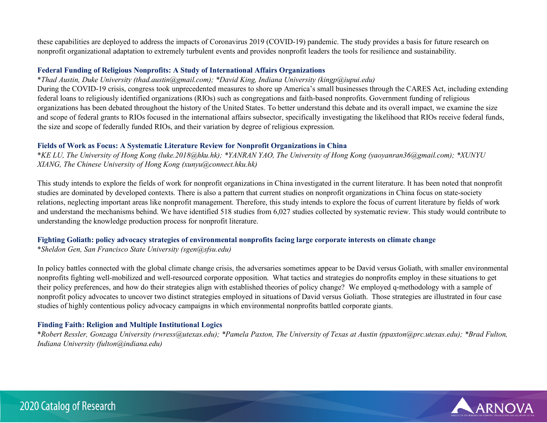these capabilities are deployed to address the impacts of Coronavirus 2019 (COVID-19) pandemic. The study provides a basis for future research on nonprofit organizational adaptation to extremely turbulent events and provides nonprofit leaders the tools for resilience and sustainability.

#### **Federal Funding of Religious Nonprofits: A Study of International Affairs Organizations**

## \**Thad Austin, Duke University (thad.austin@gmail.com); \*David King, Indiana University (kingp@iupui.edu)*

During the COVID-19 crisis, congress took unprecedented measures to shore up America's small businesses through the CARES Act, including extending federal loans to religiously identified organizations (RIOs) such as congregations and faith-based nonprofits. Government funding of religious organizations has been debated throughout the history of the United States. To better understand this debate and its overall impact, we examine the size and scope of federal grants to RIOs focused in the international affairs subsector, specifically investigating the likelihood that RIOs receive federal funds, the size and scope of federally funded RIOs, and their variation by degree of religious expression.

#### **Fields of Work as Focus: A Systematic Literature Review for Nonprofit Organizations in China**

\**KE LU, The University of Hong Kong (luke.2018@hku.hk); \*YANRAN YAO, The University of Hong Kong (yaoyanran36@gmail.com); \*XUNYU XIANG, The Chinese University of Hong Kong (xunyu@connect.hku.hk)*

This study intends to explore the fields of work for nonprofit organizations in China investigated in the current literature. It has been noted that nonprofit studies are dominated by developed contexts. There is also a pattern that current studies on nonprofit organizations in China focus on state-society relations, neglecting important areas like nonprofit management. Therefore, this study intends to explore the focus of current literature by fields of work and understand the mechanisms behind. We have identified 518 studies from 6,027 studies collected by systematic review. This study would contribute to understanding the knowledge production process for nonprofit literature.

# **Fighting Goliath: policy advocacy strategies of environmental nonprofits facing large corporate interests on climate change**

\**Sheldon Gen, San Francisco State University (sgen@sfsu.edu)*

In policy battles connected with the global climate change crisis, the adversaries sometimes appear to be David versus Goliath, with smaller environmental nonprofits fighting well-mobilized and well-resourced corporate opposition. What tactics and strategies do nonprofits employ in these situations to get their policy preferences, and how do their strategies align with established theories of policy change? We employed q-methodology with a sample of nonprofit policy advocates to uncover two distinct strategies employed in situations of David versus Goliath. Those strategies are illustrated in four case studies of highly contentious policy advocacy campaigns in which environmental nonprofits battled corporate giants.

## **Finding Faith: Religion and Multiple Institutional Logics**

\**Robert Ressler, Gonzaga University (rwress@utexas.edu); \*Pamela Paxton, The University of Texas at Austin (ppaxton@prc.utexas.edu); \*Brad Fulton, Indiana University (fulton@indiana.edu)*

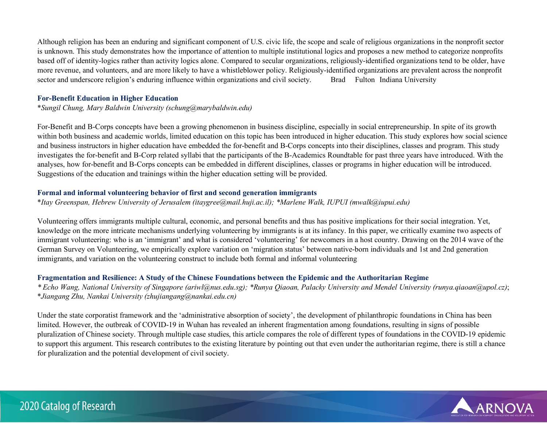Although religion has been an enduring and significant component of U.S. civic life, the scope and scale of religious organizations in the nonprofit sector is unknown. This study demonstrates how the importance of attention to multiple institutional logics and proposes a new method to categorize nonprofits based off of identity-logics rather than activity logics alone. Compared to secular organizations, religiously-identified organizations tend to be older, have more revenue, and volunteers, and are more likely to have a whistleblower policy. Religiously-identified organizations are prevalent across the nonprofit sector and underscore religion's enduring influence within organizations and civil society. Brad Fulton Indiana University

#### **For-Benefit Education in Higher Education**

\**Sungil Chung, Mary Baldwin University (schung@marybaldwin.edu)*

For-Benefit and B-Corps concepts have been a growing phenomenon in business discipline, especially in social entrepreneurship. In spite of its growth within both business and academic worlds, limited education on this topic has been introduced in higher education. This study explores how social science and business instructors in higher education have embedded the for-benefit and B-Corps concepts into their disciplines, classes and program. This study investigates the for-benefit and B-Corp related syllabi that the participants of the B-Academics Roundtable for past three years have introduced. With the analyses, how for-benefit and B-Corps concepts can be embedded in different disciplines, classes or programs in higher education will be introduced. Suggestions of the education and trainings within the higher education setting will be provided.

## **Formal and informal volunteering behavior of first and second generation immigrants**

\**Itay Greenspan, Hebrew University of Jerusalem (itaygree@mail.huji.ac.il); \*Marlene Walk, IUPUI (mwalk@iupui.edu)*

Volunteering offers immigrants multiple cultural, economic, and personal benefits and thus has positive implications for their social integration. Yet, knowledge on the more intricate mechanisms underlying volunteering by immigrants is at its infancy. In this paper, we critically examine two aspects of immigrant volunteering: who is an 'immigrant' and what is considered 'volunteering' for newcomers in a host country. Drawing on the 2014 wave of the German Survey on Volunteering, we empirically explore variation on 'migration status' between native-born individuals and 1st and 2nd generation immigrants, and variation on the volunteering construct to include both formal and informal volunteering

## **Fragmentation and Resilience: A Study of the Chinese Foundations between the Epidemic and the Authoritarian Regime**

*\* Echo Wang, National University of Singapore (ariwl@nus.edu.sg); \*Runya Qiaoan, Palacky University and Mendel University (runya.qiaoan@upol.cz)*; \**Jiangang Zhu, Nankai University (zhujiangang@nankai.edu.cn)*

Under the state corporatist framework and the 'administrative absorption of society', the development of philanthropic foundations in China has been limited. However, the outbreak of COVID-19 in Wuhan has revealed an inherent fragmentation among foundations, resulting in signs of possible pluralization of Chinese society. Through multiple case studies, this article compares the role of different types of foundations in the COVID-19 epidemic to support this argument. This research contributes to the existing literature by pointing out that even under the authoritarian regime, there is still a chance for pluralization and the potential development of civil society.

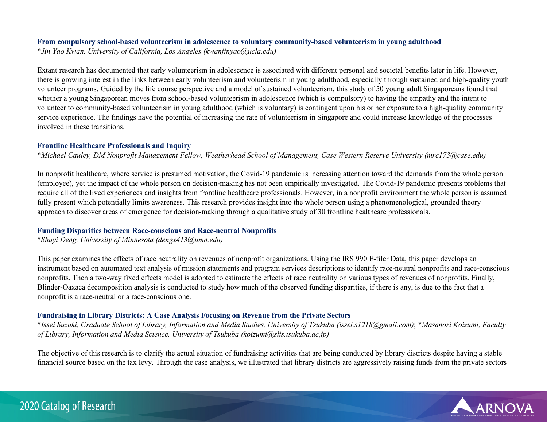## **From compulsory school-based volunteerism in adolescence to voluntary community-based volunteerism in young adulthood**

\**Jin Yao Kwan, University of California, Los Angeles (kwanjinyao@ucla.edu)*

Extant research has documented that early volunteerism in adolescence is associated with different personal and societal benefits later in life. However, there is growing interest in the links between early volunteerism and volunteerism in young adulthood, especially through sustained and high-quality youth volunteer programs. Guided by the life course perspective and a model of sustained volunteerism, this study of 50 young adult Singaporeans found that whether a young Singaporean moves from school-based volunteerism in adolescence (which is compulsory) to having the empathy and the intent to volunteer to community-based volunteerism in young adulthood (which is voluntary) is contingent upon his or her exposure to a high-quality community service experience. The findings have the potential of increasing the rate of volunteerism in Singapore and could increase knowledge of the processes involved in these transitions.

## **Frontline Healthcare Professionals and Inquiry**

\**Michael Cauley, DM Nonprofit Management Fellow, Weatherhead School of Management, Case Western Reserve University (mrc173@case.edu)*

In nonprofit healthcare, where service is presumed motivation, the Covid-19 pandemic is increasing attention toward the demands from the whole person (employee), yet the impact of the whole person on decision-making has not been empirically investigated. The Covid-19 pandemic presents problems that require all of the lived experiences and insights from frontline healthcare professionals. However, in a nonprofit environment the whole person is assumed fully present which potentially limits awareness. This research provides insight into the whole person using a phenomenological, grounded theory approach to discover areas of emergence for decision-making through a qualitative study of 30 frontline healthcare professionals.

## **Funding Disparities between Race-conscious and Race-neutral Nonprofits**

\**Shuyi Deng, University of Minnesota (dengx413@umn.edu)*

This paper examines the effects of race neutrality on revenues of nonprofit organizations. Using the IRS 990 E-filer Data, this paper develops an instrument based on automated text analysis of mission statements and program services descriptions to identify race-neutral nonprofits and race-conscious nonprofits. Then a two-way fixed effects model is adopted to estimate the effects of race neutrality on various types of revenues of nonprofits. Finally, Blinder-Oaxaca decomposition analysis is conducted to study how much of the observed funding disparities, if there is any, is due to the fact that a nonprofit is a race-neutral or a race-conscious one.

## **Fundraising in Library Districts: A Case Analysis Focusing on Revenue from the Private Sectors**

\**Issei Suzuki, Graduate School of Library, Information and Media Studies, University of Tsukuba (issei.s1218@gmail.com)*; \**Masanori Koizumi, Faculty of Library, Information and Media Science, University of Tsukuba (koizumi@slis.tsukuba.ac.jp)*

The objective of this research is to clarify the actual situation of fundraising activities that are being conducted by library districts despite having a stable financial source based on the tax levy. Through the case analysis, we illustrated that library districts are aggressively raising funds from the private sectors

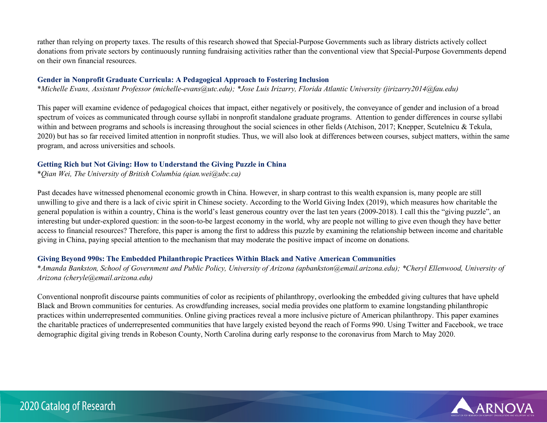rather than relying on property taxes. The results of this research showed that Special-Purpose Governments such as library districts actively collect donations from private sectors by continuously running fundraising activities rather than the conventional view that Special-Purpose Governments depend on their own financial resources.

## **Gender in Nonprofit Graduate Curricula: A Pedagogical Approach to Fostering Inclusion**

\**Michelle Evans, Assistant Professor (michelle-evans@utc.edu); \*Jose Luis Irizarry, Florida Atlantic University (jirizarry2014@fau.edu)*

This paper will examine evidence of pedagogical choices that impact, either negatively or positively, the conveyance of gender and inclusion of a broad spectrum of voices as communicated through course syllabi in nonprofit standalone graduate programs. Attention to gender differences in course syllabi within and between programs and schools is increasing throughout the social sciences in other fields (Atchison, 2017; Knepper, Scutelnicu & Tekula, 2020) but has so far received limited attention in nonprofit studies. Thus, we will also look at differences between courses, subject matters, within the same program, and across universities and schools.

## **Getting Rich but Not Giving: How to Understand the Giving Puzzle in China**

\**Qian Wei, The University of British Columbia (qian.wei@ubc.ca)*

Past decades have witnessed phenomenal economic growth in China. However, in sharp contrast to this wealth expansion is, many people are still unwilling to give and there is a lack of civic spirit in Chinese society. According to the World Giving Index (2019), which measures how charitable the general population is within a country, China is the world's least generous country over the last ten years (2009-2018). I call this the "giving puzzle", an interesting but under-explored question: in the soon-to-be largest economy in the world, why are people not willing to give even though they have better access to financial resources? Therefore, this paper is among the first to address this puzzle by examining the relationship between income and charitable giving in China, paying special attention to the mechanism that may moderate the positive impact of income on donations.

## **Giving Beyond 990s: The Embedded Philanthropic Practices Within Black and Native American Communities**

\**Amanda Bankston, School of Government and Public Policy, University of Arizona (apbankston@email.arizona.edu); \*Cheryl Ellenwood, University of Arizona (cheryle@email.arizona.edu)*

Conventional nonprofit discourse paints communities of color as recipients of philanthropy, overlooking the embedded giving cultures that have upheld Black and Brown communities for centuries. As crowdfunding increases, social media provides one platform to examine longstanding philanthropic practices within underrepresented communities. Online giving practices reveal a more inclusive picture of American philanthropy. This paper examines the charitable practices of underrepresented communities that have largely existed beyond the reach of Forms 990. Using Twitter and Facebook, we trace demographic digital giving trends in Robeson County, North Carolina during early response to the coronavirus from March to May 2020.

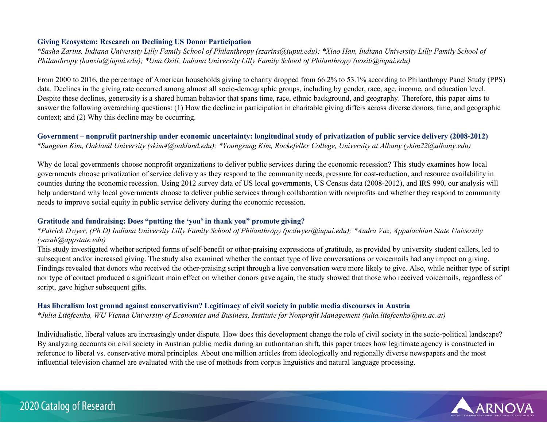## **Giving Ecosystem: Research on Declining US Donor Participation**

\**Sasha Zarins, Indiana University Lilly Family School of Philanthropy (szarins@iupui.edu); \*Xiao Han, Indiana University Lilly Family School of Philanthropy (hanxia@iupui.edu); \*Una Osili, Indiana University Lilly Family School of Philanthropy (uosili@iupui.edu)*

From 2000 to 2016, the percentage of American households giving to charity dropped from 66.2% to 53.1% according to Philanthropy Panel Study (PPS) data. Declines in the giving rate occurred among almost all socio-demographic groups, including by gender, race, age, income, and education level. Despite these declines, generosity is a shared human behavior that spans time, race, ethnic background, and geography. Therefore, this paper aims to answer the following overarching questions: (1) How the decline in participation in charitable giving differs across diverse donors, time, and geographic context; and (2) Why this decline may be occurring.

## **Government – nonprofit partnership under economic uncertainty: longitudinal study of privatization of public service delivery (2008-2012)**  \**Sungeun Kim, Oakland University (skim4@oakland.edu); \*Youngsung Kim, Rockefeller College, University at Albany (ykim22@albany.edu)*

Why do local governments choose nonprofit organizations to deliver public services during the economic recession? This study examines how local governments choose privatization of service delivery as they respond to the community needs, pressure for cost-reduction, and resource availability in counties during the economic recession. Using 2012 survey data of US local governments, US Census data (2008-2012), and IRS 990, our analysis will help understand why local governments choose to deliver public services through collaboration with nonprofits and whether they respond to community needs to improve social equity in public service delivery during the economic recession.

#### **Gratitude and fundraising: Does "putting the 'you' in thank you" promote giving?**

## \**Patrick Dwyer, (Ph.D) Indiana University Lilly Family School of Philanthropy (pcdwyer@iupui.edu); \*Audra Vaz, Appalachian State University (vazah@appstate.edu)*

This study investigated whether scripted forms of self-benefit or other-praising expressions of gratitude, as provided by university student callers, led to subsequent and/or increased giving. The study also examined whether the contact type of live conversations or voicemails had any impact on giving. Findings revealed that donors who received the other-praising script through a live conversation were more likely to give. Also, while neither type of script nor type of contact produced a significant main effect on whether donors gave again, the study showed that those who received voicemails, regardless of script, gave higher subsequent gifts.

#### **Has liberalism lost ground against conservativism? Legitimacy of civil society in public media discourses in Austria**

*\*Julia Litofcenko, WU Vienna University of Economics and Business, Institute for Nonprofit Management (julia.litofcenko@wu.ac.at)*

Individualistic, liberal values are increasingly under dispute. How does this development change the role of civil society in the socio-political landscape? By analyzing accounts on civil society in Austrian public media during an authoritarian shift, this paper traces how legitimate agency is constructed in reference to liberal vs. conservative moral principles. About one million articles from ideologically and regionally diverse newspapers and the most influential television channel are evaluated with the use of methods from corpus linguistics and natural language processing.

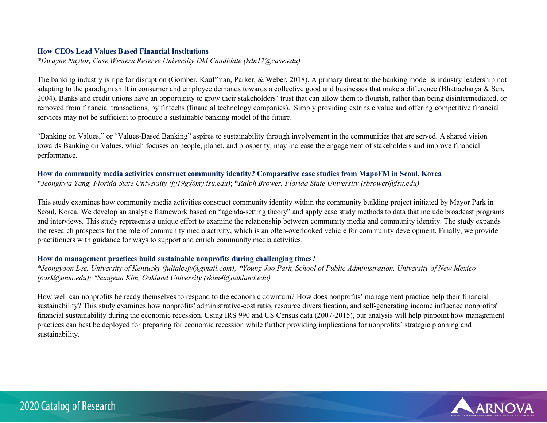#### **How CEOs Lead Values Based Financial Institutions**

*\*Dwayne Naylor, Case Western Reserve University DM Candidate (kdn17@case.edu)*

The banking industry is ripe for disruption (Gomber, Kauffman, Parker, & Weber, 2018). A primary threat to the banking model is industry leadership not adapting to the paradigm shift in consumer and employee demands towards a collective good and businesses that make a difference (Bhattacharya & Sen, 2004). Banks and credit unions have an opportunity to grow their stakeholders' trust that can allow them to flourish, rather than being disintermediated, or removed from financial transactions, by fintechs (financial technology companies). Simply providing extrinsic value and offering competitive financial services may not be sufficient to produce a sustainable banking model of the future.

"Banking on Values," or "Values-Based Banking" aspires to sustainability through involvement in the communities that are served. A shared vision towards Banking on Values, which focuses on people, planet, and prosperity, may increase the engagement of stakeholders and improve financial performance.

## **How do community media activities construct community identity? Comparative case studies from MapoFM in Seoul, Korea**

\**Jeonghwa Yang, Florida State University (jy19g@my.fsu.edu)*; \**Ralph Brower, Florida State University (rbrower@fsu.edu)*

This study examines how community media activities construct community identity within the community building project initiated by Mayor Park in Seoul, Korea. We develop an analytic framework based on "agenda-setting theory" and apply case study methods to data that include broadcast programs and interviews. This study represents a unique effort to examine the relationship between community media and community identity. The study expands the research prospects for the role of community media activity, which is an often-overlooked vehicle for community development. Finally, we provide practitioners with guidance for ways to support and enrich community media activities.

## **How do management practices build sustainable nonprofits during challenging times?**

*\*Jeongyoon Lee, University of Kentucky (julialeejy@gmail.com); \*Young Joo Park, School of Public Administration, University of New Mexico (park@unm.edu); \*Sungeun Kim, Oakland University (skim4@oakland.edu)*

How well can nonprofits be ready themselves to respond to the economic downturn? How does nonprofits' management practice help their financial sustainability? This study examines how nonprofits' administrative-cost ratio, resource diversification, and self-generating income influence nonprofits' financial sustainability during the economic recession. Using IRS 990 and US Census data (2007-2015), our analysis will help pinpoint how management practices can best be deployed for preparing for economic recession while further providing implications for nonprofits' strategic planning and sustainability.

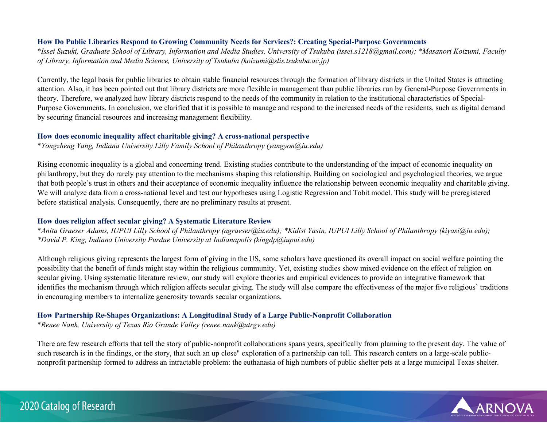## **How Do Public Libraries Respond to Growing Community Needs for Services?: Creating Special-Purpose Governments**

\**Issei Suzuki, Graduate School of Library, Information and Media Studies, University of Tsukuba (issei.s1218@gmail.com); \*Masanori Koizumi, Faculty of Library, Information and Media Science, University of Tsukuba (koizumi@slis.tsukuba.ac.jp)*

Currently, the legal basis for public libraries to obtain stable financial resources through the formation of library districts in the United States is attracting attention. Also, it has been pointed out that library districts are more flexible in management than public libraries run by General-Purpose Governments in theory. Therefore, we analyzed how library districts respond to the needs of the community in relation to the institutional characteristics of Special-Purpose Governments. In conclusion, we clarified that it is possible to manage and respond to the increased needs of the residents, such as digital demand by securing financial resources and increasing management flexibility.

#### **How does economic inequality affect charitable giving? A cross-national perspective**

\**Yongzheng Yang, Indiana University Lilly Family School of Philanthropy (yangyon@iu.edu)*

Rising economic inequality is a global and concerning trend. Existing studies contribute to the understanding of the impact of economic inequality on philanthropy, but they do rarely pay attention to the mechanisms shaping this relationship. Building on sociological and psychological theories, we argue that both people's trust in others and their acceptance of economic inequality influence the relationship between economic inequality and charitable giving. We will analyze data from a cross-national level and test our hypotheses using Logistic Regression and Tobit model. This study will be preregistered before statistical analysis. Consequently, there are no preliminary results at present.

## **How does religion affect secular giving? A Systematic Literature Review**

\**Anita Graeser Adams, IUPUI Lilly School of Philanthropy (agraeser@iu.edu); \*Kidist Yasin, IUPUI Lilly School of Philanthropy (kiyasi@iu.edu); \*David P. King, Indiana University Purdue University at Indianapolis (kingdp@iupui.edu)*

Although religious giving represents the largest form of giving in the US, some scholars have questioned its overall impact on social welfare pointing the possibility that the benefit of funds might stay within the religious community. Yet, existing studies show mixed evidence on the effect of religion on secular giving. Using systematic literature review, our study will explore theories and empirical evidences to provide an integrative framework that identifies the mechanism through which religion affects secular giving. The study will also compare the effectiveness of the major five religious' traditions in encouraging members to internalize generosity towards secular organizations.

## **How Partnership Re-Shapes Organizations: A Longitudinal Study of a Large Public-Nonprofit Collaboration**

\**Renee Nank, University of Texas Rio Grande Valley (renee.nank@utrgv.edu)*

There are few research efforts that tell the story of public-nonprofit collaborations spans years, specifically from planning to the present day. The value of such research is in the findings, or the story, that such an up close" exploration of a partnership can tell. This research centers on a large-scale publicnonprofit partnership formed to address an intractable problem: the euthanasia of high numbers of public shelter pets at a large municipal Texas shelter.

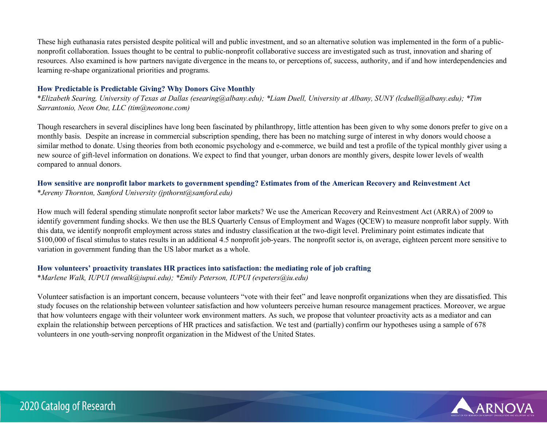These high euthanasia rates persisted despite political will and public investment, and so an alternative solution was implemented in the form of a publicnonprofit collaboration. Issues thought to be central to public-nonprofit collaborative success are investigated such as trust, innovation and sharing of resources. Also examined is how partners navigate divergence in the means to, or perceptions of, success, authority, and if and how interdependencies and learning re-shape organizational priorities and programs.

#### **How Predictable is Predictable Giving? Why Donors Give Monthly**

\**Elizabeth Searing, University of Texas at Dallas (esearing@albany.edu); \*Liam Duell, University at Albany, SUNY (lcduell@albany.edu); \*Tim Sarrantonio, Neon One, LLC (tim@neonone.com)*

Though researchers in several disciplines have long been fascinated by philanthropy, little attention has been given to why some donors prefer to give on a monthly basis. Despite an increase in commercial subscription spending, there has been no matching surge of interest in why donors would choose a similar method to donate. Using theories from both economic psychology and e-commerce, we build and test a profile of the typical monthly giver using a new source of gift-level information on donations. We expect to find that younger, urban donors are monthly givers, despite lower levels of wealth compared to annual donors.

# **How sensitive are nonprofit labor markets to government spending? Estimates from of the American Recovery and Reinvestment Act**

\**Jeremy Thornton, Samford University (jpthornt@samford.edu)*

How much will federal spending stimulate nonprofit sector labor markets? We use the American Recovery and Reinvestment Act (ARRA) of 2009 to identify government funding shocks. We then use the BLS Quarterly Census of Employment and Wages (QCEW) to measure nonprofit labor supply. With this data, we identify nonprofit employment across states and industry classification at the two-digit level. Preliminary point estimates indicate that \$100,000 of fiscal stimulus to states results in an additional 4.5 nonprofit job-years. The nonprofit sector is, on average, eighteen percent more sensitive to variation in government funding than the US labor market as a whole.

# **How volunteers' proactivity translates HR practices into satisfaction: the mediating role of job crafting**

\**Marlene Walk, IUPUI (mwalk@iupui.edu); \*Emily Peterson, IUPUI (evpeters@iu.edu)*

Volunteer satisfaction is an important concern, because volunteers "vote with their feet" and leave nonprofit organizations when they are dissatisfied. This study focuses on the relationship between volunteer satisfaction and how volunteers perceive human resource management practices. Moreover, we argue that how volunteers engage with their volunteer work environment matters. As such, we propose that volunteer proactivity acts as a mediator and can explain the relationship between perceptions of HR practices and satisfaction. We test and (partially) confirm our hypotheses using a sample of 678 volunteers in one youth-serving nonprofit organization in the Midwest of the United States.

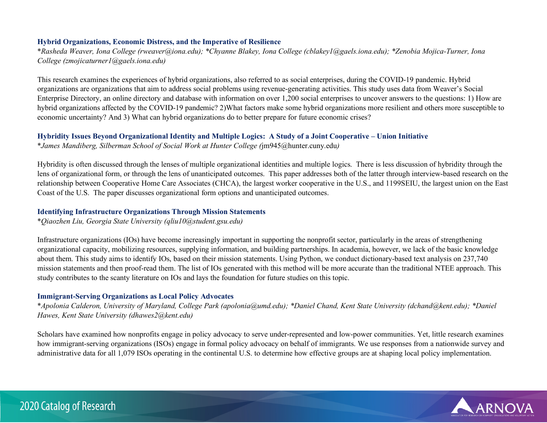### **Hybrid Organizations, Economic Distress, and the Imperative of Resilience**

\**Rasheda Weaver, Iona College (rweaver@iona.edu); \*Chyanne Blakey, Iona College (cblakey1@gaels.iona.edu); \*Zenobia Mojica-Turner, Iona College (zmojicaturner1@gaels.iona.edu)*

This research examines the experiences of hybrid organizations, also referred to as social enterprises, during the COVID-19 pandemic. Hybrid organizations are organizations that aim to address social problems using revenue-generating activities. This study uses data from Weaver's Social Enterprise Directory, an online directory and database with information on over 1,200 social enterprises to uncover answers to the questions: 1) How are hybrid organizations affected by the COVID-19 pandemic? 2)What factors make some hybrid organizations more resilient and others more susceptible to economic uncertainty? And 3) What can hybrid organizations do to better prepare for future economic crises?

# **Hybridity Issues Beyond Organizational Identity and Multiple Logics: A Study of a Joint Cooperative – Union Initiative**

\**James Mandiberg, Silberman School of Social Work at Hunter College (*jm945@hunter.cuny.edu*)*

Hybridity is often discussed through the lenses of multiple organizational identities and multiple logics. There is less discussion of hybridity through the lens of organizational form, or through the lens of unanticipated outcomes. This paper addresses both of the latter through interview-based research on the relationship between Cooperative Home Care Associates (CHCA), the largest worker cooperative in the U.S., and 1199SEIU, the largest union on the East Coast of the U.S. The paper discusses organizational form options and unanticipated outcomes.

# **Identifying Infrastructure Organizations Through Mission Statements**

\**Qiaozhen Liu, Georgia State University (qliu10@student.gsu.edu)*

Infrastructure organizations (IOs) have become increasingly important in supporting the nonprofit sector, particularly in the areas of strengthening organizational capacity, mobilizing resources, supplying information, and building partnerships. In academia, however, we lack of the basic knowledge about them. This study aims to identify IOs, based on their mission statements. Using Python, we conduct dictionary-based text analysis on 237,740 mission statements and then proof-read them. The list of IOs generated with this method will be more accurate than the traditional NTEE approach. This study contributes to the scanty literature on IOs and lays the foundation for future studies on this topic.

# **Immigrant-Serving Organizations as Local Policy Advocates**

\**Apolonia Calderon, University of Maryland, College Park (apolonia@umd.edu); \*Daniel Chand, Kent State University (dchand@kent.edu); \*Daniel Hawes, Kent State University (dhawes2@kent.edu)*

Scholars have examined how nonprofits engage in policy advocacy to serve under-represented and low-power communities. Yet, little research examines how immigrant-serving organizations (ISOs) engage in formal policy advocacy on behalf of immigrants. We use responses from a nationwide survey and administrative data for all 1,079 ISOs operating in the continental U.S. to determine how effective groups are at shaping local policy implementation.

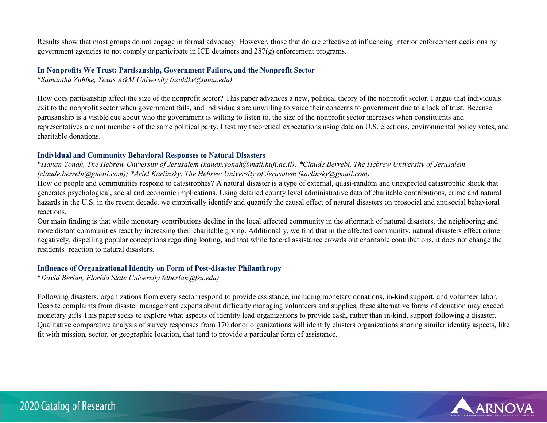Results show that most groups do not engage in formal advocacy. However, those that do are effective at influencing interior enforcement decisions by government agencies to not comply or participate in ICE detainers and 287(g) enforcement programs.

#### **In Nonprofits We Trust: Partisanship, Government Failure, and the Nonprofit Sector**

\**Samantha Zuhlke, Texas A&M University (szuhlke@tamu.edu)*

How does partisanship affect the size of the nonprofit sector? This paper advances a new, political theory of the nonprofit sector. I argue that individuals exit to the nonprofit sector when government fails, and individuals are unwilling to voice their concerns to government due to a lack of trust. Because partisanship is a visible cue about who the government is willing to listen to, the size of the nonprofit sector increases when constituents and representatives are not members of the same political party. I test my theoretical expectations using data on U.S. elections, environmental policy votes, and charitable donations.

#### **Individual and Community Behavioral Responses to Natural Disasters**

\**Hanan Yonah, The Hebrew University of Jerusalem (hanan.yonah@mail.huji.ac.il); \*Claude Berrebi, The Hebrew University of Jerusalem (claude.berrebi@gmail.com); \*Ariel Karlinsky, The Hebrew University of Jerusalem (karlinsky@gmail.com)*

How do people and communities respond to catastrophes? A natural disaster is a type of external, quasi-random and unexpected catastrophic shock that generates psychological, social and economic implications. Using detailed county level administrative data of charitable contributions, crime and natural hazards in the U.S. in the recent decade, we empirically identify and quantify the causal effect of natural disasters on prosocial and antisocial behavioral reactions.

Our main finding is that while monetary contributions decline in the local affected community in the aftermath of natural disasters, the neighboring and more distant communities react by increasing their charitable giving. Additionally, we find that in the affected community, natural disasters effect crime negatively, dispelling popular conceptions regarding looting, and that while federal assistance crowds out charitable contributions, it does not change the residents' reaction to natural disasters.

#### **Influence of Organizational Identity on Form of Post-disaster Philanthropy**

\**David Berlan, Florida State University (dberlan@fsu.edu)*

Following disasters, organizations from every sector respond to provide assistance, including monetary donations, in-kind support, and volunteer labor. Despite complaints from disaster management experts about difficulty managing volunteers and supplies, these alternative forms of donation may exceed monetary gifts This paper seeks to explore what aspects of identity lead organizations to provide cash, rather than in-kind, support following a disaster. Qualitative comparative analysis of survey responses from 170 donor organizations will identify clusters organizations sharing similar identity aspects, like fit with mission, sector, or geographic location, that tend to provide a particular form of assistance.

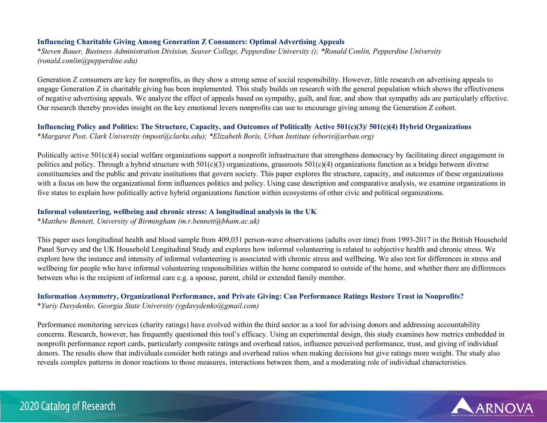### **Influencing Charitable Giving Among Generation Z Consumers: Optimal Advertising Appeals**

\**Steven Bauer, Business Administration Division, Seaver College, Pepperdine University (); \*Ronald Conlin, Pepperdine University (ronald.conlin@pepperdine.edu)*

Generation Z consumers are key for nonprofits, as they show a strong sense of social responsibility. However, little research on advertising appeals to engage Generation Z in charitable giving has been implemented. This study builds on research with the general population which shows the effectiveness of negative advertising appeals. We analyze the effect of appeals based on sympathy, guilt, and fear, and show that sympathy ads are particularly effective. Our research thereby provides insight on the key emotional levers nonprofits can use to encourage giving among the Generation Z cohort.

### **Influencing Policy and Politics: The Structure, Capacity, and Outcomes of Politically Active 501(c)(3)/ 501(c)(4) Hybrid Organizations**  \**Margaret Post, Clark University (mpost@clarku.edu); \*Elizabeth Boris, Urban Institute (eboris@urban.org)*

Politically active  $501(c)(4)$  social welfare organizations support a nonprofit infrastructure that strengthens democracy by facilitating direct engagement in politics and policy. Through a hybrid structure with  $501(c)(3)$  organizations, grassroots  $501(c)(4)$  organizations function as a bridge between diverse constituencies and the public and private institutions that govern society. This paper explores the structure, capacity, and outcomes of these organizations with a focus on how the organizational form influences politics and policy. Using case description and comparative analysis, we examine organizations in five states to explain how politically active hybrid organizations function within ecosystems of other civic and political organizations.

#### **Informal volunteering, wellbeing and chronic stress: A longitudinal analysis in the UK**

\**Matthew Bennett, University of Birmingham (m.r.bennett@bham.ac.uk)*

This paper uses longitudinal health and blood sample from 409,031 person-wave observations (adults over time) from 1993-2017 in the British Household Panel Survey and the UK Household Longitudinal Study and explores how informal volunteering is related to subjective health and chronic stress. We explore how the instance and intensity of informal volunteering is associated with chronic stress and wellbeing. We also test for differences in stress and wellbeing for people who have informal volunteering responsibilities within the home compared to outside of the home, and whether there are differences between who is the recipient of informal care e.g. a spouse, parent, child or extended family member.

# **Information Asymmetry, Organizational Performance, and Private Giving: Can Performance Ratings Restore Trust in Nonprofits?**  \**Yuriy Davydenko, Georgia State University (ygdavydenko@gmail.com)*

Performance monitoring services (charity ratings) have evolved within the third sector as a tool for advising donors and addressing accountability concerns. Research, however, has frequently questioned this tool's efficacy. Using an experimental design, this study examines how metrics embedded in nonprofit performance report cards, particularly composite ratings and overhead ratios, influence perceived performance, trust, and giving of individual donors. The results show that individuals consider both ratings and overhead ratios when making decisions but give ratings more weight. The study also reveals complex patterns in donor reactions to those measures, interactions between them, and a moderating role of individual characteristics.



# 2020 Catalog of Research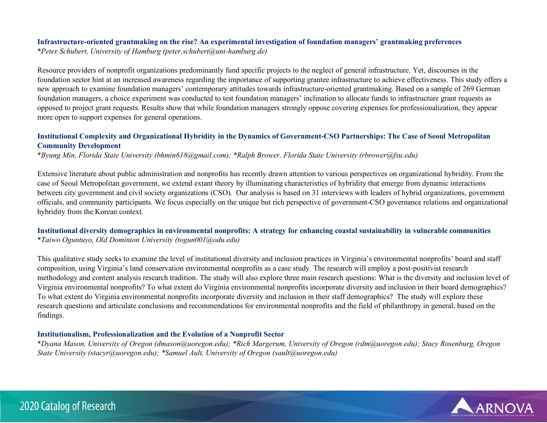# **Infrastructure-oriented grantmaking on the rise? An experimental investigation of foundation managers' grantmaking preferences**

\**Peter Schubert, University of Hamburg (peter.schubert@uni-hamburg.de)*

Resource providers of nonprofit organizations predominantly fund specific projects to the neglect of general infrastructure. Yet, discourses in the foundation sector hint at an increased awareness regarding the importance of supporting grantee infrastructure to achieve effectiveness. This study offers a new approach to examine foundation managers' contemporary attitudes towards infrastructure-oriented grantmaking. Based on a sample of 269 German foundation managers, a choice experiment was conducted to test foundation managers' inclination to allocate funds to infrastructure grant requests as opposed to project grant requests. Results show that while foundation managers strongly oppose covering expenses for professionalization, they appear more open to support expenses for general operations.

# **Institutional Complexity and Organizational Hybridity in the Dynamics of Government-CSO Partnerships: The Case of Seoul Metropolitan Community Development**

\**Byung Min, Florida State University (bhmin618@gmail.com); \*Ralph Brower, Florida State University (rbrower@fsu.edu)*

Extensive literature about public administration and nonprofits has recently drawn attention to various perspectives on organizational hybridity. From the case of Seoul Metropolitan government, we extend extant theory by illuminating characteristics of hybridity that emerge from dynamic interactions between city government and civil society organizations (CSO). Our analysis is based on 31 interviews with leaders of hybrid organizations, government officials, and community participants. We focus especially on the unique but rich perspective of government-CSO governance relations and organizational hybridity from the Korean context.

# **Institutional diversity demographics in environmental nonprofits: A strategy for enhancing coastal sustainability in vulnerable communities**  \**Taiwo Oguntuyo, Old Dominion University (togun001@odu.edu)*

This qualitative study seeks to examine the level of institutional diversity and inclusion practices in Virginia's environmental nonprofits' board and staff composition, using Virginia's land conservation environmental nonprofits as a case study. The research will employ a post-positivist research methodology and content analysis research tradition. The study will also explore three main research questions: What is the diversity and inclusion level of Virginia environmental nonprofits? To what extent do Virginia environmental nonprofits incorporate diversity and inclusion in their board demographics? To what extent do Virginia environmental nonprofits incorporate diversity and inclusion in their staff demographics? The study will explore these research questions and articulate conclusions and recommendations for environmental nonprofits and the field of philanthropy in general, based on the findings.

# **Institutionalism, Professionalization and the Evolution of a Nonprofit Sector**

\**Dyana Mason, University of Oregon (dmason@uoregon.edu); \*Rich Margerum, University of Oregon (rdm@uoregon.edu); Stacy Rosenburg, Oregon State University (stacyr@uoregon.edu); \*Samuel Ault, University of Oregon (sault@uoregon.edu)*

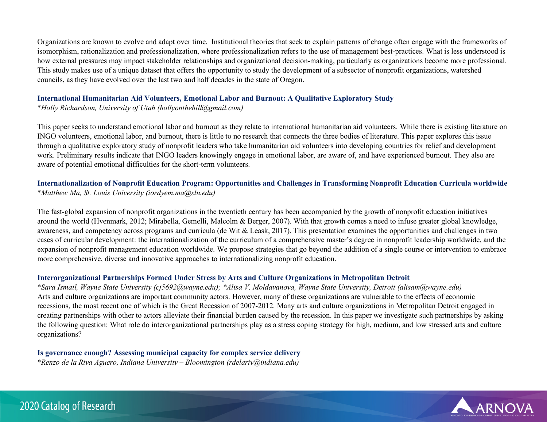Organizations are known to evolve and adapt over time. Institutional theories that seek to explain patterns of change often engage with the frameworks of isomorphism, rationalization and professionalization, where professionalization refers to the use of management best-practices. What is less understood is how external pressures may impact stakeholder relationships and organizational decision-making, particularly as organizations become more professional. This study makes use of a unique dataset that offers the opportunity to study the development of a subsector of nonprofit organizations, watershed councils, as they have evolved over the last two and half decades in the state of Oregon.

# **International Humanitarian Aid Volunteers, Emotional Labor and Burnout: A Qualitative Exploratory Study**

\**Holly Richardson, University of Utah (hollyonthehill@gmail.com)*

This paper seeks to understand emotional labor and burnout as they relate to international humanitarian aid volunteers. While there is existing literature on INGO volunteers, emotional labor, and burnout, there is little to no research that connects the three bodies of literature. This paper explores this issue through a qualitative exploratory study of nonprofit leaders who take humanitarian aid volunteers into developing countries for relief and development work. Preliminary results indicate that INGO leaders knowingly engage in emotional labor, are aware of, and have experienced burnout. They also are aware of potential emotional difficulties for the short-term volunteers.

# **Internationalization of Nonprofit Education Program: Opportunities and Challenges in Transforming Nonprofit Education Curricula worldwide**

\**Matthew Ma, St. Louis University (iordyem.ma@slu.edu)*

The fast-global expansion of nonprofit organizations in the twentieth century has been accompanied by the growth of nonprofit education initiatives around the world (Hvenmark, 2012; Mirabella, Gemelli, Malcolm & Berger, 2007). With that growth comes a need to infuse greater global knowledge, awareness, and competency across programs and curricula (de Wit & Leask, 2017). This presentation examines the opportunities and challenges in two cases of curricular development: the internationalization of the curriculum of a comprehensive master's degree in nonprofit leadership worldwide, and the expansion of nonprofit management education worldwide. We propose strategies that go beyond the addition of a single course or intervention to embrace more comprehensive, diverse and innovative approaches to internationalizing nonprofit education.

# **Interorganizational Partnerships Formed Under Stress by Arts and Culture Organizations in Metropolitan Detroit**

\**Sara Ismail, Wayne State University (cj5692@wayne.edu); \*Alisa V. Moldavanova, Wayne State University, Detroit (alisam@wayne.edu)* Arts and culture organizations are important community actors. However, many of these organizations are vulnerable to the effects of economic recessions, the most recent one of which is the Great Recession of 2007-2012. Many arts and culture organizations in Metropolitan Detroit engaged in creating partnerships with other to actors alleviate their financial burden caused by the recession. In this paper we investigate such partnerships by asking the following question: What role do interorganizational partnerships play as a stress coping strategy for high, medium, and low stressed arts and culture organizations?

# **Is governance enough? Assessing municipal capacity for complex service delivery**

\**Renzo de la Riva Aguero, Indiana University – Bloomington (rdelariv@indiana.edu)*

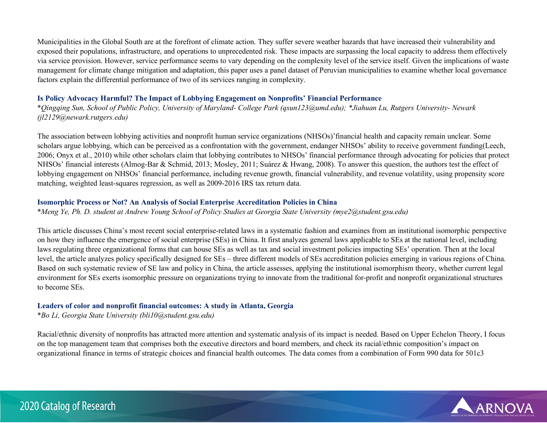Municipalities in the Global South are at the forefront of climate action. They suffer severe weather hazards that have increased their vulnerability and exposed their populations, infrastructure, and operations to unprecedented risk. These impacts are surpassing the local capacity to address them effectively via service provision. However, service performance seems to vary depending on the complexity level of the service itself. Given the implications of waste management for climate change mitigation and adaptation, this paper uses a panel dataset of Peruvian municipalities to examine whether local governance factors explain the differential performance of two of its services ranging in complexity.

# **Is Policy Advocacy Harmful? The Impact of Lobbying Engagement on Nonprofits' Financial Performance**

\**Qingqing Sun, School of Public Policy, University of Maryland- College Park (qsun123@umd.edu); \*Jiahuan Lu, Rutgers University- Newark (jl2129@newark.rutgers.edu)*

The association between lobbying activities and nonprofit human service organizations (NHSOs)'financial health and capacity remain unclear. Some scholars argue lobbying, which can be perceived as a confrontation with the government, endanger NHSOs' ability to receive government funding(Leech, 2006; Onyx et al., 2010) while other scholars claim that lobbying contributes to NHSOs' financial performance through advocating for policies that protect NHSOs' financial interests (Almog-Bar & Schmid, 2013; Mosley, 2011; Suárez & Hwang, 2008). To answer this question, the authors test the effect of lobbying engagement on NHSOs' financial performance, including revenue growth, financial vulnerability, and revenue volatility, using propensity score matching, weighted least-squares regression, as well as 2009-2016 IRS tax return data.

# **Isomorphic Process or Not? An Analysis of Social Enterprise Accreditation Policies in China**

\**Meng Ye, Ph. D. student at Andrew Young School of Policy Studies at Georgia State University (mye2@student.gsu.edu)*

This article discusses China's most recent social enterprise-related laws in a systematic fashion and examines from an institutional isomorphic perspective on how they influence the emergence of social enterprise (SEs) in China. It first analyzes general laws applicable to SEs at the national level, including laws regulating three organizational forms that can house SEs as well as tax and social investment policies impacting SEs' operation. Then at the local level, the article analyzes policy specifically designed for SEs – three different models of SEs accreditation policies emerging in various regions of China. Based on such systematic review of SE law and policy in China, the article assesses, applying the institutional isomorphism theory, whether current legal environment for SEs exerts isomorphic pressure on organizations trying to innovate from the traditional for-profit and nonprofit organizational structures to become SEs.

# **Leaders of color and nonprofit financial outcomes: A study in Atlanta, Georgia**

\**Bo Li, Georgia State University (bli10@student.gsu.edu)*

Racial/ethnic diversity of nonprofits has attracted more attention and systematic analysis of its impact is needed. Based on Upper Echelon Theory, I focus on the top management team that comprises both the executive directors and board members, and check its racial/ethnic composition's impact on organizational finance in terms of strategic choices and financial health outcomes. The data comes from a combination of Form 990 data for 501c3

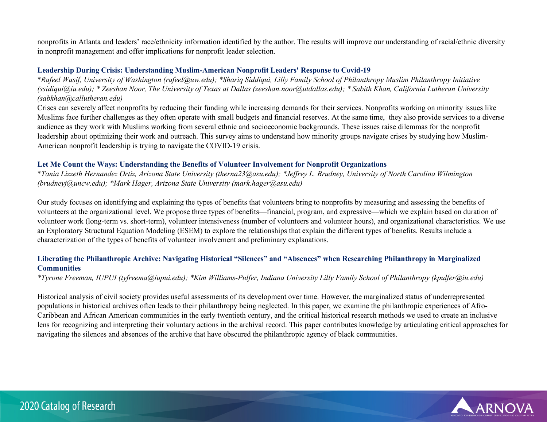nonprofits in Atlanta and leaders' race/ethnicity information identified by the author. The results will improve our understanding of racial/ethnic diversity in nonprofit management and offer implications for nonprofit leader selection.

#### **Leadership During Crisis: Understanding Muslim-American Nonprofit Leaders' Response to Covid-19**

\**Rafeel Wasif, University of Washington (rafeel@uw.edu); \*Shariq Siddiqui, Lilly Family School of Philanthropy Muslim Philanthropy Initiative (ssidiqui@iu.edu); \* Zeeshan Noor, The University of Texas at Dallas (zeeshan.noor@utdallas.edu); \* Sabith Khan, California Lutheran University (sabkhan@callutheran.edu)*

Crises can severely affect nonprofits by reducing their funding while increasing demands for their services. Nonprofits working on minority issues like Muslims face further challenges as they often operate with small budgets and financial reserves. At the same time, they also provide services to a diverse audience as they work with Muslims working from several ethnic and socioeconomic backgrounds. These issues raise dilemmas for the nonprofit leadership about optimizing their work and outreach. This survey aims to understand how minority groups navigate crises by studying how Muslim-American nonprofit leadership is trying to navigate the COVID-19 crisis.

# **Let Me Count the Ways: Understanding the Benefits of Volunteer Involvement for Nonprofit Organizations**

\**Tania Lizzeth Hernandez Ortiz, Arizona State University (therna23@asu.edu); \*Jeffrey L. Brudney, University of North Carolina Wilmington (brudneyj@uncw.edu); \*Mark Hager, Arizona State University (mark.hager@asu.edu)*

Our study focuses on identifying and explaining the types of benefits that volunteers bring to nonprofits by measuring and assessing the benefits of volunteers at the organizational level. We propose three types of benefits—financial, program, and expressive—which we explain based on duration of volunteer work (long-term vs. short-term), volunteer intensiveness (number of volunteers and volunteer hours), and organizational characteristics. We use an Exploratory Structural Equation Modeling (ESEM) to explore the relationships that explain the different types of benefits. Results include a characterization of the types of benefits of volunteer involvement and preliminary explanations.

# **Liberating the Philanthropic Archive: Navigating Historical "Silences" and "Absences" when Researching Philanthropy in Marginalized Communities**

*\*Tyrone Freeman, IUPUI (tyfreema@iupui.edu); \*Kim Williams-Pulfer, Indiana University Lilly Family School of Philanthropy (kpulfer@iu.edu)*

Historical analysis of civil society provides useful assessments of its development over time. However, the marginalized status of underrepresented populations in historical archives often leads to their philanthropy being neglected. In this paper, we examine the philanthropic experiences of Afro-Caribbean and African American communities in the early twentieth century, and the critical historical research methods we used to create an inclusive lens for recognizing and interpreting their voluntary actions in the archival record. This paper contributes knowledge by articulating critical approaches for navigating the silences and absences of the archive that have obscured the philanthropic agency of black communities.

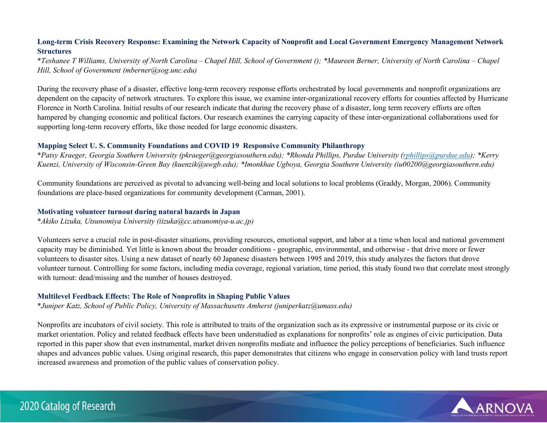# **Long-term Crisis Recovery Response: Examining the Network Capacity of Nonprofit and Local Government Emergency Management Network Structures**

\**Teshanee T Williams, University of North Carolina – Chapel Hill, School of Government (); \*Maureen Berner, University of North Carolina – Chapel Hill, School of Government (mberner@sog.unc.edu)*

During the recovery phase of a disaster, effective long-term recovery response efforts orchestrated by local governments and nonprofit organizations are dependent on the capacity of network structures. To explore this issue, we examine inter-organizational recovery efforts for counties affected by Hurricane Florence in North Carolina. Initial results of our research indicate that during the recovery phase of a disaster, long term recovery efforts are often hampered by changing economic and political factors. Our research examines the carrying capacity of these inter-organizational collaborations used for supporting long-term recovery efforts, like those needed for large economic disasters.

#### **Mapping Select U. S. Community Foundations and COVID 19 Responsive Community Philanthropy**

\**Patsy Kraeger, Georgia Southern University (pkraeger@georgiasouthern.edu); \*Rhonda Phillips, Purdue University [\(rphillips@purdue.edu\)](mailto:rphillips@purdue.edu); \*Kerry Kuenzi, University of Wisconsin-Green Bay (kuenzik@uwgb.edu); \*Imonkhae Ugboya, Georgia Southern University (iu00200@georgiasouthern.edu)*

Community foundations are perceived as pivotal to advancing well-being and local solutions to local problems (Graddy, Morgan, 2006). Community foundations are place-based organizations for community development (Carman, 2001).

#### **Motivating volunteer turnout during natural hazards in Japan**

\**Akiko Lizuka, Utsunomiya University (iizuka@cc.utsunomiya-u.ac.jp)*

Volunteers serve a crucial role in post-disaster situations, providing resources, emotional support, and labor at a time when local and national government capacity may be diminished. Yet little is known about the broader conditions - geographic, environmental, and otherwise - that drive more or fewer volunteers to disaster sites. Using a new dataset of nearly 60 Japanese disasters between 1995 and 2019, this study analyzes the factors that drove volunteer turnout. Controlling for some factors, including media coverage, regional variation, time period, this study found two that correlate most strongly with turnout: dead/missing and the number of houses destroyed.

#### **Multilevel Feedback Effects: The Role of Nonprofits in Shaping Public Values**

\**Juniper Katz, School of Public Policy, University of Massachusetts Amherst (juniperkatz@umass.edu)*

Nonprofits are incubators of civil society. This role is attributed to traits of the organization such as its expressive or instrumental purpose or its civic or market orientation. Policy and related feedback effects have been understudied as explanations for nonprofits' role as engines of civic participation. Data reported in this paper show that even instrumental, market driven nonprofits mediate and influence the policy perceptions of beneficiaries. Such influence shapes and advances public values. Using original research, this paper demonstrates that citizens who engage in conservation policy with land trusts report increased awareness and promotion of the public values of conservation policy.



# 2020 Catalog of Research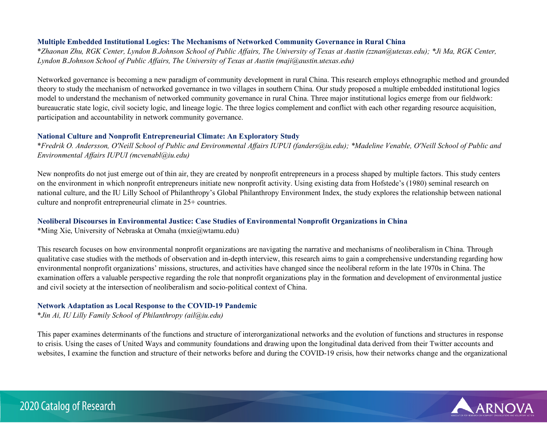#### **Multiple Embedded Institutional Logics: The Mechanisms of Networked Community Governance in Rural China**

\**Zhaonan Zhu, RGK Center, Lyndon B.Johnson School of Public Affairs, The University of Texas at Austin (zznan@utexas.edu); \*Ji Ma, RGK Center, Lyndon B.Johnson School of Public Affairs, The University of Texas at Austin (maji@austin.utexas.edu)*

Networked governance is becoming a new paradigm of community development in rural China. This research employs ethnographic method and grounded theory to study the mechanism of networked governance in two villages in southern China. Our study proposed a multiple embedded institutional logics model to understand the mechanism of networked community governance in rural China. Three major institutional logics emerge from our fieldwork: bureaucratic state logic, civil society logic, and lineage logic. The three logics complement and conflict with each other regarding resource acquisition, participation and accountability in network community governance.

### **National Culture and Nonprofit Entrepreneurial Climate: An Exploratory Study**

\**Fredrik O. Andersson, O'Neill School of Public and Environmental Affairs IUPUI (fanders@iu.edu); \*Madeline Venable, O'Neill School of Public and Environmental Affairs IUPUI (mcvenabl@iu.edu)*

New nonprofits do not just emerge out of thin air, they are created by nonprofit entrepreneurs in a process shaped by multiple factors. This study centers on the environment in which nonprofit entrepreneurs initiate new nonprofit activity. Using existing data from Hofstede's (1980) seminal research on national culture, and the IU Lilly School of Philanthropy's Global Philanthropy Environment Index, the study explores the relationship between national culture and nonprofit entrepreneurial climate in 25+ countries.

# **Neoliberal Discourses in Environmental Justice: Case Studies of Environmental Nonprofit Organizations in China**

\*Ming Xie, University of Nebraska at Omaha (mxie@wtamu.edu)

This research focuses on how environmental nonprofit organizations are navigating the narrative and mechanisms of neoliberalism in China. Through qualitative case studies with the methods of observation and in-depth interview, this research aims to gain a comprehensive understanding regarding how environmental nonprofit organizations' missions, structures, and activities have changed since the neoliberal reform in the late 1970s in China. The examination offers a valuable perspective regarding the role that nonprofit organizations play in the formation and development of environmental justice and civil society at the intersection of neoliberalism and socio-political context of China.

# **Network Adaptation as Local Response to the COVID-19 Pandemic**

\**Jin Ai, IU Lilly Family School of Philanthropy (ail@iu.edu)*

This paper examines determinants of the functions and structure of interorganizational networks and the evolution of functions and structures in response to crisis. Using the cases of United Ways and community foundations and drawing upon the longitudinal data derived from their Twitter accounts and websites, I examine the function and structure of their networks before and during the COVID-19 crisis, how their networks change and the organizational

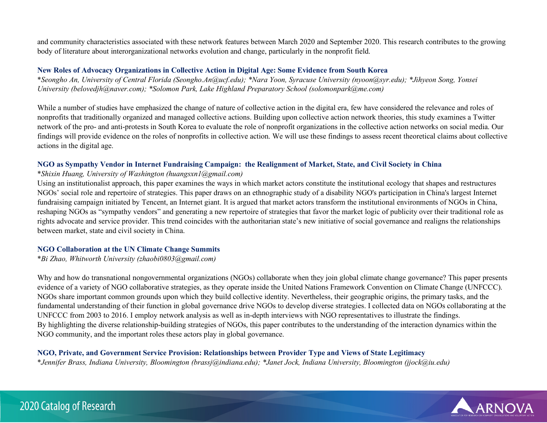and community characteristics associated with these network features between March 2020 and September 2020. This research contributes to the growing body of literature about interorganizational networks evolution and change, particularly in the nonprofit field.

#### **New Roles of Advocacy Organizations in Collective Action in Digital Age: Some Evidence from South Korea**

\**Seongho An, University of Central Florida (Seongho.An@ucf.edu); \*Nara Yoon, Syracuse University (nyoon@syr.edu); \*Jihyeon Song, Yonsei University (belovedjh@naver.com); \*Solomon Park, Lake Highland Preparatory School (solomonpark@me.com)*

While a number of studies have emphasized the change of nature of collective action in the digital era, few have considered the relevance and roles of nonprofits that traditionally organized and managed collective actions. Building upon collective action network theories, this study examines a Twitter network of the pro- and anti-protests in South Korea to evaluate the role of nonprofit organizations in the collective action networks on social media. Our findings will provide evidence on the roles of nonprofits in collective action. We will use these findings to assess recent theoretical claims about collective actions in the digital age.

# **NGO as Sympathy Vendor in Internet Fundraising Campaign: the Realignment of Market, State, and Civil Society in China**

\**Shixin Huang, University of Washington (huangsxn1@gmail.com)*

Using an institutionalist approach, this paper examines the ways in which market actors constitute the institutional ecology that shapes and restructures NGOs' social role and repertoire of strategies. This paper draws on an ethnographic study of a disability NGO's participation in China's largest Internet fundraising campaign initiated by Tencent, an Internet giant. It is argued that market actors transform the institutional environments of NGOs in China, reshaping NGOs as "sympathy vendors" and generating a new repertoire of strategies that favor the market logic of publicity over their traditional role as rights advocate and service provider. This trend coincides with the authoritarian state's new initiative of social governance and realigns the relationships between market, state and civil society in China.

#### **NGO Collaboration at the UN Climate Change Summits**

\**Bi Zhao, Whitworth University (zhaobi0803@gmail.com)*

Why and how do transnational nongovernmental organizations (NGOs) collaborate when they join global climate change governance? This paper presents evidence of a variety of NGO collaborative strategies, as they operate inside the United Nations Framework Convention on Climate Change (UNFCCC). NGOs share important common grounds upon which they build collective identity. Nevertheless, their geographic origins, the primary tasks, and the fundamental understanding of their function in global governance drive NGOs to develop diverse strategies. I collected data on NGOs collaborating at the UNFCCC from 2003 to 2016. I employ network analysis as well as in-depth interviews with NGO representatives to illustrate the findings. By highlighting the diverse relationship-building strategies of NGOs, this paper contributes to the understanding of the interaction dynamics within the NGO community, and the important roles these actors play in global governance.

# **NGO, Private, and Government Service Provision: Relationships between Provider Type and Views of State Legitimacy**

\**Jennifer Brass, Indiana University, Bloomington (brassj@indiana.edu); \*Janet Jock, Indiana University, Bloomington (jjock@iu.edu)*

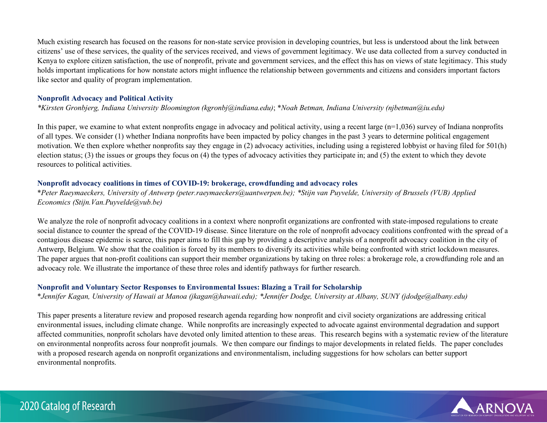Much existing research has focused on the reasons for non-state service provision in developing countries, but less is understood about the link between citizens' use of these services, the quality of the services received, and views of government legitimacy. We use data collected from a survey conducted in Kenya to explore citizen satisfaction, the use of nonprofit, private and government services, and the effect this has on views of state legitimacy. This study holds important implications for how nonstate actors might influence the relationship between governments and citizens and considers important factors like sector and quality of program implementation.

#### **Nonprofit Advocacy and Political Activity**

*\*Kirsten Gronbjerg, Indiana University Bloomington (kgronbj@indiana.edu)*; \**Noah Betman, Indiana University (njbetman@iu.edu)*

In this paper, we examine to what extent nonprofits engage in advocacy and political activity, using a recent large (n=1,036) survey of Indiana nonprofits of all types. We consider (1) whether Indiana nonprofits have been impacted by policy changes in the past 3 years to determine political engagement motivation. We then explore whether nonprofits say they engage in (2) advocacy activities, including using a registered lobbyist or having filed for 501(h) election status; (3) the issues or groups they focus on (4) the types of advocacy activities they participate in; and (5) the extent to which they devote resources to political activities.

# **Nonprofit advocacy coalitions in times of COVID-19: brokerage, crowdfunding and advocacy roles**

\**Peter Raeymaeckers, University of Antwerp (peter.raeymaeckers@uantwerpen.be); \*Stijn van Puyvelde, University of Brussels (VUB) Applied Economics (Stijn.Van.Puyvelde@vub.be)*

We analyze the role of nonprofit advocacy coalitions in a context where nonprofit organizations are confronted with state-imposed regulations to create social distance to counter the spread of the COVID-19 disease. Since literature on the role of nonprofit advocacy coalitions confronted with the spread of a contagious disease epidemic is scarce, this paper aims to fill this gap by providing a descriptive analysis of a nonprofit advocacy coalition in the city of Antwerp, Belgium. We show that the coalition is forced by its members to diversify its activities while being confronted with strict lockdown measures. The paper argues that non-profit coalitions can support their member organizations by taking on three roles: a brokerage role, a crowdfunding role and an advocacy role. We illustrate the importance of these three roles and identify pathways for further research.

# **Nonprofit and Voluntary Sector Responses to Environmental Issues: Blazing a Trail for Scholarship**

\**Jennifer Kagan, University of Hawaii at Manoa (jkagan@hawaii.edu); \*Jennifer Dodge, University at Albany, SUNY (jdodge@albany.edu)*

This paper presents a literature review and proposed research agenda regarding how nonprofit and civil society organizations are addressing critical environmental issues, including climate change. While nonprofits are increasingly expected to advocate against environmental degradation and support affected communities, nonprofit scholars have devoted only limited attention to these areas. This research begins with a systematic review of the literature on environmental nonprofits across four nonprofit journals. We then compare our findings to major developments in related fields. The paper concludes with a proposed research agenda on nonprofit organizations and environmentalism, including suggestions for how scholars can better support environmental nonprofits.

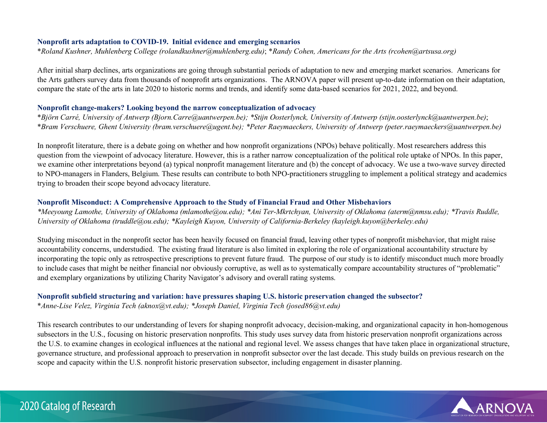#### **Nonprofit arts adaptation to COVID-19. Initial evidence and emerging scenarios**

\**Roland Kushner, Muhlenberg College (rolandkushner@muhlenberg.edu)*; \**Randy Cohen, Americans for the Arts (rcohen@artsusa.org)*

After initial sharp declines, arts organizations are going through substantial periods of adaptation to new and emerging market scenarios. Americans for the Arts gathers survey data from thousands of nonprofit arts organizations. The ARNOVA paper will present up-to-date information on their adaptation, compare the state of the arts in late 2020 to historic norms and trends, and identify some data-based scenarios for 2021, 2022, and beyond.

#### **Nonprofit change-makers? Looking beyond the narrow conceptualization of advocacy**

\**Björn Carré, University of Antwerp (Bjorn.Carre@uantwerpen.be); \*Stijn Oosterlynck, University of Antwerp (stijn.oosterlynck@uantwerpen.be)*; \**Bram Verschuere, Ghent University (bram.verschuere@ugent.be); \*Peter Raeymaeckers, University of Antwerp (peter.raeymaeckers@uantwerpen.be)*

In nonprofit literature, there is a debate going on whether and how nonprofit organizations (NPOs) behave politically. Most researchers address this question from the viewpoint of advocacy literature. However, this is a rather narrow conceptualization of the political role uptake of NPOs. In this paper, we examine other interpretations beyond (a) typical nonprofit management literature and (b) the concept of advocacy. We use a two-wave survey directed to NPO-managers in Flanders, Belgium. These results can contribute to both NPO-practitioners struggling to implement a political strategy and academics trying to broaden their scope beyond advocacy literature.

### **Nonprofit Misconduct: A Comprehensive Approach to the Study of Financial Fraud and Other Misbehaviors**

*\*Meeyoung Lamothe, University of Oklahoma (mlamothe@ou.edu); \*Ani Ter-Mkrtchyan, University of Oklahoma (aterm@nmsu.edu); \*Travis Ruddle, University of Oklahoma (truddle@ou.edu); \*Kayleigh Kuyon, University of California-Berkeley (kayleigh.kuyon@berkeley.edu)*

Studying misconduct in the nonprofit sector has been heavily focused on financial fraud, leaving other types of nonprofit misbehavior, that might raise accountability concerns, understudied. The existing fraud literature is also limited in exploring the role of organizational accountability structure by incorporating the topic only as retrospective prescriptions to prevent future fraud. The purpose of our study is to identify misconduct much more broadly to include cases that might be neither financial nor obviously corruptive, as well as to systematically compare accountability structures of "problematic" and exemplary organizations by utilizing Charity Navigator's advisory and overall rating systems.

# **Nonprofit subfield structuring and variation: have pressures shaping U.S. historic preservation changed the subsector?**

\**Anne-Lise Velez, Virginia Tech (aknox@vt.edu); \*Joseph Daniel, Virginia Tech (josed86@vt.edu)*

This research contributes to our understanding of levers for shaping nonprofit advocacy, decision-making, and organizational capacity in hon-homogenous subsectors in the U.S., focusing on historic preservation nonprofits. This study uses survey data from historic preservation nonprofit organizations across the U.S. to examine changes in ecological influences at the national and regional level. We assess changes that have taken place in organizational structure, governance structure, and professional approach to preservation in nonprofit subsector over the last decade. This study builds on previous research on the scope and capacity within the U.S. nonprofit historic preservation subsector, including engagement in disaster planning.

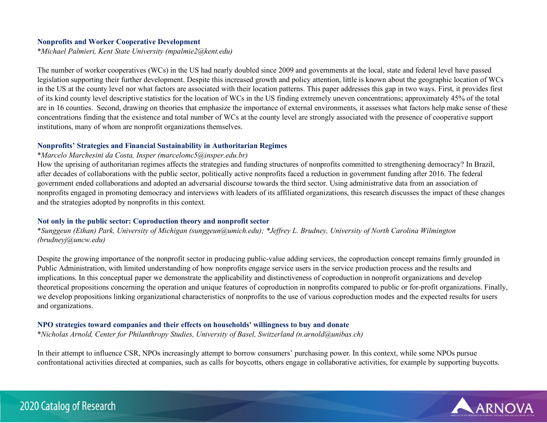#### **Nonprofits and Worker Cooperative Development**

\**Michael Palmieri, Kent State University (mpalmie2@kent.edu)*

The number of worker cooperatives (WCs) in the US had nearly doubled since 2009 and governments at the local, state and federal level have passed legislation supporting their further development. Despite this increased growth and policy attention, little is known about the geographic location of WCs in the US at the county level nor what factors are associated with their location patterns. This paper addresses this gap in two ways. First, it provides first of its kind county level descriptive statistics for the location of WCs in the US finding extremely uneven concentrations; approximately 45% of the total are in 16 counties. Second, drawing on theories that emphasize the importance of external environments, it assesses what factors help make sense of these concentrations finding that the existence and total number of WCs at the county level are strongly associated with the presence of cooperative support institutions, many of whom are nonprofit organizations themselves.

#### **Nonprofits' Strategies and Financial Sustainability in Authoritarian Regimes**

#### \**Marcelo Marchesini da Costa, Insper (marcelomc5@insper.edu.br)*

How the uprising of authoritarian regimes affects the strategies and funding structures of nonprofits committed to strengthening democracy? In Brazil, after decades of collaborations with the public sector, politically active nonprofits faced a reduction in government funding after 2016. The federal government ended collaborations and adopted an adversarial discourse towards the third sector. Using administrative data from an association of nonprofits engaged in promoting democracy and interviews with leaders of its affiliated organizations, this research discusses the impact of these changes and the strategies adopted by nonprofits in this context.

#### **Not only in the public sector: Coproduction theory and nonprofit sector**

\**Sunggeun (Ethan) Park, University of Michigan (sunggeun@umich.edu); \*Jeffrey L. Brudney, University of North Carolina Wilmington (brudneyj@uncw.edu)*

Despite the growing importance of the nonprofit sector in producing public-value adding services, the coproduction concept remains firmly grounded in Public Administration, with limited understanding of how nonprofits engage service users in the service production process and the results and implications. In this conceptual paper we demonstrate the applicability and distinctiveness of coproduction in nonprofit organizations and develop theoretical propositions concerning the operation and unique features of coproduction in nonprofits compared to public or for-profit organizations. Finally, we develop propositions linking organizational characteristics of nonprofits to the use of various coproduction modes and the expected results for users and organizations.

#### **NPO strategies toward companies and their effects on households' willingness to buy and donate**

\**Nicholas Arnold, Center for Philanthropy Studies, University of Basel, Switzerland (n.arnold@unibas.ch)*

In their attempt to influence CSR, NPOs increasingly attempt to borrow consumers' purchasing power. In this context, while some NPOs pursue confrontational activities directed at companies, such as calls for boycotts, others engage in collaborative activities, for example by supporting buycotts.

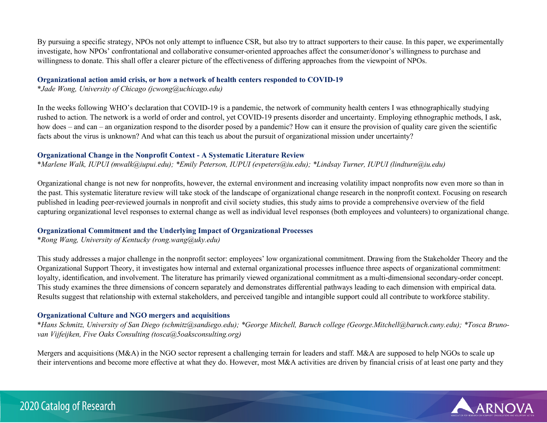By pursuing a specific strategy, NPOs not only attempt to influence CSR, but also try to attract supporters to their cause. In this paper, we experimentally investigate, how NPOs' confrontational and collaborative consumer-oriented approaches affect the consumer/donor's willingness to purchase and willingness to donate. This shall offer a clearer picture of the effectiveness of differing approaches from the viewpoint of NPOs.

#### **Organizational action amid crisis, or how a network of health centers responded to COVID-19**

\**Jade Wong, University of Chicago (jcwong@uchicago.edu)*

In the weeks following WHO's declaration that COVID-19 is a pandemic, the network of community health centers I was ethnographically studying rushed to action. The network is a world of order and control, yet COVID-19 presents disorder and uncertainty. Employing ethnographic methods, I ask, how does – and can – an organization respond to the disorder posed by a pandemic? How can it ensure the provision of quality care given the scientific facts about the virus is unknown? And what can this teach us about the pursuit of organizational mission under uncertainty?

### **Organizational Change in the Nonprofit Context - A Systematic Literature Review**

\**Marlene Walk, IUPUI (mwalk@iupui.edu); \*Emily Peterson, IUPUI (evpeters@iu.edu); \*Lindsay Turner, IUPUI (lindturn@iu.edu)*

Organizational change is not new for nonprofits, however, the external environment and increasing volatility impact nonprofits now even more so than in the past. This systematic literature review will take stock of the landscape of organizational change research in the nonprofit context. Focusing on research published in leading peer-reviewed journals in nonprofit and civil society studies, this study aims to provide a comprehensive overview of the field capturing organizational level responses to external change as well as individual level responses (both employees and volunteers) to organizational change.

# **Organizational Commitment and the Underlying Impact of Organizational Processes**

\**Rong Wang, University of Kentucky (rong.wang@uky.edu)*

This study addresses a major challenge in the nonprofit sector: employees' low organizational commitment. Drawing from the Stakeholder Theory and the Organizational Support Theory, it investigates how internal and external organizational processes influence three aspects of organizational commitment: loyalty, identification, and involvement. The literature has primarily viewed organizational commitment as a multi-dimensional secondary-order concept. This study examines the three dimensions of concern separately and demonstrates differential pathways leading to each dimension with empirical data. Results suggest that relationship with external stakeholders, and perceived tangible and intangible support could all contribute to workforce stability.

# **Organizational Culture and NGO mergers and acquisitions**

\**Hans Schmitz, University of San Diego (schmitz@sandiego.edu); \*George Mitchell, Baruch college (George.Mitchell@baruch.cuny.edu); \*Tosca Brunovan Vijfeijken, Five Oaks Consulting (tosca@5oaksconsulting.org)*

Mergers and acquisitions (M&A) in the NGO sector represent a challenging terrain for leaders and staff. M&A are supposed to help NGOs to scale up their interventions and become more effective at what they do. However, most M&A activities are driven by financial crisis of at least one party and they

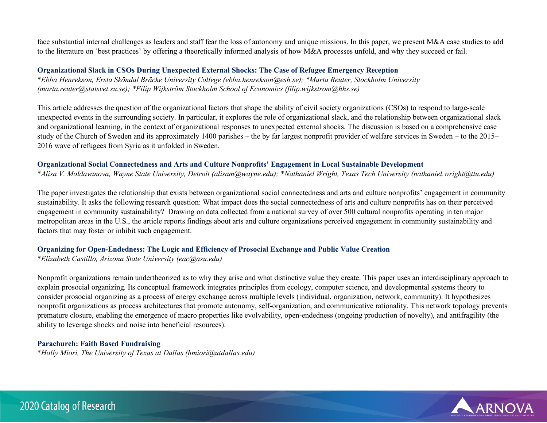face substantial internal challenges as leaders and staff fear the loss of autonomy and unique missions. In this paper, we present M&A case studies to add to the literature on 'best practices' by offering a theoretically informed analysis of how M&A processes unfold, and why they succeed or fail.

### **Organizational Slack in CSOs During Unexpected External Shocks: The Case of Refugee Emergency Reception**

\**Ebba Henrekson, Ersta Sköndal Bräcke University College (ebba.henrekson@esh.se); \*Marta Reuter, Stockholm University (marta.reuter@statsvet.su.se); \*Filip Wijkström Stockholm School of Economics (filip.wijkstrom@hhs.se)*

This article addresses the question of the organizational factors that shape the ability of civil society organizations (CSOs) to respond to large-scale unexpected events in the surrounding society. In particular, it explores the role of organizational slack, and the relationship between organizational slack and organizational learning, in the context of organizational responses to unexpected external shocks. The discussion is based on a comprehensive case study of the Church of Sweden and its approximately 1400 parishes – the by far largest nonprofit provider of welfare services in Sweden – to the 2015– 2016 wave of refugees from Syria as it unfolded in Sweden.

#### **Organizational Social Connectedness and Arts and Culture Nonprofits' Engagement in Local Sustainable Development**

\**Alisa V. Moldavanova, Wayne State University, Detroit (alisam@wayne.edu);* \**Nathaniel Wright, Texas Tech University (nathaniel.wright@ttu.edu)*

The paper investigates the relationship that exists between organizational social connectedness and arts and culture nonprofits' engagement in community sustainability. It asks the following research question: What impact does the social connectedness of arts and culture nonprofits has on their perceived engagement in community sustainability? Drawing on data collected from a national survey of over 500 cultural nonprofits operating in ten major metropolitan areas in the U.S., the article reports findings about arts and culture organizations perceived engagement in community sustainability and factors that may foster or inhibit such engagement.

# **Organizing for Open-Endedness: The Logic and Efficiency of Prosocial Exchange and Public Value Creation**

\**Elizabeth Castillo, Arizona State University (eac@asu.edu)*

Nonprofit organizations remain undertheorized as to why they arise and what distinctive value they create. This paper uses an interdisciplinary approach to explain prosocial organizing. Its conceptual framework integrates principles from ecology, computer science, and developmental systems theory to consider prosocial organizing as a process of energy exchange across multiple levels (individual, organization, network, community). It hypothesizes nonprofit organizations as process architectures that promote autonomy, self-organization, and communicative rationality. This network topology prevents premature closure, enabling the emergence of macro properties like evolvability, open-endedness (ongoing production of novelty), and antifragility (the ability to leverage shocks and noise into beneficial resources).

# **Parachurch: Faith Based Fundraising**

\**Holly Miori, The University of Texas at Dallas (hmiori@utdallas.edu)*

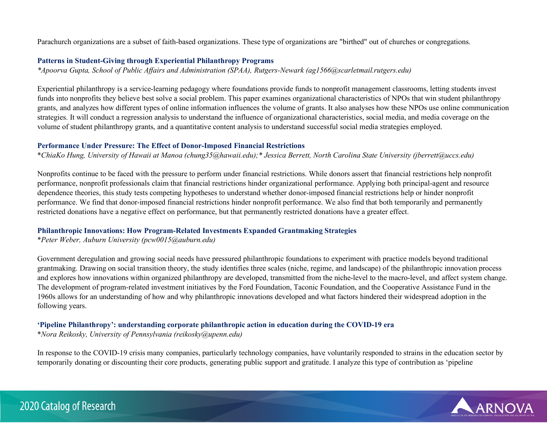Parachurch organizations are a subset of faith-based organizations. These type of organizations are "birthed" out of churches or congregations.

#### **Patterns in Student-Giving through Experiential Philanthropy Programs**

*\*Apoorva Gupta, School of Public Affairs and Administration (SPAA), Rutgers-Newark (ag1566@scarletmail.rutgers.edu)*

Experiential philanthropy is a service-learning pedagogy where foundations provide funds to nonprofit management classrooms, letting students invest funds into nonprofits they believe best solve a social problem. This paper examines organizational characteristics of NPOs that win student philanthropy grants, and analyzes how different types of online information influences the volume of grants. It also analyses how these NPOs use online communication strategies. It will conduct a regression analysis to understand the influence of organizational characteristics, social media, and media coverage on the volume of student philanthropy grants, and a quantitative content analysis to understand successful social media strategies employed.

# **Performance Under Pressure: The Effect of Donor-Imposed Financial Restrictions**

\**ChiaKo Hung, University of Hawaii at Manoa (chung35@hawaii.edu);\* Jessica Berrett, North Carolina State University (jberrett@uccs.edu)*

Nonprofits continue to be faced with the pressure to perform under financial restrictions. While donors assert that financial restrictions help nonprofit performance, nonprofit professionals claim that financial restrictions hinder organizational performance. Applying both principal-agent and resource dependence theories, this study tests competing hypotheses to understand whether donor-imposed financial restrictions help or hinder nonprofit performance. We find that donor-imposed financial restrictions hinder nonprofit performance. We also find that both temporarily and permanently restricted donations have a negative effect on performance, but that permanently restricted donations have a greater effect.

# **Philanthropic Innovations: How Program-Related Investments Expanded Grantmaking Strategies**

\**Peter Weber, Auburn University (pcw0015@auburn.edu)*

Government deregulation and growing social needs have pressured philanthropic foundations to experiment with practice models beyond traditional grantmaking. Drawing on social transition theory, the study identifies three scales (niche, regime, and landscape) of the philanthropic innovation process and explores how innovations within organized philanthropy are developed, transmitted from the niche-level to the macro-level, and affect system change. The development of program-related investment initiatives by the Ford Foundation, Taconic Foundation, and the Cooperative Assistance Fund in the 1960s allows for an understanding of how and why philanthropic innovations developed and what factors hindered their widespread adoption in the following years.

# **'Pipeline Philanthropy': understanding corporate philanthropic action in education during the COVID-19 era**

\**Nora Reikosky, University of Pennsylvania (reikosky@upenn.edu)*

In response to the COVID-19 crisis many companies, particularly technology companies, have voluntarily responded to strains in the education sector by temporarily donating or discounting their core products, generating public support and gratitude. I analyze this type of contribution as 'pipeline

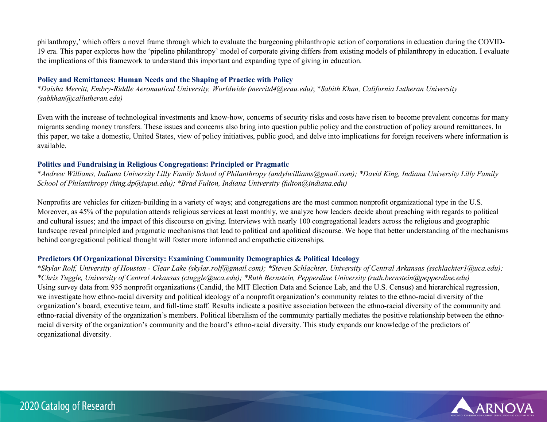philanthropy,' which offers a novel frame through which to evaluate the burgeoning philanthropic action of corporations in education during the COVID-19 era. This paper explores how the 'pipeline philanthropy' model of corporate giving differs from existing models of philanthropy in education. I evaluate the implications of this framework to understand this important and expanding type of giving in education.

### **Policy and Remittances: Human Needs and the Shaping of Practice with Policy**

\**Daisha Merritt, Embry-Riddle Aeronautical University, Worldwide (merritd4@erau.edu)*; \**Sabith Khan, California Lutheran University (sabkhan@callutheran.edu)*

Even with the increase of technological investments and know-how, concerns of security risks and costs have risen to become prevalent concerns for many migrants sending money transfers. These issues and concerns also bring into question public policy and the construction of policy around remittances. In this paper, we take a domestic, United States, view of policy initiatives, public good, and delve into implications for foreign receivers where information is available.

#### **Politics and Fundraising in Religious Congregations: Principled or Pragmatic**

\**Andrew Williams, Indiana University Lilly Family School of Philanthropy (andylwilliams@gmail.com); \*David King, Indiana University Lilly Family School of Philanthropy (king.dp@iupui.edu); \*Brad Fulton, Indiana University (fulton@indiana.edu)*

Nonprofits are vehicles for citizen-building in a variety of ways; and congregations are the most common nonprofit organizational type in the U.S. Moreover, as 45% of the population attends religious services at least monthly, we analyze how leaders decide about preaching with regards to political and cultural issues; and the impact of this discourse on giving. Interviews with nearly 100 congregational leaders across the religious and geographic landscape reveal principled and pragmatic mechanisms that lead to political and apolitical discourse. We hope that better understanding of the mechanisms behind congregational political thought will foster more informed and empathetic citizenships.

# **Predictors Of Organizational Diversity: Examining Community Demographics & Political Ideology**

\**Skylar Rolf, University of Houston - Clear Lake (skylar.rolf@gmail.com); \*Steven Schlachter, University of Central Arkansas (sschlachter1@uca.edu); \*Chris Tuggle, University of Central Arkansas (ctuggle@uca.edu); \*Ruth Bernstein, Pepperdine University (ruth.bernstein@pepperdine.edu)* Using survey data from 935 nonprofit organizations (Candid, the MIT Election Data and Science Lab, and the U.S. Census) and hierarchical regression, we investigate how ethno-racial diversity and political ideology of a nonprofit organization's community relates to the ethno-racial diversity of the organization's board, executive team, and full-time staff. Results indicate a positive association between the ethno-racial diversity of the community and ethno-racial diversity of the organization's members. Political liberalism of the community partially mediates the positive relationship between the ethnoracial diversity of the organization's community and the board's ethno-racial diversity. This study expands our knowledge of the predictors of organizational diversity.

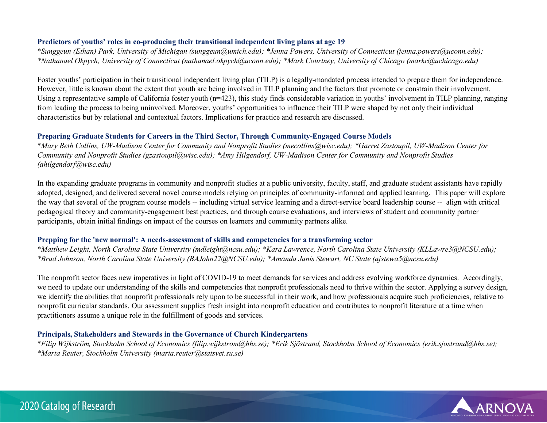### **Predictors of youths' roles in co-producing their transitional independent living plans at age 19**

\**Sunggeun (Ethan) Park, University of Michigan (sunggeun@umich.edu); \*Jenna Powers, University of Connecticut (jenna.powers@uconn.edu); \*Nathanael Okpych, University of Connecticut (nathanael.okpych@uconn.edu); \*Mark Courtney, University of Chicago (markc@uchicago.edu)*

Foster youths' participation in their transitional independent living plan (TILP) is a legally-mandated process intended to prepare them for independence. However, little is known about the extent that youth are being involved in TILP planning and the factors that promote or constrain their involvement. Using a representative sample of California foster youth (n=423), this study finds considerable variation in youths' involvement in TILP planning, ranging from leading the process to being uninvolved. Moreover, youths' opportunities to influence their TILP were shaped by not only their individual characteristics but by relational and contextual factors. Implications for practice and research are discussed.

### **Preparing Graduate Students for Careers in the Third Sector, Through Community-Engaged Course Models**

\**Mary Beth Collins, UW-Madison Center for Community and Nonprofit Studies (mecollins@wisc.edu); \*Garret Zastoupil, UW-Madison Center for Community and Nonprofit Studies (gzastoupil@wisc.edu); \*Amy Hilgendorf, UW-Madison Center for Community and Nonprofit Studies (ahilgendorf@wisc.edu)*

In the expanding graduate programs in community and nonprofit studies at a public university, faculty, staff, and graduate student assistants have rapidly adopted, designed, and delivered several novel course models relying on principles of community-informed and applied learning. This paper will explore the way that several of the program course models -- including virtual service learning and a direct-service board leadership course -- align with critical pedagogical theory and community-engagement best practices, and through course evaluations, and interviews of student and community partner participants, obtain initial findings on impact of the courses on learners and community partners alike.

#### **Prepping for the 'new normal': A needs-assessment of skills and competencies for a transforming sector**

\**Matthew Leight, North Carolina State University (mdleight@ncsu.edu); \*Kara Lawrence, North Carolina State University (KLLawre3@NCSU.edu); \*Brad Johnson, North Carolina State University (BAJohn22@NCSU.edu); \*Amanda Janis Stewart, NC State (ajstewa5@ncsu.edu)*

The nonprofit sector faces new imperatives in light of COVID-19 to meet demands for services and address evolving workforce dynamics. Accordingly, we need to update our understanding of the skills and competencies that nonprofit professionals need to thrive within the sector. Applying a survey design, we identify the abilities that nonprofit professionals rely upon to be successful in their work, and how professionals acquire such proficiencies, relative to nonprofit curricular standards. Our assessment supplies fresh insight into nonprofit education and contributes to nonprofit literature at a time when practitioners assume a unique role in the fulfillment of goods and services.

# **Principals, Stakeholders and Stewards in the Governance of Church Kindergartens**

\**Filip Wijkström, Stockholm School of Economics (filip.wijkstrom@hhs.se); \*Erik Sjöstrand, Stockholm School of Economics (erik.sjostrand@hhs.se); \*Marta Reuter, Stockholm University (marta.reuter@statsvet.su.se)*

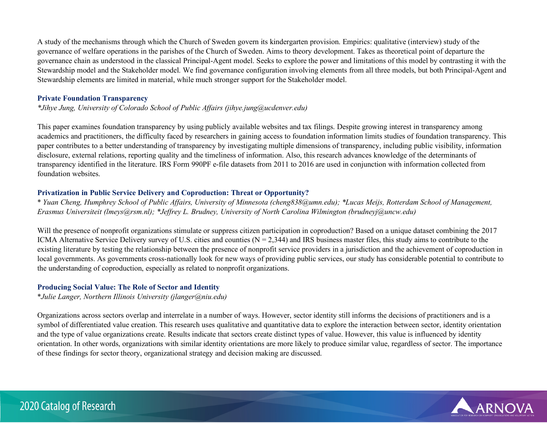A study of the mechanisms through which the Church of Sweden govern its kindergarten provision. Empirics: qualitative (interview) study of the governance of welfare operations in the parishes of the Church of Sweden. Aims to theory development. Takes as theoretical point of departure the governance chain as understood in the classical Principal-Agent model. Seeks to explore the power and limitations of this model by contrasting it with the Stewardship model and the Stakeholder model. We find governance configuration involving elements from all three models, but both Principal-Agent and Stewardship elements are limited in material, while much stronger support for the Stakeholder model.

### **Private Foundation Transparency**

*\*Jihye Jung, University of Colorado School of Public Affairs (jihye.jung@ucdenver.edu)*

This paper examines foundation transparency by using publicly available websites and tax filings. Despite growing interest in transparency among academics and practitioners, the difficulty faced by researchers in gaining access to foundation information limits studies of foundation transparency. This paper contributes to a better understanding of transparency by investigating multiple dimensions of transparency, including public visibility, information disclosure, external relations, reporting quality and the timeliness of information. Also, this research advances knowledge of the determinants of transparency identified in the literature. IRS Form 990PF e-file datasets from 2011 to 2016 are used in conjunction with information collected from foundation websites.

# **Privatization in Public Service Delivery and Coproduction: Threat or Opportunity?**

\* *Yuan Cheng, Humphrey School of Public Affairs, University of Minnesota (cheng838@umn.edu); \*Lucas Meijs, Rotterdam School of Management, Erasmus Universiteit (lmeys@rsm.nl); \*Jeffrey L. Brudney, University of North Carolina Wilmington (brudneyj@uncw.edu)*

Will the presence of nonprofit organizations stimulate or suppress citizen participation in coproduction? Based on a unique dataset combining the 2017 ICMA Alternative Service Delivery survey of U.S. cities and counties ( $N = 2,344$ ) and IRS business master files, this study aims to contribute to the existing literature by testing the relationship between the presence of nonprofit service providers in a jurisdiction and the achievement of coproduction in local governments. As governments cross-nationally look for new ways of providing public services, our study has considerable potential to contribute to the understanding of coproduction, especially as related to nonprofit organizations.

# **Producing Social Value: The Role of Sector and Identity**

\**Julie Langer, Northern Illinois University (jlanger@niu.edu)*

Organizations across sectors overlap and interrelate in a number of ways. However, sector identity still informs the decisions of practitioners and is a symbol of differentiated value creation. This research uses qualitative and quantitative data to explore the interaction between sector, identity orientation and the type of value organizations create. Results indicate that sectors create distinct types of value. However, this value is influenced by identity orientation. In other words, organizations with similar identity orientations are more likely to produce similar value, regardless of sector. The importance of these findings for sector theory, organizational strategy and decision making are discussed.



# 2020 Catalog of Research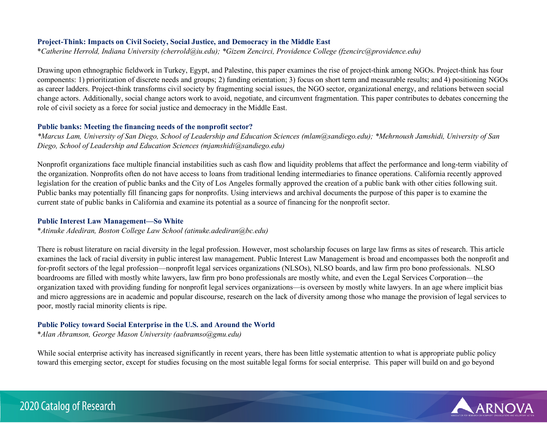#### **Project-Think: Impacts on Civil Society, Social Justice, and Democracy in the Middle East**

\**Catherine Herrold, Indiana University (cherrold@iu.edu); \*Gizem Zencirci, Providence College (fzencirc@providence.edu)*

Drawing upon ethnographic fieldwork in Turkey, Egypt, and Palestine, this paper examines the rise of project-think among NGOs. Project-think has four components: 1) prioritization of discrete needs and groups; 2) funding orientation; 3) focus on short term and measurable results; and 4) positioning NGOs as career ladders. Project-think transforms civil society by fragmenting social issues, the NGO sector, organizational energy, and relations between social change actors. Additionally, social change actors work to avoid, negotiate, and circumvent fragmentation. This paper contributes to debates concerning the role of civil society as a force for social justice and democracy in the Middle East.

### **Public banks: Meeting the financing needs of the nonprofit sector?**

*\*Marcus Lam, University of San Diego, School of Leadership and Education Sciences (mlam@sandiego.edu); \*Mehrnoush Jamshidi, University of San Diego, School of Leadership and Education Sciences (mjamshidi@sandiego.edu)*

Nonprofit organizations face multiple financial instabilities such as cash flow and liquidity problems that affect the performance and long-term viability of the organization. Nonprofits often do not have access to loans from traditional lending intermediaries to finance operations. California recently approved legislation for the creation of public banks and the City of Los Angeles formally approved the creation of a public bank with other cities following suit. Public banks may potentially fill financing gaps for nonprofits. Using interviews and archival documents the purpose of this paper is to examine the current state of public banks in California and examine its potential as a source of financing for the nonprofit sector.

#### **Public Interest Law Management—So White**

\**Atinuke Adediran, Boston College Law School (atinuke.adediran@bc.edu)*

There is robust literature on racial diversity in the legal profession. However, most scholarship focuses on large law firms as sites of research. This article examines the lack of racial diversity in public interest law management. Public Interest Law Management is broad and encompasses both the nonprofit and for-profit sectors of the legal profession—nonprofit legal services organizations (NLSOs), NLSO boards, and law firm pro bono professionals. NLSO boardrooms are filled with mostly white lawyers, law firm pro bono professionals are mostly white, and even the Legal Services Corporation—the organization taxed with providing funding for nonprofit legal services organizations—is overseen by mostly white lawyers. In an age where implicit bias and micro aggressions are in academic and popular discourse, research on the lack of diversity among those who manage the provision of legal services to poor, mostly racial minority clients is ripe.

# **Public Policy toward Social Enterprise in the U.S. and Around the World**

\**Alan Abramson, George Mason University (aabramso@gmu.edu)*

While social enterprise activity has increased significantly in recent years, there has been little systematic attention to what is appropriate public policy toward this emerging sector, except for studies focusing on the most suitable legal forms for social enterprise. This paper will build on and go beyond

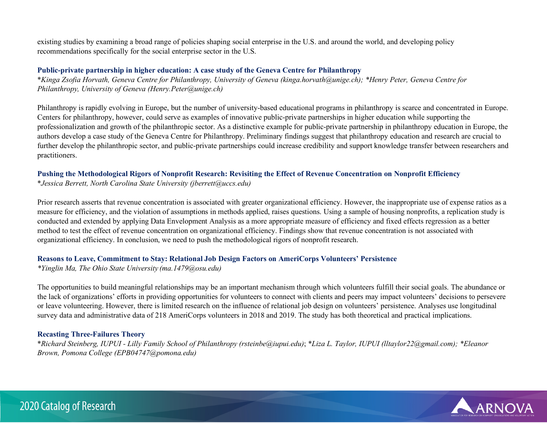existing studies by examining a broad range of policies shaping social enterprise in the U.S. and around the world, and developing policy recommendations specifically for the social enterprise sector in the U.S.

#### **Public-private partnership in higher education: A case study of the Geneva Centre for Philanthropy**

\**Kinga Zsofia Horvath, Geneva Centre for Philanthropy, University of Geneva (kinga.horvath@unige.ch); \*Henry Peter, Geneva Centre for Philanthropy, University of Geneva (Henry.Peter@unige.ch)*

Philanthropy is rapidly evolving in Europe, but the number of university-based educational programs in philanthropy is scarce and concentrated in Europe. Centers for philanthropy, however, could serve as examples of innovative public-private partnerships in higher education while supporting the professionalization and growth of the philanthropic sector. As a distinctive example for public-private partnership in philanthropy education in Europe, the authors develop a case study of the Geneva Centre for Philanthropy. Preliminary findings suggest that philanthropy education and research are crucial to further develop the philanthropic sector, and public-private partnerships could increase credibility and support knowledge transfer between researchers and practitioners.

### **Pushing the Methodological Rigors of Nonprofit Research: Revisiting the Effect of Revenue Concentration on Nonprofit Efficiency**

\**Jessica Berrett, North Carolina State University (jberrett@uccs.edu)*

Prior research asserts that revenue concentration is associated with greater organizational efficiency. However, the inappropriate use of expense ratios as a measure for efficiency, and the violation of assumptions in methods applied, raises questions. Using a sample of housing nonprofits, a replication study is conducted and extended by applying Data Envelopment Analysis as a more appropriate measure of efficiency and fixed effects regression as a better method to test the effect of revenue concentration on organizational efficiency. Findings show that revenue concentration is not associated with organizational efficiency. In conclusion, we need to push the methodological rigors of nonprofit research.

#### **Reasons to Leave, Commitment to Stay: Relational Job Design Factors on AmeriCorps Volunteers' Persistence**

*\*Yinglin Ma, The Ohio State University (ma.1479@osu.edu)*

The opportunities to build meaningful relationships may be an important mechanism through which volunteers fulfill their social goals. The abundance or the lack of organizations' efforts in providing opportunities for volunteers to connect with clients and peers may impact volunteers' decisions to persevere or leave volunteering. However, there is limited research on the influence of relational job design on volunteers' persistence. Analyses use longitudinal survey data and administrative data of 218 AmeriCorps volunteers in 2018 and 2019. The study has both theoretical and practical implications.

#### **Recasting Three-Failures Theory**

\**Richard Steinberg, IUPUI - Lilly Family School of Philanthropy (rsteinbe@iupui.edu)*; \**Liza L. Taylor, IUPUI (lltaylor22@gmail.com); \*Eleanor Brown, Pomona College (EPB04747@pomona.edu)*

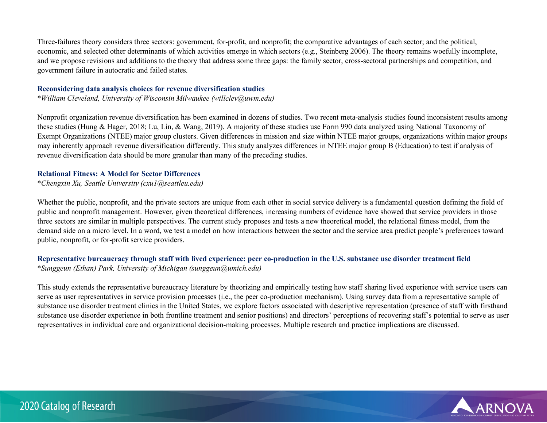Three-failures theory considers three sectors: government, for-profit, and nonprofit; the comparative advantages of each sector; and the political, economic, and selected other determinants of which activities emerge in which sectors (e.g., Steinberg 2006). The theory remains woefully incomplete, and we propose revisions and additions to the theory that address some three gaps: the family sector, cross-sectoral partnerships and competition, and government failure in autocratic and failed states.

#### **Reconsidering data analysis choices for revenue diversification studies**

\**William Cleveland, University of Wisconsin Milwaukee (willclev@uwm.edu)*

Nonprofit organization revenue diversification has been examined in dozens of studies. Two recent meta-analysis studies found inconsistent results among these studies (Hung & Hager, 2018; Lu, Lin, & Wang, 2019). A majority of these studies use Form 990 data analyzed using National Taxonomy of Exempt Organizations (NTEE) major group clusters. Given differences in mission and size within NTEE major groups, organizations within major groups may inherently approach revenue diversification differently. This study analyzes differences in NTEE major group B (Education) to test if analysis of revenue diversification data should be more granular than many of the preceding studies.

### **Relational Fitness: A Model for Sector Differences**

\**Chengxin Xu, Seattle University (cxu1@seattleu.edu)*

Whether the public, nonprofit, and the private sectors are unique from each other in social service delivery is a fundamental question defining the field of public and nonprofit management. However, given theoretical differences, increasing numbers of evidence have showed that service providers in those three sectors are similar in multiple perspectives. The current study proposes and tests a new theoretical model, the relational fitness model, from the demand side on a micro level. In a word, we test a model on how interactions between the sector and the service area predict people's preferences toward public, nonprofit, or for-profit service providers.

#### **Representative bureaucracy through staff with lived experience: peer co-production in the U.S. substance use disorder treatment field**  \**Sunggeun (Ethan) Park, University of Michigan (sunggeun@umich.edu)*

This study extends the representative bureaucracy literature by theorizing and empirically testing how staff sharing lived experience with service users can serve as user representatives in service provision processes (i.e., the peer co-production mechanism). Using survey data from a representative sample of substance use disorder treatment clinics in the United States, we explore factors associated with descriptive representation (presence of staff with firsthand substance use disorder experience in both frontline treatment and senior positions) and directors' perceptions of recovering staff's potential to serve as user representatives in individual care and organizational decision-making processes. Multiple research and practice implications are discussed.

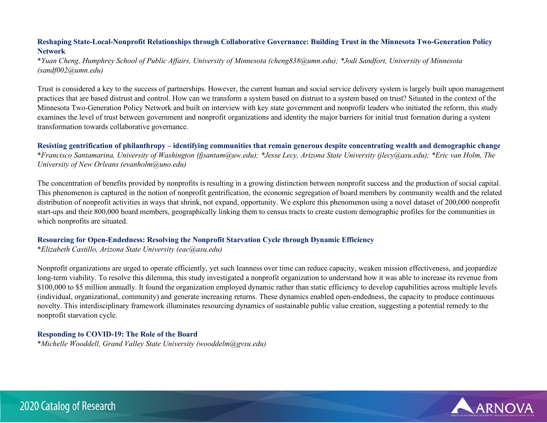# **Reshaping State-Local-Nonprofit Relationships through Collaborative Governance: Building Trust in the Minnesota Two-Generation Policy Network**

\**Yuan Cheng, Humphrey School of Public Affairs, University of Minnesota (cheng838@umn.edu); \*Jodi Sandfort, University of Minnesota (sandf002@umn.edu)*

Trust is considered a key to the success of partnerships. However, the current human and social service delivery system is largely built upon management practices that are based distrust and control. How can we transform a system based on distrust to a system based on trust? Situated in the context of the Minnesota Two-Generation Policy Network and built on interview with key state government and nonprofit leaders who initiated the reform, this study examines the level of trust between government and nonprofit organizations and identity the major barriers for initial trust formation during a system transformation towards collaborative governance.

**Resisting gentrification of philanthropy – identifying communities that remain generous despite concentrating wealth and demographic change**  \**Francisco Santamarina, University of Washington (fjsantam@uw.edu); \*Jesse Lecy, Arizona State University (jlecy@asu.edu); \*Eric van Holm, The University of New Orleans (evanholm@uno.edu)*

The concentration of benefits provided by nonprofits is resulting in a growing distinction between nonprofit success and the production of social capital. This phenomenon is captured in the notion of nonprofit gentrification, the economic segregation of board members by community wealth and the related distribution of nonprofit activities in ways that shrink, not expand, opportunity. We explore this phenomenon using a novel dataset of 200,000 nonprofit start-ups and their 800,000 board members, geographically linking them to census tracts to create custom demographic profiles for the communities in which nonprofits are situated.

#### **Resourcing for Open-Endedness: Resolving the Nonprofit Starvation Cycle through Dynamic Efficiency**

\**Elizabeth Castillo, Arizona State University (eac@asu.edu)*

Nonprofit organizations are urged to operate efficiently, yet such leanness over time can reduce capacity, weaken mission effectiveness, and jeopardize long-term viability. To resolve this dilemma, this study investigated a nonprofit organization to understand how it was able to increase its revenue from \$100,000 to \$5 million annually. It found the organization employed dynamic rather than static efficiency to develop capabilities across multiple levels (individual, organizational, community) and generate increasing returns. These dynamics enabled open-endedness, the capacity to produce continuous novelty. This interdisciplinary framework illuminates resourcing dynamics of sustainable public value creation, suggesting a potential remedy to the nonprofit starvation cycle.

# **Responding to COVID-19: The Role of the Board**

\**Michelle Wooddell, Grand Valley State University (wooddelm@gvsu.edu)*

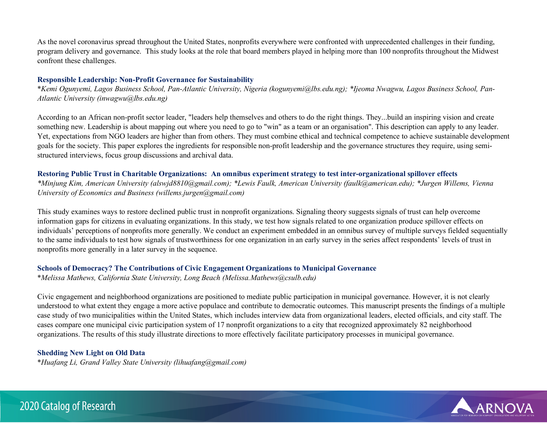As the novel coronavirus spread throughout the United States, nonprofits everywhere were confronted with unprecedented challenges in their funding, program delivery and governance. This study looks at the role that board members played in helping more than 100 nonprofits throughout the Midwest confront these challenges.

#### **Responsible Leadership: Non-Profit Governance for Sustainability**

\**Kemi Ogunyemi, Lagos Business School, Pan-Atlantic University, Nigeria (kogunyemi@lbs.edu.ng); \*Ijeoma Nwagwu, Lagos Business School, Pan-Atlantic University (inwagwu@lbs.edu.ng)*

According to an African non-profit sector leader, "leaders help themselves and others to do the right things. They...build an inspiring vision and create something new. Leadership is about mapping out where you need to go to "win" as a team or an organisation". This description can apply to any leader. Yet, expectations from NGO leaders are higher than from others. They must combine ethical and technical competence to achieve sustainable development goals for the society. This paper explores the ingredients for responsible non-profit leadership and the governance structures they require, using semistructured interviews, focus group discussions and archival data.

# **Restoring Public Trust in Charitable Organizations: An omnibus experiment strategy to test inter-organizational spillover effects**

*\*Minjung Kim, American University (alswjd8810@gmail.com); \*Lewis Faulk, American University (faulk@american.edu); \*Jurgen Willems, Vienna University of Economics and Business (willems.jurgen@gmail.com)*

This study examines ways to restore declined public trust in nonprofit organizations. Signaling theory suggests signals of trust can help overcome information gaps for citizens in evaluating organizations. In this study, we test how signals related to one organization produce spillover effects on individuals' perceptions of nonprofits more generally. We conduct an experiment embedded in an omnibus survey of multiple surveys fielded sequentially to the same individuals to test how signals of trustworthiness for one organization in an early survey in the series affect respondents' levels of trust in nonprofits more generally in a later survey in the sequence.

# **Schools of Democracy? The Contributions of Civic Engagement Organizations to Municipal Governance**

\**Melissa Mathews, California State University, Long Beach (Melissa.Mathews@csulb.edu)*

Civic engagement and neighborhood organizations are positioned to mediate public participation in municipal governance. However, it is not clearly understood to what extent they engage a more active populace and contribute to democratic outcomes. This manuscript presents the findings of a multiple case study of two municipalities within the United States, which includes interview data from organizational leaders, elected officials, and city staff. The cases compare one municipal civic participation system of 17 nonprofit organizations to a city that recognized approximately 82 neighborhood organizations. The results of this study illustrate directions to more effectively facilitate participatory processes in municipal governance.

# **Shedding New Light on Old Data**

\**Huafang Li, Grand Valley State University (lihuafang@gmail.com)*

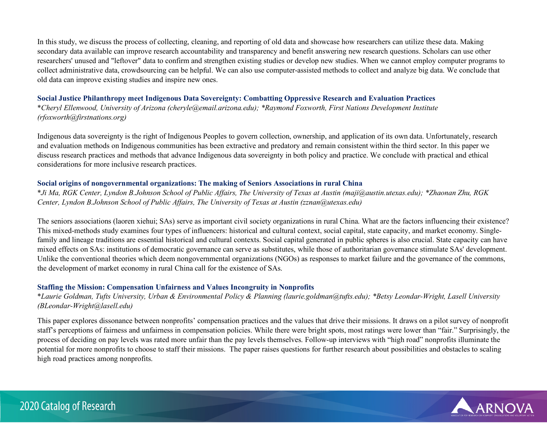In this study, we discuss the process of collecting, cleaning, and reporting of old data and showcase how researchers can utilize these data. Making secondary data available can improve research accountability and transparency and benefit answering new research questions. Scholars can use other researchers' unused and "leftover" data to confirm and strengthen existing studies or develop new studies. When we cannot employ computer programs to collect administrative data, crowdsourcing can be helpful. We can also use computer-assisted methods to collect and analyze big data. We conclude that old data can improve existing studies and inspire new ones.

### **Social Justice Philanthropy meet Indigenous Data Sovereignty: Combatting Oppressive Research and Evaluation Practices**

\**Cheryl Ellenwood, University of Arizona (cheryle@email.arizona.edu); \*Raymond Foxworth, First Nations Development Institute (rfoxworth@firstnations.org)*

Indigenous data sovereignty is the right of Indigenous Peoples to govern collection, ownership, and application of its own data. Unfortunately, research and evaluation methods on Indigenous communities has been extractive and predatory and remain consistent within the third sector. In this paper we discuss research practices and methods that advance Indigenous data sovereignty in both policy and practice. We conclude with practical and ethical considerations for more inclusive research practices.

### **Social origins of nongovernmental organizations: The making of Seniors Associations in rural China**

\**Ji Ma, RGK Center, Lyndon B.Johnson School of Public Affairs, The University of Texas at Austin (maji@austin.utexas.edu); \*Zhaonan Zhu, RGK Center, Lyndon B.Johnson School of Public Affairs, The University of Texas at Austin (zznan@utexas.edu)*

The seniors associations (laoren xiehui; SAs) serve as important civil society organizations in rural China. What are the factors influencing their existence? This mixed-methods study examines four types of influencers: historical and cultural context, social capital, state capacity, and market economy. Singlefamily and lineage traditions are essential historical and cultural contexts. Social capital generated in public spheres is also crucial. State capacity can have mixed effects on SAs: institutions of democratic governance can serve as substitutes, while those of authoritarian governance stimulate SAs' development. Unlike the conventional theories which deem nongovernmental organizations (NGOs) as responses to market failure and the governance of the commons, the development of market economy in rural China call for the existence of SAs.

# **Staffing the Mission: Compensation Unfairness and Values Incongruity in Nonprofits**

\**Laurie Goldman, Tufts University, Urban & Environmental Policy & Planning (laurie.goldman@tufts.edu); \*Betsy Leondar-Wright, Lasell University (BLeondar-Wright@lasell.edu)*

This paper explores dissonance between nonprofits' compensation practices and the values that drive their missions. It draws on a pilot survey of nonprofit staff's perceptions of fairness and unfairness in compensation policies. While there were bright spots, most ratings were lower than "fair." Surprisingly, the process of deciding on pay levels was rated more unfair than the pay levels themselves. Follow-up interviews with "high road" nonprofits illuminate the potential for more nonprofits to choose to staff their missions. The paper raises questions for further research about possibilities and obstacles to scaling high road practices among nonprofits.



# 2020 Catalog of Research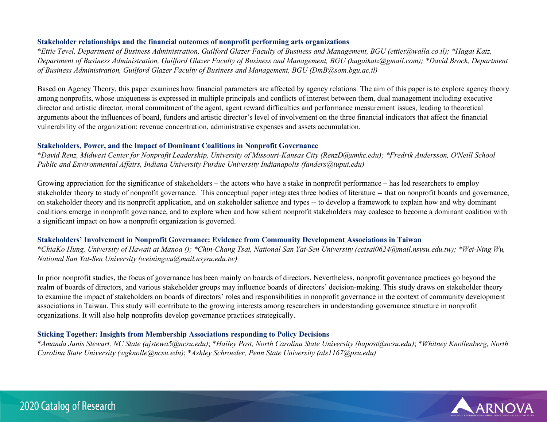#### **Stakeholder relationships and the financial outcomes of nonprofit performing arts organizations**

\**Ettie Tevel, Department of Business Administration, Guilford Glazer Faculty of Business and Management, BGU (ettiet@walla.co.il); \*Hagai Katz, Department of Business Administration, Guilford Glazer Faculty of Business and Management, BGU (hagaikatz@gmail.com); \*David Brock, Department of Business Administration, Guilford Glazer Faculty of Business and Management, BGU (DmB@som.bgu.ac.il)*

Based on Agency Theory, this paper examines how financial parameters are affected by agency relations. The aim of this paper is to explore agency theory among nonprofits, whose uniqueness is expressed in multiple principals and conflicts of interest between them, dual management including executive director and artistic director, moral commitment of the agent, agent reward difficulties and performance measurement issues, leading to theoretical arguments about the influences of board, funders and artistic director's level of involvement on the three financial indicators that affect the financial vulnerability of the organization: revenue concentration, administrative expenses and assets accumulation.

### **Stakeholders, Power, and the Impact of Dominant Coalitions in Nonprofit Governance**

\**David Renz, Midwest Center for Nonprofit Leadership, University of Missouri-Kansas City (RenzD@umkc.edu); \*Fredrik Andersson, O'Neill School Public and Environmental Affairs, Indiana University Purdue University Indianapolis (fanders@iupui.edu)*

Growing appreciation for the significance of stakeholders – the actors who have a stake in nonprofit performance – has led researchers to employ stakeholder theory to study of nonprofit governance. This conceptual paper integrates three bodies of literature -- that on nonprofit boards and governance, on stakeholder theory and its nonprofit application, and on stakeholder salience and types -- to develop a framework to explain how and why dominant coalitions emerge in nonprofit governance, and to explore when and how salient nonprofit stakeholders may coalesce to become a dominant coalition with a significant impact on how a nonprofit organization is governed.

# **Stakeholders' Involvement in Nonprofit Governance: Evidence from Community Development Associations in Taiwan**

\**ChiaKo Hung, University of Hawaii at Manoa (); \*Chin-Chang Tsai, National San Yat-Sen University (cctsai0624@mail.nsysu.edu.tw); \*Wei-Ning Wu, National San Yat-Sen University (weiningwu@mail.nsysu.edu.tw)*

In prior nonprofit studies, the focus of governance has been mainly on boards of directors. Nevertheless, nonprofit governance practices go beyond the realm of boards of directors, and various stakeholder groups may influence boards of directors' decision-making. This study draws on stakeholder theory to examine the impact of stakeholders on boards of directors' roles and responsibilities in nonprofit governance in the context of community development associations in Taiwan. This study will contribute to the growing interests among researchers in understanding governance structure in nonprofit organizations. It will also help nonprofits develop governance practices strategically.

# **Sticking Together: Insights from Membership Associations responding to Policy Decisions**

\**Amanda Janis Stewart, NC State (ajstewa5@ncsu.edu)*; \**Hailey Post, North Carolina State University (hapost@ncsu.edu)*; \**Whitney Knollenberg, North Carolina State University (wgknolle@ncsu.edu)*; \**Ashley Schroeder, Penn State University (als1167@psu.edu)*

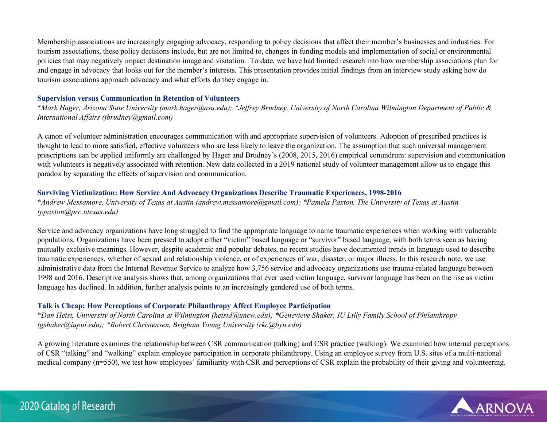Membership associations are increasingly engaging advocacy, responding to policy decisions that affect their member's businesses and industries. For tourism associations, these policy decisions include, but are not limited to, changes in funding models and implementation of social or environmental policies that may negatively impact destination image and visitation. To date, we have had limited research into how membership associations plan for and engage in advocacy that looks out for the member's interests. This presentation provides initial findings from an interview study asking how do tourism associations approach advocacy and what efforts do they engage in.

#### **Supervision versus Communication in Retention of Volunteers**

\**Mark Hager, Arizona State University (mark.hager@asu.edu); \*Jeffrey Brudney, University of North Carolina Wilmington Department of Public & International Affairs (jbrudney@gmail.com)*

A canon of volunteer administration encourages communication with and appropriate supervision of volunteers. Adoption of prescribed practices is thought to lead to more satisfied, effective volunteers who are less likely to leave the organization. The assumption that such universal management prescriptions can be applied uniformly are challenged by Hager and Brudney's (2008, 2015, 2016) empirical conundrum: supervision and communication with volunteers is negatively associated with retention. New data collected in a 2019 national study of volunteer management allow us to engage this paradox by separating the effects of supervision and communication.

# **Surviving Victimization: How Service And Advocacy Organizations Describe Traumatic Experiences, 1998-2016**

\**Andrew Messamore, University of Texas at Austin (andrew.messamore@gmail.com); \*Pamela Paxton, The University of Texas at Austin (ppaxton@prc.utexas.edu)*

Service and advocacy organizations have long struggled to find the appropriate language to name traumatic experiences when working with vulnerable populations. Organizations have been pressed to adopt either "victim" based language or "survivor" based language, with both terms seen as having mutually exclusive meanings. However, despite academic and popular debates, no recent studies have documented trends in language used to describe traumatic experiences, whether of sexual and relationship violence, or of experiences of war, disaster, or major illness. In this research note, we use administrative data from the Internal Revenue Service to analyze how 3,756 service and advocacy organizations use trauma-related language between 1998 and 2016. Descriptive analysis shows that, among organizations that ever used victim language, survivor language has been on the rise as victim language has declined. In addition, further analysis points to an increasingly gendered use of both terms.

# **Talk is Cheap: How Perceptions of Corporate Philanthropy Affect Employee Participation**

\**Dan Heist, University of North Carolina at Wilmington (heistd@uncw.edu); \*Genevieve Shaker, IU Lilly Family School of Philanthropy (gshaker@iupui.edu); \*Robert Christensen, Brigham Young University (rkc@byu.edu)*

A growing literature examines the relationship between CSR communication (talking) and CSR practice (walking). We examined how internal perceptions of CSR "talking" and "walking" explain employee participation in corporate philanthropy. Using an employee survey from U.S. sites of a multi-national medical company (n=550), we test how employees' familiarity with CSR and perceptions of CSR explain the probability of their giving and volunteering.



# 2020 Catalog of Research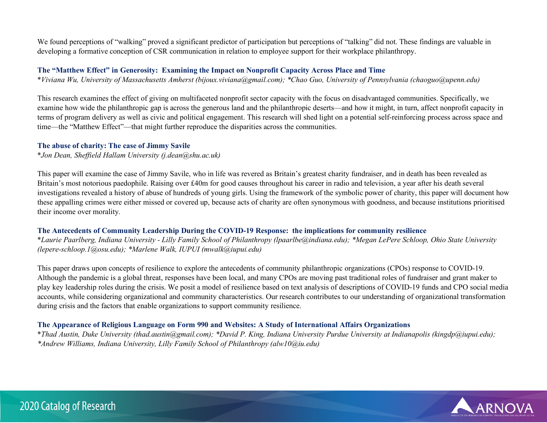We found perceptions of "walking" proved a significant predictor of participation but perceptions of "talking" did not. These findings are valuable in developing a formative conception of CSR communication in relation to employee support for their workplace philanthropy.

#### **The "Matthew Effect" in Generosity: Examining the Impact on Nonprofit Capacity Across Place and Time**

\**Viviana Wu, University of Massachusetts Amherst (bijoux.viviana@gmail.com); \*Chao Guo, University of Pennsylvania (chaoguo@upenn.edu)*

This research examines the effect of giving on multifaceted nonprofit sector capacity with the focus on disadvantaged communities. Specifically, we examine how wide the philanthropic gap is across the generous land and the philanthropic deserts—and how it might, in turn, affect nonprofit capacity in terms of program delivery as well as civic and political engagement. This research will shed light on a potential self-reinforcing process across space and time—the "Matthew Effect"—that might further reproduce the disparities across the communities.

#### **The abuse of charity: The case of Jimmy Savile**

\**Jon Dean, Sheffield Hallam University (j.dean@shu.ac.uk)*

This paper will examine the case of Jimmy Savile, who in life was revered as Britain's greatest charity fundraiser, and in death has been revealed as Britain's most notorious paedophile. Raising over £40m for good causes throughout his career in radio and television, a year after his death several investigations revealed a history of abuse of hundreds of young girls. Using the framework of the symbolic power of charity, this paper will document how these appalling crimes were either missed or covered up, because acts of charity are often synonymous with goodness, and because institutions prioritised their income over morality.

#### **The Antecedents of Community Leadership During the COVID-19 Response: the implications for community resilience**

\**Laurie Paarlberg, Indiana University - Lilly Family School of Philanthropy (lpaarlbe@indiana.edu); \*Megan LePere Schloop, Ohio State University (lepere-schloop.1@osu.edu); \*Marlene Walk, IUPUI (mwalk@iupui.edu)*

This paper draws upon concepts of resilience to explore the antecedents of community philanthropic organizations (CPOs) response to COVID-19. Although the pandemic is a global threat, responses have been local, and many CPOs are moving past traditional roles of fundraiser and grant maker to play key leadership roles during the crisis. We posit a model of resilience based on text analysis of descriptions of COVID-19 funds and CPO social media accounts, while considering organizational and community characteristics. Our research contributes to our understanding of organizational transformation during crisis and the factors that enable organizations to support community resilience.

# **The Appearance of Religious Language on Form 990 and Websites: A Study of International Affairs Organizations**

\**Thad Austin, Duke University (thad.austin@gmail.com); \*David P. King, Indiana University Purdue University at Indianapolis (kingdp@iupui.edu); \*Andrew Williams, Indiana University, Lilly Family School of Philanthropy (alw10@iu.edu)*

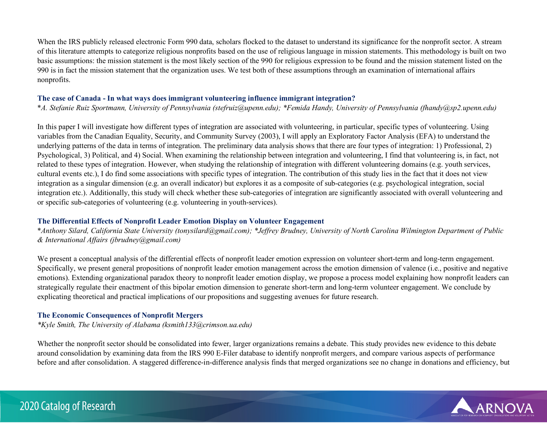When the IRS publicly released electronic Form 990 data, scholars flocked to the dataset to understand its significance for the nonprofit sector. A stream of this literature attempts to categorize religious nonprofits based on the use of religious language in mission statements. This methodology is built on two basic assumptions: the mission statement is the most likely section of the 990 for religious expression to be found and the mission statement listed on the 990 is in fact the mission statement that the organization uses. We test both of these assumptions through an examination of international affairs nonprofits.

### **The case of Canada - In what ways does immigrant volunteering influence immigrant integration?**

\**A. Stefanie Ruiz Sportmann, University of Pennsylvania (stefruiz@upenn.edu); \*Femida Handy, University of Pennsylvania (fhandy@sp2.upenn.edu)*

In this paper I will investigate how different types of integration are associated with volunteering, in particular, specific types of volunteering. Using variables from the Canadian Equality, Security, and Community Survey (2003), I will apply an Exploratory Factor Analysis (EFA) to understand the underlying patterns of the data in terms of integration. The preliminary data analysis shows that there are four types of integration: 1) Professional, 2) Psychological, 3) Political, and 4) Social. When examining the relationship between integration and volunteering, I find that volunteering is, in fact, not related to these types of integration. However, when studying the relationship of integration with different volunteering domains (e.g. youth services, cultural events etc.), I do find some associations with specific types of integration. The contribution of this study lies in the fact that it does not view integration as a singular dimension (e.g. an overall indicator) but explores it as a composite of sub-categories (e.g. psychological integration, social integration etc.). Additionally, this study will check whether these sub-categories of integration are significantly associated with overall volunteering and or specific sub-categories of volunteering (e.g. volunteering in youth-services).

# **The Differential Effects of Nonprofit Leader Emotion Display on Volunteer Engagement**

\**Anthony Silard, California State University (tonysilard@gmail.com); \*Jeffrey Brudney, University of North Carolina Wilmington Department of Public & International Affairs (jbrudney@gmail.com)*

We present a conceptual analysis of the differential effects of nonprofit leader emotion expression on volunteer short-term and long-term engagement. Specifically, we present general propositions of nonprofit leader emotion management across the emotion dimension of valence (i.e., positive and negative emotions). Extending organizational paradox theory to nonprofit leader emotion display, we propose a process model explaining how nonprofit leaders can strategically regulate their enactment of this bipolar emotion dimension to generate short-term and long-term volunteer engagement. We conclude by explicating theoretical and practical implications of our propositions and suggesting avenues for future research.

# **The Economic Consequences of Nonprofit Mergers**

*\*Kyle Smith, The University of Alabama (ksmith133@crimson.ua.edu)*

Whether the nonprofit sector should be consolidated into fewer, larger organizations remains a debate. This study provides new evidence to this debate around consolidation by examining data from the IRS 990 E-Filer database to identify nonprofit mergers, and compare various aspects of performance before and after consolidation. A staggered difference-in-difference analysis finds that merged organizations see no change in donations and efficiency, but



# 2020 Catalog of Research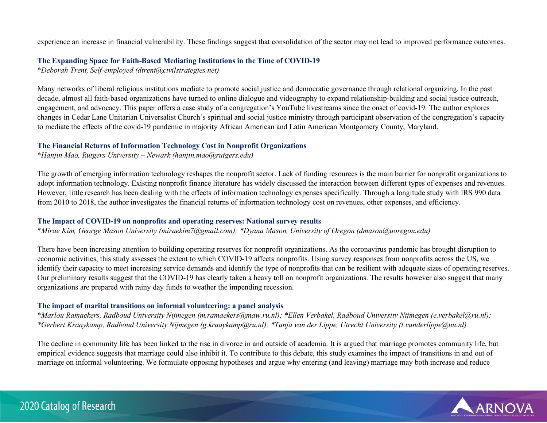experience an increase in financial vulnerability. These findings suggest that consolidation of the sector may not lead to improved performance outcomes.

#### **The Expanding Space for Faith-Based Mediating Institutions in the Time of COVID-19**

\**Deborah Trent, Self-employed (dtrent@civilstrategies.net)*

Many networks of liberal religious institutions mediate to promote social justice and democratic governance through relational organizing. In the past decade, almost all faith-based organizations have turned to online dialogue and videography to expand relationship-building and social justice outreach, engagement, and advocacy. This paper offers a case study of a congregation's YouTube livestreams since the onset of covid-19. The author explores changes in Cedar Lane Unitarian Universalist Church's spiritual and social justice ministry through participant observation of the congregation's capacity to mediate the effects of the covid-19 pandemic in majority African American and Latin American Montgomery County, Maryland.

#### **The Financial Returns of Information Technology Cost in Nonprofit Organizations**

\**Hanjin Mao, Rutgers University – Newark (hanjin.mao@rutgers.edu)*

The growth of emerging information technology reshapes the nonprofit sector. Lack of funding resources is the main barrier for nonprofit organizations to adopt information technology. Existing nonprofit finance literature has widely discussed the interaction between different types of expenses and revenues. However, little research has been dealing with the effects of information technology expenses specifically. Through a longitude study with IRS 990 data from 2010 to 2018, the author investigates the financial returns of information technology cost on revenues, other expenses, and efficiency.

#### **The Impact of COVID-19 on nonprofits and operating reserves: National survey results**

\**Mirae Kim, George Mason University (miraekim7@gmail.com); \*Dyana Mason, University of Oregon (dmason@uoregon.edu)*

There have been increasing attention to building operating reserves for nonprofit organizations. As the coronavirus pandemic has brought disruption to economic activities, this study assesses the extent to which COVID-19 affects nonprofits. Using survey responses from nonprofits across the US, we identify their capacity to meet increasing service demands and identify the type of nonprofits that can be resilient with adequate sizes of operating reserves. Our preliminary results suggest that the COVID-19 has clearly taken a heavy toll on nonprofit organizations. The results however also suggest that many organizations are prepared with rainy day funds to weather the impending recession.

#### **The impact of marital transitions on informal volunteering: a panel analysis**

\**Marlou Ramaekers, Radboud University Nijmegen (m.ramaekers@maw.ru.nl); \*Ellen Verbakel, Radboud University Nijmegen (e.verbakel@ru.nl); \*Gerbert Kraaykamp, Radboud University Nijmegen (g.kraaykamp@ru.nl); \*Tanja van der Lippe, Utrecht University (t.vanderlippe@uu.nl)*

The decline in community life has been linked to the rise in divorce in and outside of academia. It is argued that marriage promotes community life, but empirical evidence suggests that marriage could also inhibit it. To contribute to this debate, this study examines the impact of transitions in and out of marriage on informal volunteering. We formulate opposing hypotheses and argue why entering (and leaving) marriage may both increase and reduce

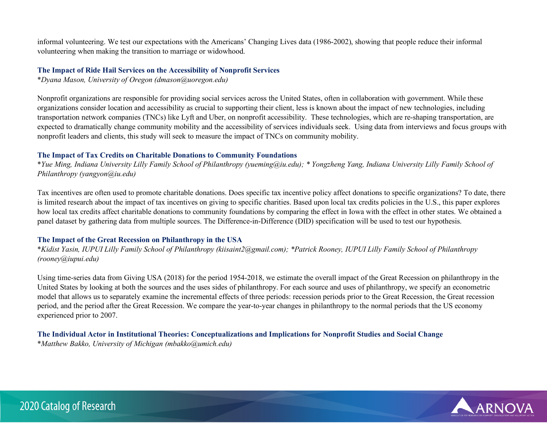informal volunteering. We test our expectations with the Americans' Changing Lives data (1986-2002), showing that people reduce their informal volunteering when making the transition to marriage or widowhood.

#### **The Impact of Ride Hail Services on the Accessibility of Nonprofit Services**

\**Dyana Mason, University of Oregon (dmason@uoregon.edu)*

Nonprofit organizations are responsible for providing social services across the United States, often in collaboration with government. While these organizations consider location and accessibility as crucial to supporting their client, less is known about the impact of new technologies, including transportation network companies (TNCs) like Lyft and Uber, on nonprofit accessibility. These technologies, which are re-shaping transportation, are expected to dramatically change community mobility and the accessibility of services individuals seek. Using data from interviews and focus groups with nonprofit leaders and clients, this study will seek to measure the impact of TNCs on community mobility.

# **The Impact of Tax Credits on Charitable Donations to Community Foundations**

\**Yue Ming, Indiana University Lilly Family School of Philanthropy (yueming@iu.edu); \* Yongzheng Yang, Indiana University Lilly Family School of Philanthropy (yangyon@iu.edu)*

Tax incentives are often used to promote charitable donations. Does specific tax incentive policy affect donations to specific organizations? To date, there is limited research about the impact of tax incentives on giving to specific charities. Based upon local tax credits policies in the U.S., this paper explores how local tax credits affect charitable donations to community foundations by comparing the effect in Iowa with the effect in other states. We obtained a panel dataset by gathering data from multiple sources. The Difference-in-Difference (DID) specification will be used to test our hypothesis.

# **The Impact of the Great Recession on Philanthropy in the USA**

\**Kidist Yasin, IUPUI Lilly Family School of Philanthropy (kiisaint2@gmail.com); \*Patrick Rooney, IUPUI Lilly Family School of Philanthropy (rooney@iupui.edu)*

Using time-series data from Giving USA (2018) for the period 1954-2018, we estimate the overall impact of the Great Recession on philanthropy in the United States by looking at both the sources and the uses sides of philanthropy. For each source and uses of philanthropy, we specify an econometric model that allows us to separately examine the incremental effects of three periods: recession periods prior to the Great Recession, the Great recession period, and the period after the Great Recession. We compare the year-to-year changes in philanthropy to the normal periods that the US economy experienced prior to 2007.

#### **The Individual Actor in Institutional Theories: Conceptualizations and Implications for Nonprofit Studies and Social Change**  \**Matthew Bakko, University of Michigan (mbakko@umich.edu)*

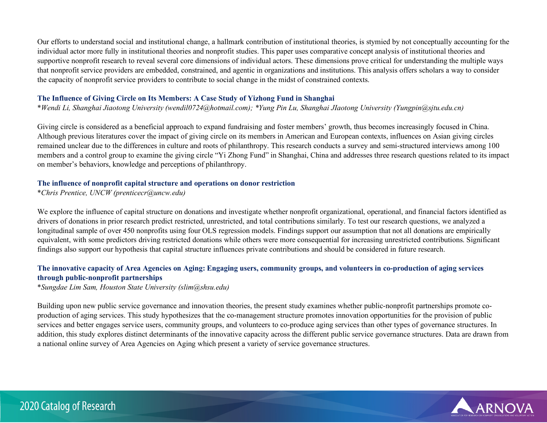Our efforts to understand social and institutional change, a hallmark contribution of institutional theories, is stymied by not conceptually accounting for the individual actor more fully in institutional theories and nonprofit studies. This paper uses comparative concept analysis of institutional theories and supportive nonprofit research to reveal several core dimensions of individual actors. These dimensions prove critical for understanding the multiple ways that nonprofit service providers are embedded, constrained, and agentic in organizations and institutions. This analysis offers scholars a way to consider the capacity of nonprofit service providers to contribute to social change in the midst of constrained contexts.

### **The Influence of Giving Circle on Its Members: A Case Study of Yizhong Fund in Shanghai**

\**Wendi Li, Shanghai Jiaotong University (wendil0724@hotmail.com); \*Yung Pin Lu, Shanghai JIaotong University (Yungpin@sjtu.edu.cn)*

Giving circle is considered as a beneficial approach to expand fundraising and foster members' growth, thus becomes increasingly focused in China. Although previous literatures cover the impact of giving circle on its members in American and European contexts, influences on Asian giving circles remained unclear due to the differences in culture and roots of philanthropy. This research conducts a survey and semi-structured interviews among 100 members and a control group to examine the giving circle "Yi Zhong Fund" in Shanghai, China and addresses three research questions related to its impact on member's behaviors, knowledge and perceptions of philanthropy.

#### **The influence of nonprofit capital structure and operations on donor restriction**

\**Chris Prentice, UNCW (prenticecr@uncw.edu)*

We explore the influence of capital structure on donations and investigate whether nonprofit organizational, operational, and financial factors identified as drivers of donations in prior research predict restricted, unrestricted, and total contributions similarly. To test our research questions, we analyzed a longitudinal sample of over 450 nonprofits using four OLS regression models. Findings support our assumption that not all donations are empirically equivalent, with some predictors driving restricted donations while others were more consequential for increasing unrestricted contributions. Significant findings also support our hypothesis that capital structure influences private contributions and should be considered in future research.

# **The innovative capacity of Area Agencies on Aging: Engaging users, community groups, and volunteers in co-production of aging services through public-nonprofit partnerships**

\**Sungdae Lim Sam, Houston State University (slim@shsu.edu)*

Building upon new public service governance and innovation theories, the present study examines whether public-nonprofit partnerships promote coproduction of aging services. This study hypothesizes that the co-management structure promotes innovation opportunities for the provision of public services and better engages service users, community groups, and volunteers to co-produce aging services than other types of governance structures. In addition, this study explores distinct determinants of the innovative capacity across the different public service governance structures. Data are drawn from a national online survey of Area Agencies on Aging which present a variety of service governance structures.

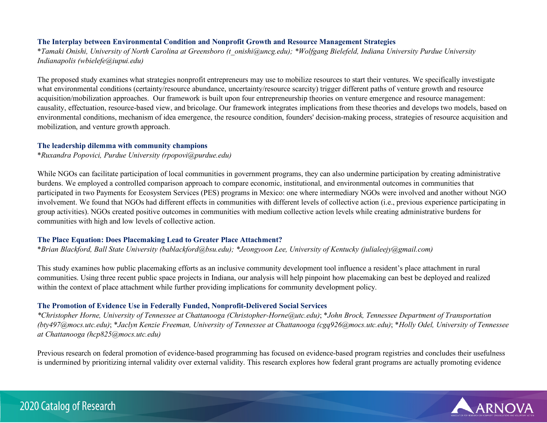#### **The Interplay between Environmental Condition and Nonprofit Growth and Resource Management Strategies**

\**Tamaki Onishi, University of North Carolina at Greensboro (t\_onishi@uncg.edu); \*Wolfgang Bielefeld, Indiana University Purdue University Indianapolis (wbielefe@iupui.edu)*

The proposed study examines what strategies nonprofit entrepreneurs may use to mobilize resources to start their ventures. We specifically investigate what environmental conditions (certainty/resource abundance, uncertainty/resource scarcity) trigger different paths of venture growth and resource acquisition/mobilization approaches. Our framework is built upon four entrepreneurship theories on venture emergence and resource management: causality, effectuation, resource-based view, and bricolage. Our framework integrates implications from these theories and develops two models, based on environmental conditions, mechanism of idea emergence, the resource condition, founders' decision-making process, strategies of resource acquisition and mobilization, and venture growth approach.

#### **The leadership dilemma with community champions**

\**Ruxandra Popovici, Purdue University (rpopovi@purdue.edu)*

While NGOs can facilitate participation of local communities in government programs, they can also undermine participation by creating administrative burdens. We employed a controlled comparison approach to compare economic, institutional, and environmental outcomes in communities that participated in two Payments for Ecosystem Services (PES) programs in Mexico: one where intermediary NGOs were involved and another without NGO involvement. We found that NGOs had different effects in communities with different levels of collective action (i.e., previous experience participating in group activities). NGOs created positive outcomes in communities with medium collective action levels while creating administrative burdens for communities with high and low levels of collective action.

#### **The Place Equation: Does Placemaking Lead to Greater Place Attachment?**

\**Brian Blackford, Ball State University (bablackford@bsu.edu); \*Jeongyoon Lee, University of Kentucky (julialeejy@gmail.com)*

This study examines how public placemaking efforts as an inclusive community development tool influence a resident's place attachment in rural communities. Using three recent public space projects in Indiana, our analysis will help pinpoint how placemaking can best be deployed and realized within the context of place attachment while further providing implications for community development policy.

# **The Promotion of Evidence Use in Federally Funded, Nonprofit-Delivered Social Services**

*\*Christopher Horne, University of Tennessee at Chattanooga (Christopher-Horne@utc.edu)*; \**John Brock, Tennessee Department of Transportation (bty497@mocs.utc.edu)*; \**Jaclyn Kenzie Freeman, University of Tennessee at Chattanooga (cgq926@mocs.utc.edu)*; \**Holly Odel, University of Tennessee at Chattanooga (hcp825@mocs.utc.edu)*

Previous research on federal promotion of evidence-based programming has focused on evidence-based program registries and concludes their usefulness is undermined by prioritizing internal validity over external validity. This research explores how federal grant programs are actually promoting evidence

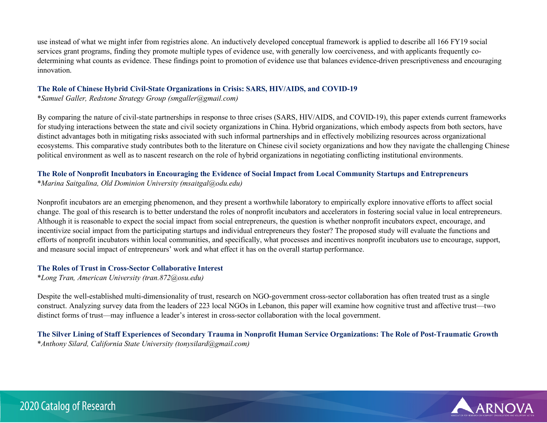use instead of what we might infer from registries alone. An inductively developed conceptual framework is applied to describe all 166 FY19 social services grant programs, finding they promote multiple types of evidence use, with generally low coerciveness, and with applicants frequently codetermining what counts as evidence. These findings point to promotion of evidence use that balances evidence-driven prescriptiveness and encouraging innovation.

#### **The Role of Chinese Hybrid Civil-State Organizations in Crisis: SARS, HIV/AIDS, and COVID-19**

\**Samuel Galler, Redstone Strategy Group (smgaller@gmail.com)*

By comparing the nature of civil-state partnerships in response to three crises (SARS, HIV/AIDS, and COVID-19), this paper extends current frameworks for studying interactions between the state and civil society organizations in China. Hybrid organizations, which embody aspects from both sectors, have distinct advantages both in mitigating risks associated with such informal partnerships and in effectively mobilizing resources across organizational ecosystems. This comparative study contributes both to the literature on Chinese civil society organizations and how they navigate the challenging Chinese political environment as well as to nascent research on the role of hybrid organizations in negotiating conflicting institutional environments.

# **The Role of Nonprofit Incubators in Encouraging the Evidence of Social Impact from Local Community Startups and Entrepreneurs**

\**Marina Saitgalina, Old Dominion University (msaitgal@odu.edu)*

Nonprofit incubators are an emerging phenomenon, and they present a worthwhile laboratory to empirically explore innovative efforts to affect social change. The goal of this research is to better understand the roles of nonprofit incubators and accelerators in fostering social value in local entrepreneurs. Although it is reasonable to expect the social impact from social entrepreneurs, the question is whether nonprofit incubators expect, encourage, and incentivize social impact from the participating startups and individual entrepreneurs they foster? The proposed study will evaluate the functions and efforts of nonprofit incubators within local communities, and specifically, what processes and incentives nonprofit incubators use to encourage, support, and measure social impact of entrepreneurs' work and what effect it has on the overall startup performance.

# **The Roles of Trust in Cross-Sector Collaborative Interest**

\**Long Tran, American University (tran.872@osu.edu)*

Despite the well-established multi-dimensionality of trust, research on NGO-government cross-sector collaboration has often treated trust as a single construct. Analyzing survey data from the leaders of 223 local NGOs in Lebanon, this paper will examine how cognitive trust and affective trust—two distinct forms of trust—may influence a leader's interest in cross-sector collaboration with the local government.

**The Silver Lining of Staff Experiences of Secondary Trauma in Nonprofit Human Service Organizations: The Role of Post-Traumatic Growth**  \**Anthony Silard, California State University (tonysilard@gmail.com)*

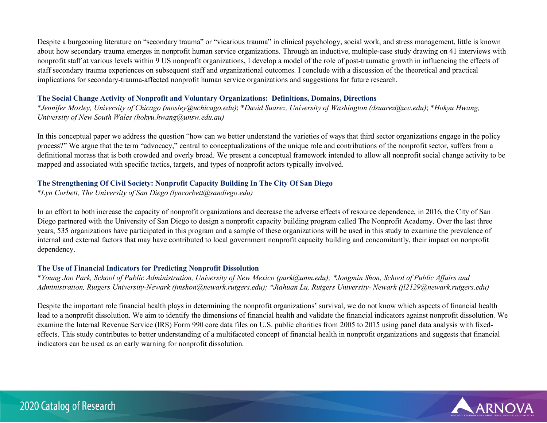Despite a burgeoning literature on "secondary trauma" or "vicarious trauma" in clinical psychology, social work, and stress management, little is known about how secondary trauma emerges in nonprofit human service organizations. Through an inductive, multiple-case study drawing on 41 interviews with nonprofit staff at various levels within 9 US nonprofit organizations, I develop a model of the role of post-traumatic growth in influencing the effects of staff secondary trauma experiences on subsequent staff and organizational outcomes. I conclude with a discussion of the theoretical and practical implications for secondary-trauma-affected nonprofit human service organizations and suggestions for future research.

#### **The Social Change Activity of Nonprofit and Voluntary Organizations: Definitions, Domains, Directions**

\**Jennifer Mosley, University of Chicago (mosley@uchicago.edu)*; \**David Suarez, University of Washington (dsuarez@uw.edu)*; \**Hokyu Hwang, University of New South Wales (hokyu.hwang@unsw.edu.au)*

In this conceptual paper we address the question "how can we better understand the varieties of ways that third sector organizations engage in the policy process?" We argue that the term "advocacy," central to conceptualizations of the unique role and contributions of the nonprofit sector, suffers from a definitional morass that is both crowded and overly broad. We present a conceptual framework intended to allow all nonprofit social change activity to be mapped and associated with specific tactics, targets, and types of nonprofit actors typically involved.

# **The Strengthening Of Civil Society: Nonprofit Capacity Building In The City Of San Diego**

\**Lyn Corbett, The University of San Diego (lyncorbett@sandiego.edu)*

In an effort to both increase the capacity of nonprofit organizations and decrease the adverse effects of resource dependence, in 2016, the City of San Diego partnered with the University of San Diego to design a nonprofit capacity building program called The Nonprofit Academy. Over the last three years, 535 organizations have participated in this program and a sample of these organizations will be used in this study to examine the prevalence of internal and external factors that may have contributed to local government nonprofit capacity building and concomitantly, their impact on nonprofit dependency.

# **The Use of Financial Indicators for Predicting Nonprofit Dissolution**

\**Young Joo Park, School of Public Administration, University of New Mexico (park@unm.edu); \*Jongmin Shon, School of Public Affairs and Administration, Rutgers University-Newark (jmshon@newark.rutgers.edu); \*Jiahuan Lu, Rutgers University- Newark (jl2129@newark.rutgers.edu)*

Despite the important role financial health plays in determining the nonprofit organizations' survival, we do not know which aspects of financial health lead to a nonprofit dissolution. We aim to identify the dimensions of financial health and validate the financial indicators against nonprofit dissolution. We examine the Internal Revenue Service (IRS) Form 990 core data files on U.S. public charities from 2005 to 2015 using panel data analysis with fixedeffects. This study contributes to better understanding of a multifaceted concept of financial health in nonprofit organizations and suggests that financial indicators can be used as an early warning for nonprofit dissolution.

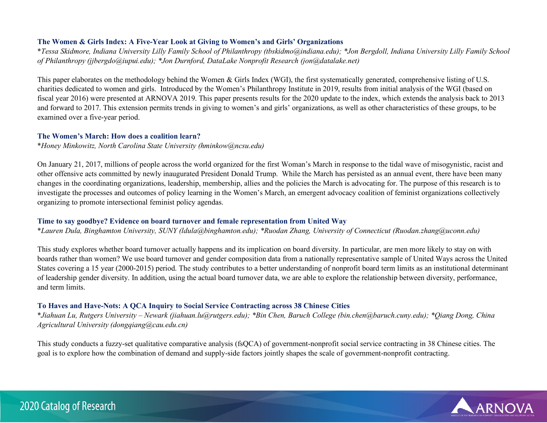### **The Women & Girls Index: A Five-Year Look at Giving to Women's and Girls' Organizations**

\**Tessa Skidmore, Indiana University Lilly Family School of Philanthropy (tbskidmo@indiana.edu); \*Jon Bergdoll, Indiana University Lilly Family School of Philanthropy (jjbergdo@iupui.edu); \*Jon Durnford, DataLake Nonprofit Research (jon@datalake.net)*

This paper elaborates on the methodology behind the Women & Girls Index (WGI), the first systematically generated, comprehensive listing of U.S. charities dedicated to women and girls. Introduced by the Women's Philanthropy Institute in 2019, results from initial analysis of the WGI (based on fiscal year 2016) were presented at ARNOVA 2019. This paper presents results for the 2020 update to the index, which extends the analysis back to 2013 and forward to 2017. This extension permits trends in giving to women's and girls' organizations, as well as other characteristics of these groups, to be examined over a five-year period.

#### **The Women's March: How does a coalition learn?**

\**Honey Minkowitz, North Carolina State University (hminkow@ncsu.edu)*

On January 21, 2017, millions of people across the world organized for the first Woman's March in response to the tidal wave of misogynistic, racist and other offensive acts committed by newly inaugurated President Donald Trump. While the March has persisted as an annual event, there have been many changes in the coordinating organizations, leadership, membership, allies and the policies the March is advocating for. The purpose of this research is to investigate the processes and outcomes of policy learning in the Women's March, an emergent advocacy coalition of feminist organizations collectively organizing to promote intersectional feminist policy agendas.

#### **Time to say goodbye? Evidence on board turnover and female representation from United Way**

\**Lauren Dula, Binghamton University, SUNY (ldula@binghamton.edu); \*Ruodan Zhang, University of Connecticut (Ruodan.zhang@uconn.edu)*

This study explores whether board turnover actually happens and its implication on board diversity. In particular, are men more likely to stay on with boards rather than women? We use board turnover and gender composition data from a nationally representative sample of United Ways across the United States covering a 15 year (2000-2015) period. The study contributes to a better understanding of nonprofit board term limits as an institutional determinant of leadership gender diversity. In addition, using the actual board turnover data, we are able to explore the relationship between diversity, performance, and term limits.

#### **To Haves and Have-Nots: A QCA Inquiry to Social Service Contracting across 38 Chinese Cities**

\**Jiahuan Lu, Rutgers University – Newark (jiahuan.lu@rutgers.edu); \*Bin Chen, Baruch College (bin.chen@baruch.cuny.edu); \*Qiang Dong, China Agricultural University (dongqiang@cau.edu.cn)*

This study conducts a fuzzy-set qualitative comparative analysis (fsQCA) of government-nonprofit social service contracting in 38 Chinese cities. The goal is to explore how the combination of demand and supply-side factors jointly shapes the scale of government-nonprofit contracting.

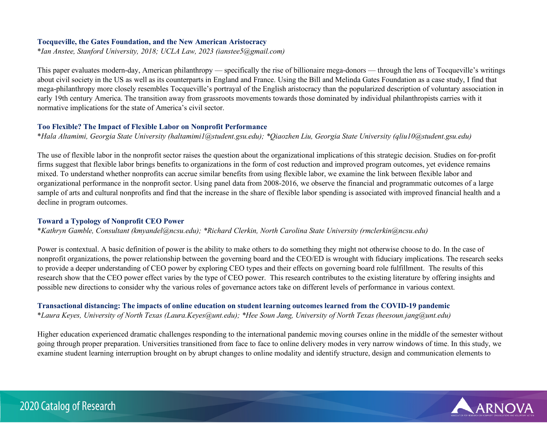#### **Tocqueville, the Gates Foundation, and the New American Aristocracy**

\**Ian Anstee, Stanford University, 2018; UCLA Law, 2023 (ianstee5@gmail.com)*

This paper evaluates modern-day, American philanthropy — specifically the rise of billionaire mega-donors — through the lens of Tocqueville's writings about civil society in the US as well as its counterparts in England and France. Using the Bill and Melinda Gates Foundation as a case study, I find that mega-philanthropy more closely resembles Tocqueville's portrayal of the English aristocracy than the popularized description of voluntary association in early 19th century America. The transition away from grassroots movements towards those dominated by individual philanthropists carries with it normative implications for the state of America's civil sector.

#### **Too Flexible? The Impact of Flexible Labor on Nonprofit Performance**

\**Hala Altamimi, Georgia State University (haltamimi1@student.gsu.edu); \*Qiaozhen Liu, Georgia State University (qliu10@student.gsu.edu)*

The use of flexible labor in the nonprofit sector raises the question about the organizational implications of this strategic decision. Studies on for-profit firms suggest that flexible labor brings benefits to organizations in the form of cost reduction and improved program outcomes, yet evidence remains mixed. To understand whether nonprofits can accrue similar benefits from using flexible labor, we examine the link between flexible labor and organizational performance in the nonprofit sector. Using panel data from 2008-2016, we observe the financial and programmatic outcomes of a large sample of arts and cultural nonprofits and find that the increase in the share of flexible labor spending is associated with improved financial health and a decline in program outcomes.

#### **Toward a Typology of Nonprofit CEO Power**

\**Kathryn Gamble, Consultant (kmyandel@ncsu.edu); \*Richard Clerkin, North Carolina State University (rmclerkin@ncsu.edu)*

Power is contextual. A basic definition of power is the ability to make others to do something they might not otherwise choose to do. In the case of nonprofit organizations, the power relationship between the governing board and the CEO/ED is wrought with fiduciary implications. The research seeks to provide a deeper understanding of CEO power by exploring CEO types and their effects on governing board role fulfillment. The results of this research show that the CEO power effect varies by the type of CEO power. This research contributes to the existing literature by offering insights and possible new directions to consider why the various roles of governance actors take on different levels of performance in various context.

**Transactional distancing: The impacts of online education on student learning outcomes learned from the COVID-19 pandemic**  \**Laura Keyes, University of North Texas (Laura.Keyes@unt.edu); \*Hee Soun Jang, University of North Texas (heesoun.jang@unt.edu)*

Higher education experienced dramatic challenges responding to the international pandemic moving courses online in the middle of the semester without going through proper preparation. Universities transitioned from face to face to online delivery modes in very narrow windows of time. In this study, we examine student learning interruption brought on by abrupt changes to online modality and identify structure, design and communication elements to

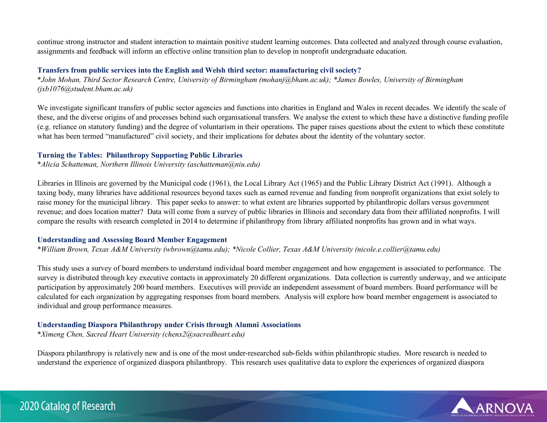continue strong instructor and student interaction to maintain positive student learning outcomes. Data collected and analyzed through course evaluation, assignments and feedback will inform an effective online transition plan to develop in nonprofit undergraduate education.

## **Transfers from public services into the English and Welsh third sector: manufacturing civil society?**

\**John Mohan, Third Sector Research Centre, University of Birmingham (mohanj@bham.ac.uk); \*James Bowles, University of Birmingham (jxb1076@student.bham.ac.uk)*

We investigate significant transfers of public sector agencies and functions into charities in England and Wales in recent decades. We identify the scale of these, and the diverse origins of and processes behind such organisational transfers. We analyse the extent to which these have a distinctive funding profile (e.g. reliance on statutory funding) and the degree of voluntarism in their operations. The paper raises questions about the extent to which these constitute what has been termed "manufactured" civil society, and their implications for debates about the identity of the voluntary sector.

## **Turning the Tables: Philanthropy Supporting Public Libraries**

\**Alicia Schatteman, Northern Illinois University (aschatteman@niu.edu)*

Libraries in Illinois are governed by the Municipal code (1961), the Local Library Act (1965) and the Public Library District Act (1991). Although a taxing body, many libraries have additional resources beyond taxes such as earned revenue and funding from nonprofit organizations that exist solely to raise money for the municipal library. This paper seeks to answer: to what extent are libraries supported by philanthropic dollars versus government revenue; and does location matter? Data will come from a survey of public libraries in Illinois and secondary data from their affiliated nonprofits. I will compare the results with research completed in 2014 to determine if philanthropy from library affiliated nonprofits has grown and in what ways.

#### **Understanding and Assessing Board Member Engagement**

\**William Brown, Texas A&M University (wbrown@tamu.edu); \*Nicole Collier, Texas A&M University (nicole.e.collier@tamu.edu)*

This study uses a survey of board members to understand individual board member engagement and how engagement is associated to performance. The survey is distributed through key executive contacts in approximately 20 different organizations. Data collection is currently underway, and we anticipate participation by approximately 200 board members. Executives will provide an independent assessment of board members. Board performance will be calculated for each organization by aggregating responses from board members. Analysis will explore how board member engagement is associated to individual and group performance measures.

# **Understanding Diaspora Philanthropy under Crisis through Alumni Associations**

\**Ximeng Chen, Sacred Heart University (chenx2@sacredheart.edu)*

Diaspora philanthropy is relatively new and is one of the most under-researched sub-fields within philanthropic studies. More research is needed to understand the experience of organized diaspora philanthropy. This research uses qualitative data to explore the experiences of organized diaspora

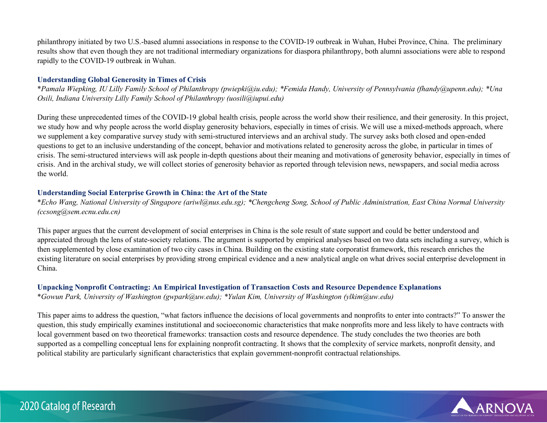philanthropy initiated by two U.S.-based alumni associations in response to the COVID-19 outbreak in Wuhan, Hubei Province, China. The preliminary results show that even though they are not traditional intermediary organizations for diaspora philanthropy, both alumni associations were able to respond rapidly to the COVID-19 outbreak in Wuhan.

## **Understanding Global Generosity in Times of Crisis**

\**Pamala Wiepking, IU Lilly Family School of Philanthropy (pwiepki@iu.edu); \*Femida Handy, University of Pennsylvania (fhandy@upenn.edu); \*Una Osili, Indiana University Lilly Family School of Philanthropy (uosili@iupui.edu)*

During these unprecedented times of the COVID-19 global health crisis, people across the world show their resilience, and their generosity. In this project, we study how and why people across the world display generosity behaviors, especially in times of crisis. We will use a mixed-methods approach, where we supplement a key comparative survey study with semi-structured interviews and an archival study. The survey asks both closed and open-ended questions to get to an inclusive understanding of the concept, behavior and motivations related to generosity across the globe, in particular in times of crisis. The semi-structured interviews will ask people in-depth questions about their meaning and motivations of generosity behavior, especially in times of crisis. And in the archival study, we will collect stories of generosity behavior as reported through television news, newspapers, and social media across the world.

# **Understanding Social Enterprise Growth in China: the Art of the State**

\**Echo Wang, National University of Singapore (ariwl@nus.edu.sg); \*Chengcheng Song, School of Public Administration, East China Normal University (ccsong@sem.ecnu.edu.cn)*

This paper argues that the current development of social enterprises in China is the sole result of state support and could be better understood and appreciated through the lens of state-society relations. The argument is supported by empirical analyses based on two data sets including a survey, which is then supplemented by close examination of two city cases in China. Building on the existing state corporatist framework, this research enriches the existing literature on social enterprises by providing strong empirical evidence and a new analytical angle on what drives social enterprise development in China.

# **Unpacking Nonprofit Contracting: An Empirical Investigation of Transaction Costs and Resource Dependence Explanations**

\**Gowun Park, University of Washington (gwpark@uw.edu); \*Yulan Kim, University of Washington (ylkim@uw.edu)*

This paper aims to address the question, "what factors influence the decisions of local governments and nonprofits to enter into contracts?" To answer the question, this study empirically examines institutional and socioeconomic characteristics that make nonprofits more and less likely to have contracts with local government based on two theoretical frameworks: transaction costs and resource dependence. The study concludes the two theories are both supported as a compelling conceptual lens for explaining nonprofit contracting. It shows that the complexity of service markets, nonprofit density, and political stability are particularly significant characteristics that explain government-nonprofit contractual relationships.

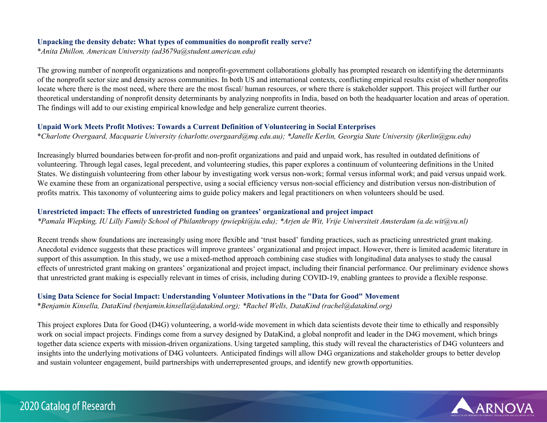## **Unpacking the density debate: What types of communities do nonprofit really serve?**

\**Anita Dhillon, American University (ad3679a@student.american.edu)*

The growing number of nonprofit organizations and nonprofit-government collaborations globally has prompted research on identifying the determinants of the nonprofit sector size and density across communities. In both US and international contexts, conflicting empirical results exist of whether nonprofits locate where there is the most need, where there are the most fiscal/ human resources, or where there is stakeholder support. This project will further our theoretical understanding of nonprofit density determinants by analyzing nonprofits in India, based on both the headquarter location and areas of operation. The findings will add to our existing empirical knowledge and help generalize current theories.

# **Unpaid Work Meets Profit Motives: Towards a Current Definition of Volunteering in Social Enterprises**

\**Charlotte Overgaard, Macquarie University (charlotte.overgaard@mq.edu.au); \*Janelle Kerlin, Georgia State University (jkerlin@gsu.edu)*

Increasingly blurred boundaries between for-profit and non-profit organizations and paid and unpaid work, has resulted in outdated definitions of volunteering. Through legal cases, legal precedent, and volunteering studies, this paper explores a continuum of volunteering definitions in the United States. We distinguish volunteering from other labour by investigating work versus non-work; formal versus informal work; and paid versus unpaid work. We examine these from an organizational perspective, using a social efficiency versus non-social efficiency and distribution versus non-distribution of profits matrix. This taxonomy of volunteering aims to guide policy makers and legal practitioners on when volunteers should be used.

# **Unrestricted impact: The effects of unrestricted funding on grantees' organizational and project impact**

*\*Pamala Wiepking, IU Lilly Family School of Philanthropy (pwiepki@iu.edu); \*Arjen de Wit, Vrije Universiteit Amsterdam (a.de.wit@vu.nl)*

Recent trends show foundations are increasingly using more flexible and 'trust based' funding practices, such as practicing unrestricted grant making. Anecdotal evidence suggests that these practices will improve grantees' organizational and project impact. However, there is limited academic literature in support of this assumption. In this study, we use a mixed-method approach combining case studies with longitudinal data analyses to study the causal effects of unrestricted grant making on grantees' organizational and project impact, including their financial performance. Our preliminary evidence shows that unrestricted grant making is especially relevant in times of crisis, including during COVID-19, enabling grantees to provide a flexible response.

# **Using Data Science for Social Impact: Understanding Volunteer Motivations in the "Data for Good" Movement**

\**Benjamin Kinsella, DataKind (benjamin.kinsella@datakind.org); \*Rachel Wells, DataKind (rachel@datakind.org)*

This project explores Data for Good (D4G) volunteering, a world-wide movement in which data scientists devote their time to ethically and responsibly work on social impact projects. Findings come from a survey designed by DataKind, a global nonprofit and leader in the D4G movement, which brings together data science experts with mission-driven organizations. Using targeted sampling, this study will reveal the characteristics of D4G volunteers and insights into the underlying motivations of D4G volunteers. Anticipated findings will allow D4G organizations and stakeholder groups to better develop and sustain volunteer engagement, build partnerships with underrepresented groups, and identify new growth opportunities.

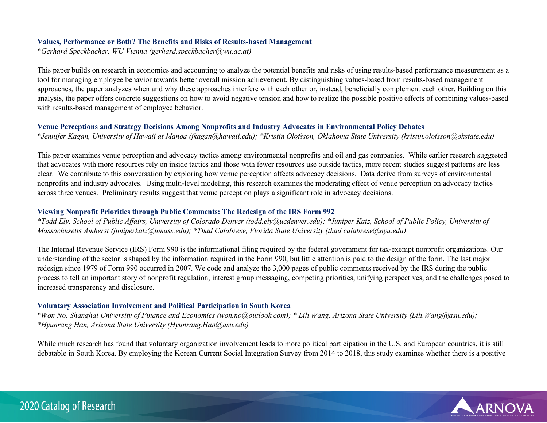#### **Values, Performance or Both? The Benefits and Risks of Results-based Management**

\**Gerhard Speckbacher, WU Vienna (gerhard.speckbacher@wu.ac.at)*

This paper builds on research in economics and accounting to analyze the potential benefits and risks of using results-based performance measurement as a tool for managing employee behavior towards better overall mission achievement. By distinguishing values-based from results-based management approaches, the paper analyzes when and why these approaches interfere with each other or, instead, beneficially complement each other. Building on this analysis, the paper offers concrete suggestions on how to avoid negative tension and how to realize the possible positive effects of combining values-based with results-based management of employee behavior.

#### **Venue Perceptions and Strategy Decisions Among Nonprofits and Industry Advocates in Environmental Policy Debates**

\**Jennifer Kagan, University of Hawaii at Manoa (jkagan@hawaii.edu); \*Kristin Olofsson, Oklahoma State University (kristin.olofsson@okstate.edu)*

This paper examines venue perception and advocacy tactics among environmental nonprofits and oil and gas companies. While earlier research suggested that advocates with more resources rely on inside tactics and those with fewer resources use outside tactics, more recent studies suggest patterns are less clear. We contribute to this conversation by exploring how venue perception affects advocacy decisions. Data derive from surveys of environmental nonprofits and industry advocates. Using multi-level modeling, this research examines the moderating effect of venue perception on advocacy tactics across three venues. Preliminary results suggest that venue perception plays a significant role in advocacy decisions.

## **Viewing Nonprofit Priorities through Public Comments: The Redesign of the IRS Form 992**

*\*Todd Ely, School of Public Affairs, University of Colorado Denver (todd.ely@ucdenver.edu); \*Juniper Katz, School of Public Policy, University of Massachusetts Amherst (juniperkatz@umass.edu); \*Thad Calabrese, Florida State University (thad.calabrese@nyu.edu)*

The Internal Revenue Service (IRS) Form 990 is the informational filing required by the federal government for tax-exempt nonprofit organizations. Our understanding of the sector is shaped by the information required in the Form 990, but little attention is paid to the design of the form. The last major redesign since 1979 of Form 990 occurred in 2007. We code and analyze the 3,000 pages of public comments received by the IRS during the public process to tell an important story of nonprofit regulation, interest group messaging, competing priorities, unifying perspectives, and the challenges posed to increased transparency and disclosure.

#### **Voluntary Association Involvement and Political Participation in South Korea**

\**Won No, Shanghai University of Finance and Economics (won.no@outlook.com); \* Lili Wang, Arizona State University (Lili.Wang@asu.edu); \*Hyunrang Han, Arizona State University (Hyunrang.Han@asu.edu)*

While much research has found that voluntary organization involvement leads to more political participation in the U.S. and European countries, it is still debatable in South Korea. By employing the Korean Current Social Integration Survey from 2014 to 2018, this study examines whether there is a positive

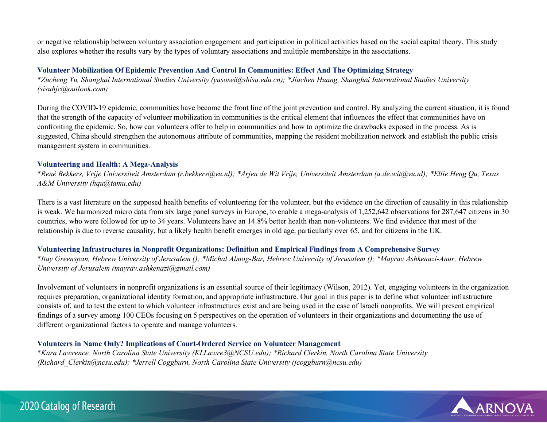or negative relationship between voluntary association engagement and participation in political activities based on the social capital theory. This study also explores whether the results vary by the types of voluntary associations and multiple memberships in the associations.

## **Volunteer Mobilization Of Epidemic Prevention And Control In Communities: Effect And The Optimizing Strategy**

\**Zucheng Yu, Shanghai International Studies University (yusosei@shisu.edu.cn); \*Jiachen Huang, Shanghai International Studies University (sisuhjc@outlook.com)*

During the COVID-19 epidemic, communities have become the front line of the joint prevention and control. By analyzing the current situation, it is found that the strength of the capacity of volunteer mobilization in communities is the critical element that influences the effect that communities have on confronting the epidemic. So, how can volunteers offer to help in communities and how to optimize the drawbacks exposed in the process. As is suggested, China should strengthen the autonomous attribute of communities, mapping the resident mobilization network and establish the public crisis management system in communities.

#### **Volunteering and Health: A Mega-Analysis**

\**René Bekkers, Vrije Universiteit Amsterdam (r.bekkers@vu.nl); \*Arjen de Wit Vrije, Universiteit Amsterdam (a.de.wit@vu.nl); \*Ellie Heng Qu, Texas A&M University (hqu@tamu.edu)*

There is a vast literature on the supposed health benefits of volunteering for the volunteer, but the evidence on the direction of causality in this relationship is weak. We harmonized micro data from six large panel surveys in Europe, to enable a mega-analysis of 1,252,642 observations for 287,647 citizens in 30 countries, who were followed for up to 34 years. Volunteers have an 14.8% better health than non-volunteers. We find evidence that most of the relationship is due to reverse causality, but a likely health benefit emerges in old age, particularly over 65, and for citizens in the UK.

# **Volunteering Infrastructures in Nonprofit Organizations: Definition and Empirical Findings from A Comprehensive Survey**

\**Itay Greenspan, Hebrew University of Jerusalem (); \*Michal Almog-Bar, Hebrew University of Jerusalem (); \*Mayrav Ashkenazi-Anur, Hebrew University of Jerusalem (mayrav.ashkenazi@gmail.com)*

Involvement of volunteers in nonprofit organizations is an essential source of their legitimacy (Wilson, 2012). Yet, engaging volunteers in the organization requires preparation, organizational identity formation, and appropriate infrastructure. Our goal in this paper is to define what volunteer infrastructure consists of, and to test the extent to which volunteer infrastructures exist and are being used in the case of Israeli nonprofits. We will present empirical findings of a survey among 100 CEOs focusing on 5 perspectives on the operation of volunteers in their organizations and documenting the use of different organizational factors to operate and manage volunteers.

#### **Volunteers in Name Only? Implications of Court-Ordered Service on Volunteer Management**

\**Kara Lawrence, North Carolina State University (KLLawre3@NCSU.edu); \*Richard Clerkin, North Carolina State University (Richard\_Clerkin@ncsu.edu); \*Jerrell Coggburn, North Carolina State University (jcoggburn@ncsu.edu)*

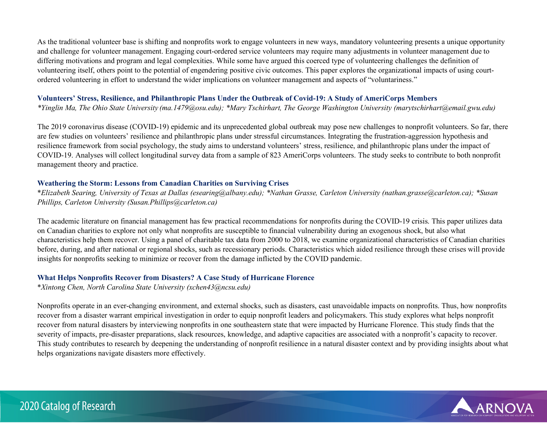As the traditional volunteer base is shifting and nonprofits work to engage volunteers in new ways, mandatory volunteering presents a unique opportunity and challenge for volunteer management. Engaging court-ordered service volunteers may require many adjustments in volunteer management due to differing motivations and program and legal complexities. While some have argued this coerced type of volunteering challenges the definition of volunteering itself, others point to the potential of engendering positive civic outcomes. This paper explores the organizational impacts of using courtordered volunteering in effort to understand the wider implications on volunteer management and aspects of "voluntariness."

## **Volunteers' Stress, Resilience, and Philanthropic Plans Under the Outbreak of Covid-19: A Study of AmeriCorps Members**

*\*Yinglin Ma, The Ohio State University (ma.1479@osu.edu); \*Mary Tschirhart, The George Washington University (marytschirhart@email.gwu.edu)*

The 2019 coronavirus disease (COVID-19) epidemic and its unprecedented global outbreak may pose new challenges to nonprofit volunteers. So far, there are few studies on volunteers' resilience and philanthropic plans under stressful circumstances. Integrating the frustration-aggression hypothesis and resilience framework from social psychology, the study aims to understand volunteers' stress, resilience, and philanthropic plans under the impact of COVID-19. Analyses will collect longitudinal survey data from a sample of 823 AmeriCorps volunteers. The study seeks to contribute to both nonprofit management theory and practice.

## **Weathering the Storm: Lessons from Canadian Charities on Surviving Crises**

\**Elizabeth Searing, University of Texas at Dallas (esearing@albany.edu); \*Nathan Grasse, Carleton University (nathan.grasse@carleton.ca); \*Susan Phillips, Carleton University (Susan.Phillips@carleton.ca)*

The academic literature on financial management has few practical recommendations for nonprofits during the COVID-19 crisis. This paper utilizes data on Canadian charities to explore not only what nonprofits are susceptible to financial vulnerability during an exogenous shock, but also what characteristics help them recover. Using a panel of charitable tax data from 2000 to 2018, we examine organizational characteristics of Canadian charities before, during, and after national or regional shocks, such as recessionary periods. Characteristics which aided resilience through these crises will provide insights for nonprofits seeking to minimize or recover from the damage inflicted by the COVID pandemic.

#### **What Helps Nonprofits Recover from Disasters? A Case Study of Hurricane Florence**

\**Xintong Chen, North Carolina State University (xchen43@ncsu.edu)*

Nonprofits operate in an ever-changing environment, and external shocks, such as disasters, cast unavoidable impacts on nonprofits. Thus, how nonprofits recover from a disaster warrant empirical investigation in order to equip nonprofit leaders and policymakers. This study explores what helps nonprofit recover from natural disasters by interviewing nonprofits in one southeastern state that were impacted by Hurricane Florence. This study finds that the severity of impacts, pre-disaster preparations, slack resources, knowledge, and adaptive capacities are associated with a nonprofit's capacity to recover. This study contributes to research by deepening the understanding of nonprofit resilience in a natural disaster context and by providing insights about what helps organizations navigate disasters more effectively.

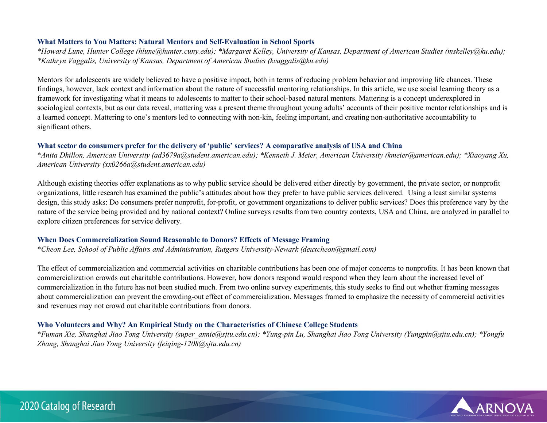#### **What Matters to You Matters: Natural Mentors and Self-Evaluation in School Sports**

*\*Howard Lune, Hunter College (hlune@hunter.cuny.edu); \*Margaret Kelley, University of Kansas, Department of American Studies (mskelley@ku.edu); \*Kathryn Vaggalis, University of Kansas, Department of American Studies (kvaggalis@ku.edu)* 

Mentors for adolescents are widely believed to have a positive impact, both in terms of reducing problem behavior and improving life chances. These findings, however, lack context and information about the nature of successful mentoring relationships. In this article, we use social learning theory as a framework for investigating what it means to adolescents to matter to their school-based natural mentors. Mattering is a concept underexplored in sociological contexts, but as our data reveal, mattering was a present theme throughout young adults' accounts of their positive mentor relationships and is a learned concept. Mattering to one's mentors led to connecting with non-kin, feeling important, and creating non-authoritative accountability to significant others.

## **What sector do consumers prefer for the delivery of 'public' services? A comparative analysis of USA and China**

\**Anita Dhillon, American University (ad3679a@student.american.edu); \*Kenneth J. Meier, American University (kmeier@american.edu); \*Xiaoyang Xu, American University (xx0266a@student.american.edu)*

Although existing theories offer explanations as to why public service should be delivered either directly by government, the private sector, or nonprofit organizations, little research has examined the public's attitudes about how they prefer to have public services delivered. Using a least similar systems design, this study asks: Do consumers prefer nonprofit, for-profit, or government organizations to deliver public services? Does this preference vary by the nature of the service being provided and by national context? Online surveys results from two country contexts, USA and China, are analyzed in parallel to explore citizen preferences for service delivery.

#### **When Does Commercialization Sound Reasonable to Donors? Effects of Message Framing**

\**Cheon Lee, School of Public Affairs and Administration, Rutgers University-Newark (deuxcheon@gmail.com)*

The effect of commercialization and commercial activities on charitable contributions has been one of major concerns to nonprofits. It has been known that commercialization crowds out charitable contributions. However, how donors respond would respond when they learn about the increased level of commercialization in the future has not been studied much. From two online survey experiments, this study seeks to find out whether framing messages about commercialization can prevent the crowding-out effect of commercialization. Messages framed to emphasize the necessity of commercial activities and revenues may not crowd out charitable contributions from donors.

#### **Who Volunteers and Why? An Empirical Study on the Characteristics of Chinese College Students**

\**Fuman Xie, Shanghai Jiao Tong University (super\_annie@sjtu.edu.cn); \*Yung-pin Lu, Shanghai Jiao Tong University (Yungpin@sjtu.edu.cn); \*Yongfu Zhang, Shanghai Jiao Tong University (feiqing-1208@sjtu.edu.cn)*